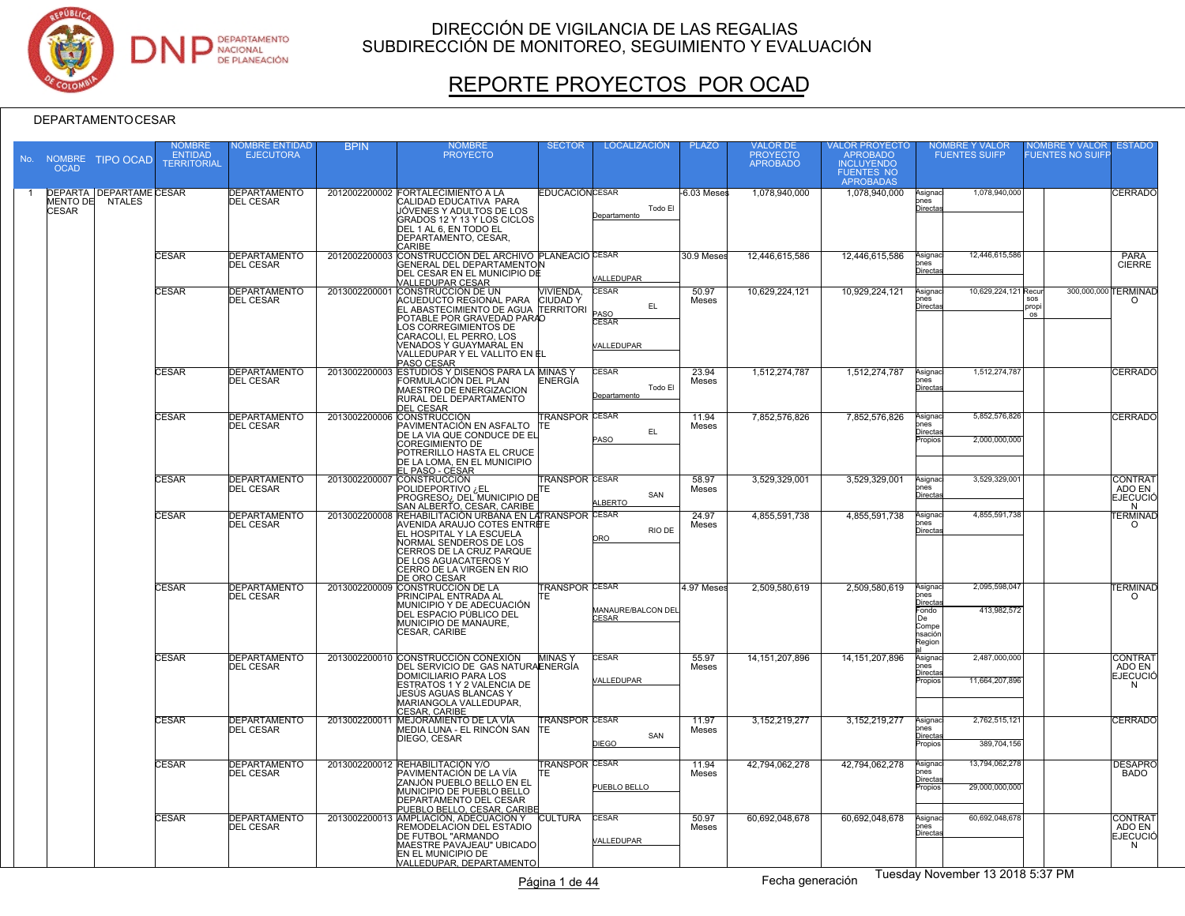

# REPORTE PROYECTOS POR OCAD

| No. | <b>OCAD</b>  | NOMBRE TIPO OCAD                                  | NOMBRE<br><b>ENTIDAD</b><br><b>TERRITORIAL</b> | <b>IOMBRE ENTIDAD</b><br><b>EJECUTORA</b> | <b>BPIN</b>   | <b>NOMBRE</b><br><b>PROYECTO</b>                                                                                                                                                                                                                                                  | <b>SECTOR</b>                      | <b>LOCALIZACIÓN</b>                              | <b>PLAZO</b>   | VALOR DE<br>PROYECTO<br>APROBADO | VALOR PROYECTO<br>APROBADO<br><b>INCLUYENDO</b><br><b>FUENTES NO</b><br><b>APROBADAS</b> | <b>NOMBRE Y VALOR</b><br><b>FUENTES SUIFP</b>                                                           | <b>IOMBRE Y VALOR</b><br>UENTES NO SUIFI | <b>ESTADO</b>                                    |
|-----|--------------|---------------------------------------------------|------------------------------------------------|-------------------------------------------|---------------|-----------------------------------------------------------------------------------------------------------------------------------------------------------------------------------------------------------------------------------------------------------------------------------|------------------------------------|--------------------------------------------------|----------------|----------------------------------|------------------------------------------------------------------------------------------|---------------------------------------------------------------------------------------------------------|------------------------------------------|--------------------------------------------------|
|     | <b>CESAR</b> | <b>DEPARTA DEPARTAME CESAR</b><br>MENTO DE NTALES |                                                | <b>DEPARTAMENTO</b><br><b>DEL CESAR</b>   |               | 2012002200002 FORTALECIMIENTO A LA<br>CALIDAD EDUCATIVA PARA<br>JÓVENES Y ADULTOS DE LOS<br>GRADOS 12 Y 13 Y LOS CICLOS<br>DEL 1 AL 6, EN TODO EL<br><b>DEPARTAMENTO, CESAR.</b><br>CARIBE                                                                                        | <b>EDUCACIÓN CESAR</b>             | Todo El<br>Departamento                          | $-6.03$ Meses  | 1,078,940,000                    | 1,078,940,000                                                                            | 1,078,940,000<br>Asignaci<br>ones<br><b>Directa</b>                                                     |                                          | <b>CERRADO</b>                                   |
|     |              |                                                   | <b>CESAR</b>                                   | <b>DEPARTAMENTO</b><br><b>DEL CESAR</b>   | 2012002200003 | CONSTRUCCIÓN DEL ARCHIVO PLANEACIÓ CESAR<br><b>GENERAL DEL DEPARTAMENTON</b><br>DEL CESAR EN EL MUNICIPIO DE                                                                                                                                                                      |                                    | /ALLEDUPAR                                       | 30.9 Meses     | 12,446,615,586                   | 12.446.615.586                                                                           | 12,446,615,586<br>Asignac<br>nes<br>Directa                                                             |                                          | <b>PARA</b><br><b>CIERRE</b>                     |
|     |              |                                                   | CESAR                                          | <b>DEPARTAMENTO</b><br><b>DEL CESAR</b>   |               | VALLEDUPAR CESAR<br>2013002200001 CONSTRUCCIÓN DE UN<br>ACUEDUCTO REGIONAL PARA<br>EL ABASTECIMIENTO DE AGUA TERRITORI<br>POTABLE POR GRAVEDAD PARAO<br>LOS CORREGIMIENTOS DE<br>CARACOLI. EL PERRO. LOS<br>VENADOS Y GUAYMARAL EN<br>VALLEDUPAR Y EL VALLITO EN EL<br>PASO CESAR | <b>VIVIENDA,</b><br><b>CIUDADY</b> | CESAR<br>EL.<br>ASO<br><b>ESAR</b><br>VALLEDUPAR | 50.97<br>Meses | 10,629,224,121                   | 10,929,224,121                                                                           | 10,629,224,121 Recur<br>Asignac<br>ones<br><b>Directa</b>                                               | 300,000,000<br>SOS<br>prop<br>OS         | <b>TERMINAD</b><br>$\Omega$                      |
|     |              |                                                   | <b>CESAR</b>                                   | <b>DEPARTAMENTO</b><br><b>DEL CESAR</b>   |               | 2013002200003 ESTUDIOS Y DISEÑOS PARA LA MINAS Y<br>FORMULACIÓN DEL PLAN<br>MAESTRO DE ENERGIZACION<br>RURAL DEL DEPARTAMENTO<br><b>DEL CESAR</b>                                                                                                                                 | ENERGÍA                            | CESAR<br>Todo El<br>Departamento                 | 23.94<br>Meses | 1,512,274,787                    | 1,512,274,787                                                                            | 1,512,274,787<br>Asignaci<br>nes<br>Directas                                                            |                                          | <b>CERRADO</b>                                   |
|     |              |                                                   | <b>CESAR</b>                                   | <b>DEPARTAMENTO</b><br><b>DEL CESAR</b>   |               | 2013002200006 CONSTRUCCIÓN<br>PAVIMENTACIÓN EN ASFALTO<br>DE LA VIA QUE CONDUCE DE EL<br><b>COREGIMIENTO DE</b><br>POTRERILLO HASTA EL CRUCE<br>DE LA LOMA, EN EL MUNICIPIO                                                                                                       | <b>TRANSPOR CESAR</b><br>TΕ        | EL<br>PASO                                       | 11.94<br>Meses | 7.852.576.826                    | 7.852.576.826                                                                            | 5,852,576,826<br>Asignac<br>$n$ es<br><u>Directas</u><br>2,000,000,000<br>Propios                       |                                          | <b>CERRADO</b>                                   |
|     |              |                                                   | CESAR                                          | DEPARTAMENTO<br><b>DEL CESAR</b>          | 2013002200007 | EL PASO - CESAR<br>POLIDEPORTIVO ¿EL<br>PROGRESO <sub>i</sub> , DEL MUNICIPIO DE<br>SAN ALBERTO, CESAR, CARIBE                                                                                                                                                                    | <b>TRANSPOR CESAR</b><br>TE        | SAN<br><b>LBERTO</b>                             | 58.97<br>Meses | 3,529,329,001                    | 3,529,329,001                                                                            | 3,529,329,001<br>Asignaci<br>ones<br>Directas                                                           |                                          | <b>CONTRAT</b><br>ADO EN<br><b>EJECUCIÓ</b><br>N |
|     |              |                                                   | <b>CESAR</b>                                   | <b>DEPARTAMENTO</b><br><b>DEL CESAR</b>   | 2013002200008 | REHABILITACIÓN URBANA EN LATRANSPOR CESAR<br>AVENIDA ARAUJO COTES ENTREE<br>EL HOSPITAL Y LA ESCUELA<br>NORMAL SENDEROS DE LOS<br>CERROS DE LA CRUZ PARQUE<br>DE LOS AGUACATEROS Y<br>CERRO DE LA VIRGEN EN RIO                                                                   |                                    | RIO DE<br>ORO                                    | 24.97<br>Meses | 4,855,591,738                    | 4,855,591,738                                                                            | 4,855,591,738<br>Asignac<br>ones<br>Directa                                                             |                                          | <b><i>ERMINAD</i></b><br>$\Omega$                |
|     |              |                                                   | <b>CESAR</b>                                   | <b>DEPARTAMENTO</b><br><b>DEL CESAR</b>   |               | DE ORO CESAR<br>2013002200009 CONSTRUCCIÓN DE LA<br>PRINCIPAL ENTRADA AL<br>MUNICIPIO Y DE ADECUACIÓN<br>DEL ESPACIO PÚBLICO DEL<br>MUNICIPIO DE MANAURE.<br>CESAR, CARIBE                                                                                                        | <b>TRANSPOR CESAR</b><br>TE.       | MANAURE/BALCON DEL<br>CESAR                      | 4.97 Meses     | 2,509,580,619                    | 2,509,580,619                                                                            | 2,095,598,047<br>Asignac<br>ones<br>Directa<br>Fondo<br>413,982,572<br>De<br>Compe<br>nsación<br>Region |                                          | <b>TERMINAD</b><br>$\Omega$                      |
|     |              |                                                   | <b>CESAR</b>                                   | <b>DEPARTAMENTO</b><br><b>DEL CESAR</b>   |               | 2013002200010 CONSTRUCCIÓN CONEXIÓN<br>DEL SERVICIO DE GAS NATURAENERGÍA<br>DOMICILIARIO PARA LOS<br>ESTRATOS 1 Y 2 VALENCIA DE<br>UESÚS AGUAS BLANCAS Y<br>MARIANGOLA VALLEDUPAR,<br>CESAR, CARIBE                                                                               | <b>MINASY</b>                      | CESAR<br>VALLEDUPAR                              | 55.97<br>Meses | 14, 151, 207, 896                | 14.151.207.896                                                                           | 2.487.000.000<br>Asignac<br>nes<br><u>Directa</u><br>11,664,207,896<br>Propios                          |                                          | <b>CONTRAT</b><br>ADO EN<br><b>EJECUCIO</b><br>N |
|     |              |                                                   | <b>CESAR</b>                                   | <b>DEPARTAMENTO</b><br><b>DEL CESAR</b>   | 2013002200011 | MEJORAMIENTO DE LA VÍA<br>MEDIA LUNA - EL RINCÓN SAN<br>DIEGO, CESAR                                                                                                                                                                                                              | <b>TRANSPOR CESAR</b><br>TE        | SAN<br><b>DIEGO</b>                              | 11.97<br>Meses | 3,152,219,277                    | 3, 152, 219, 277                                                                         | 2,762,515,121<br>Asignac<br>ones<br>Directas<br>389,704,156<br>Propios                                  |                                          | <b>CERRADO</b>                                   |
|     |              |                                                   | <b>CESAR</b>                                   | <b>DEPARTAMENTO</b><br><b>DEL CESAR</b>   |               | 2013002200012 REHABILITACIÓN Y/O<br>PAVIMENTACIÓN DE LA VÍA<br>ZANJÓN PUEBLO BELLO EN EL<br>MUNICIPIO DE PUEBLO BELLO<br>DEPARTAMENTO DEL CESAR<br>PUEBLO BELLO, CESAR, CARIBE                                                                                                    | <b>TRANSPOR CESAR</b><br>ГE        | PUEBLO BELLO                                     | 11.94<br>Meses | 42.794.062.278                   | 42.794.062.278                                                                           | 13,794,062,278<br>Asignaci<br>าes<br>Directas<br>29,000,000,000<br>Propios                              |                                          | <b>DESAPRO</b><br><b>BADO</b>                    |
|     |              |                                                   | <b>CESAR</b>                                   | <b>DEPARTAMENTO</b><br>DEL CESAR          | 2013002200013 | AMPLIACIÓN, ADECUACION Y<br>REMODELACION DEL ESTADIO<br>DE FUTBOL "ARMANDO<br>MAESTRE PAVAJEAU" UBICADO<br>EN EL MUNICIPIO DE<br>VALLEDUPAR, DEPARTAMENTO                                                                                                                         | <b>CULTURA</b>                     | <b>CESAR</b><br>VALLEDUPAR                       | 50.97<br>Meses | 60.692.048.678                   | 60.692.048.678                                                                           | 60,692,048,678<br>Asignac<br>ones<br>Directas                                                           |                                          | <b>CONTRAT</b><br>ADO EN<br><b>EJECUCIÓ</b><br>N |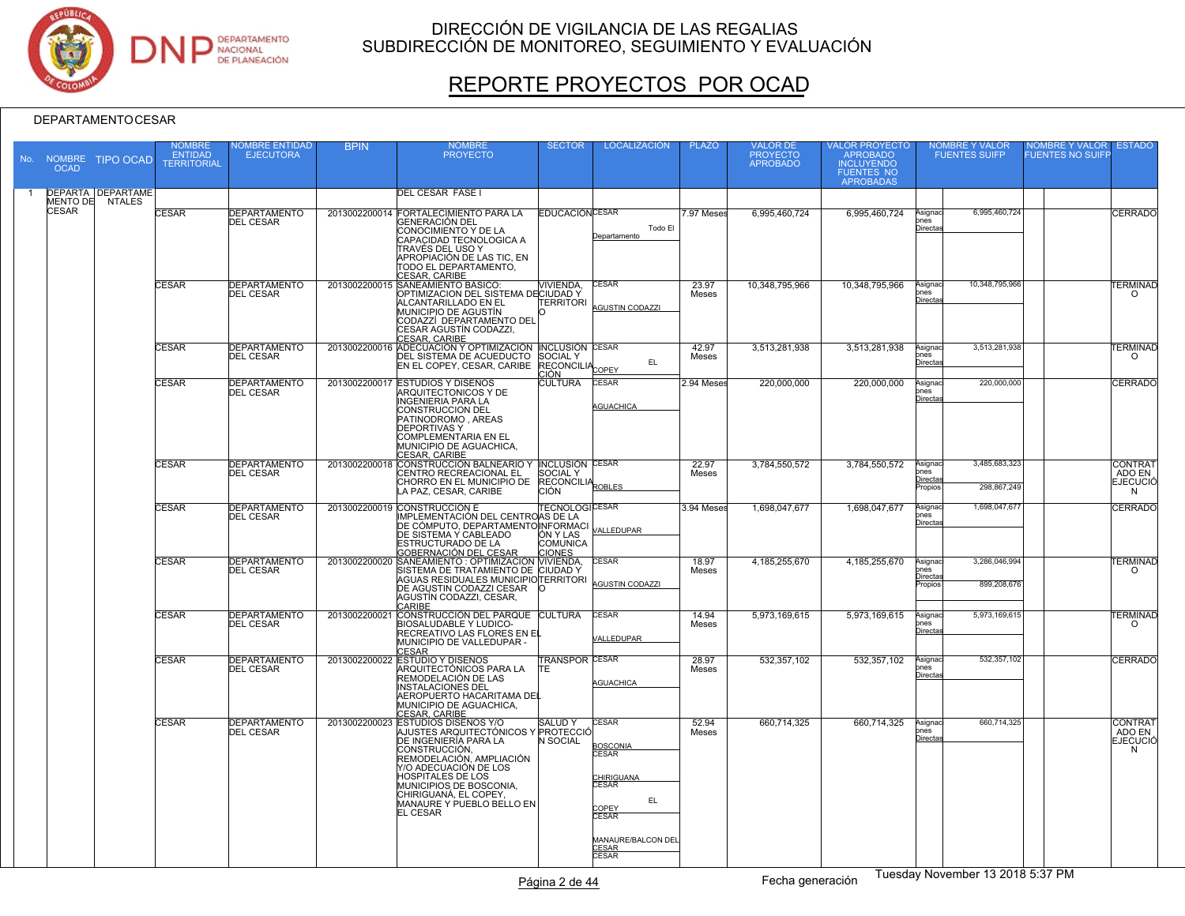

# REPORTE PROYECTOS POR OCAD

| No. | <b>OCAD</b>  | NOMBRE TIPO OCAD         | <b>NOMBRE</b><br>ENTIDAD<br><b>TERRITORIAL</b> | <b>IOMBRE ENTIDAD</b><br><b>EJECUTORA</b> | <b>BPIN</b>   | <b>NOMBRE</b><br><b>PROYECTO</b>                                                                                                                                                                                                                                                                         | <b>SECTOR</b>                                           | <b>LOCALIZACIÓN</b>                                                                                                                                          | <b>PLAZO</b>   | VALOR DE<br>PROYECTO<br><b>APROBADO</b> | VALOR PROYECTO<br>APROBADO<br><b>INCLUYENDO</b><br><b>FUENTES NO</b><br><b>APROBADAS</b> |                                        | NOMBRE Y VALOR<br>FUENTES SUIFP | NOMBRE Y VALOR<br>UENTES NO SUIFI | <b>ESTADO</b>                                    |
|-----|--------------|--------------------------|------------------------------------------------|-------------------------------------------|---------------|----------------------------------------------------------------------------------------------------------------------------------------------------------------------------------------------------------------------------------------------------------------------------------------------------------|---------------------------------------------------------|--------------------------------------------------------------------------------------------------------------------------------------------------------------|----------------|-----------------------------------------|------------------------------------------------------------------------------------------|----------------------------------------|---------------------------------|-----------------------------------|--------------------------------------------------|
|     |              | <b>DEPARTA DEPARTAME</b> |                                                |                                           |               | <b>DEL CESAR FASE I</b>                                                                                                                                                                                                                                                                                  |                                                         |                                                                                                                                                              |                |                                         |                                                                                          |                                        |                                 |                                   |                                                  |
|     | <b>CESAR</b> | MENTO DE NTALES          | <b>CESAR</b>                                   | <b>DEPARTAMENTO</b><br><b>DEL CESAR</b>   |               | 2013002200014 FORTALECIMIENTO PARA LA<br><b>GENERACIÓN DEL</b><br>CONOCIMIENTO Y DE LA<br>CAPACIDAD TECNOLOGICA A<br>TRAVÉS DEL USO Y<br>APROPIACIÓN DE LAS TIC, EN<br>TODO EL DEPARTAMENTO,                                                                                                             | <b>EDUCACIÓN CESAR</b>                                  | Todo El<br>Departamento                                                                                                                                      | 7.97 Meses     | 6,995,460,724                           | 6,995,460,724                                                                            | Asignac<br>ones<br>Directa             | 6.995.460.724                   |                                   | <b>CERRADO</b>                                   |
|     |              |                          | CESAR                                          | <b>DEPARTAMENTO</b><br>DEL CESAR          |               | CESAR, CARIBE<br>2013002200015 SANEAMIENTO BÁSICO:<br>OPTIMIZACION DEL SISTEMA DECIUDAD Y<br>ALCANTARILLADO EN EL<br>MUNICIPIO DE AGUSTÍN<br>CODAZZÍ DEPARTAMENTO DEL<br>CESAR AGUSTÍN CODAZZI,<br><b>CESAR, CARIBE</b>                                                                                  | <b>NIVIENDA</b> ,<br><b>TERRITORI</b>                   | CESAR<br><b>AGUSTIN CODAZZI</b>                                                                                                                              | 23.97<br>Meses | 10,348,795,966                          | 10,348,795,966                                                                           | Asignac<br>ones<br>Directa             | 10,348,795,966                  |                                   | <b><i>TERMINAD</i></b><br>$\circ$                |
|     |              |                          | <b>CESAR</b>                                   | <b>DEPARTAMENTO</b><br><b>DEL CESAR</b>   |               | 2013002200016 ADECUACIÓN Y OPTIMIZACIÓN INCLUSIÓN CESAR<br>DEL SISTEMA DE ACUEDUCTO SOCIAL Y<br>EN EL COPEY, CESAR, CARIBE RECONCILIA                                                                                                                                                                    | וחר:                                                    | EL.<br>COPEY                                                                                                                                                 | 42.97<br>Meses | 3,513,281,938                           | 3,513,281,938                                                                            | Asignac<br>ones<br>Directa             | 3,513,281,938                   |                                   | <b><i>TERMINAD</i></b><br>$\circ$                |
|     |              |                          | <b>CESAR</b>                                   | <b>DEPARTAMENTO</b><br><b>DEL CESAR</b>   |               | 2013002200017 ESTUDIOS Y DISEÑOS<br>ARQUITECTONICOS Y DE<br>INGENIERIA PARA LA<br>CONSTRUCCION DEL<br>PATINODROMO, AREAS<br><b>DEPORTIVAS Y</b><br>COMPLEMENTARIA EN EL<br><b>MUNICIPIO DE AGUACHICA</b><br><b>CESAR, CARIBE</b>                                                                         | <b>CULTURA</b>                                          | <b>CESAR</b><br><b>AGUACHICA</b>                                                                                                                             | 2.94 Meses     | 220,000,000                             | 220,000,000                                                                              | Asignac<br>ones<br>Directa             | 220,000,000                     |                                   | CERRADO                                          |
|     |              |                          | <b>CESAR</b>                                   | DEPARTAMENTO<br>DEL CESAR                 |               | 2013002200018 CONSTRUCCIÓN BALNEARIO Y INCLUSIÓN CESAR<br>CENTRO RECREACIONAL EL<br>CHORRO EN EL MUNICIPIO DE RECONCILIA<br>LA PAZ. CESAR. CARIBE                                                                                                                                                        | <b>SOCIAL Y</b><br>CIÓN                                 | ROBLES                                                                                                                                                       | 22.97<br>Meses | 3,784,550,572                           | 3,784,550,572                                                                            | Asignac<br>ones<br>Directas<br>ropios  | 3.485.683.323<br>298,867,249    |                                   | <b>CONTRAT</b><br>ADO EN<br><b>EJECUCIÓ</b><br>N |
|     |              |                          | CESAR                                          | <b>DEPARTAMENTO</b><br><b>DEL CESAR</b>   |               | 2013002200019 CONSTRUCCIÓN E TECNOLO<br>DE CÓMPUTO, DEPARTAMENTO INFORMACI<br>DE SISTEMA Y CABLEADO<br>ESTRUCTURADO DE LA                                                                                                                                                                                | TECNOLOGÍCESAR<br>ÓN Y LAS<br>COMUNICA<br><b>CIONES</b> | ALL FDUPAR                                                                                                                                                   | 3.94 Meses     | 1,698,047,677                           | 1,698,047,677                                                                            | Asignac<br>ones<br>Directas            | 1,698,047,677                   |                                   | CERRADO                                          |
|     |              |                          | CESAR                                          | <b>DEPARTAMENTO</b><br><b>DEL CESAR</b>   |               | GOBERNACIÓN DEL CESAR CIÓNES<br>2013002200020 SANEAMIENTO : OPTIMIZACIÓN MUVIENDA,<br>SISTEMA DE TRATAMIENTO DE CIUDAD Y<br>AGUAS RESIDUALES MUNICIPIOTERRITORI<br>DE AGUSTIN CODAZZI CESAR O<br>AGUSTÍN CODAZZI, CESAR,<br>CARIBE                                                                       |                                                         | <b>CESAR</b><br><b>AGUSTIN CODAZZI</b>                                                                                                                       | 18.97<br>Meses | 4,185,255,670                           | 4,185,255,670                                                                            | Asignac<br>ones<br>Directa:<br>Propios | 3,286,046,994<br>899,208,676    |                                   | <b>ERMINAD</b><br>$\circ$                        |
|     |              |                          | CESAR                                          | <b>DEPARTAMENTO</b><br><b>DEL CESAR</b>   | 2013002200021 | CONSTRUCCIÓN DEL PARQUE CULTURA<br>RECREATIVO LAS FLORES EN EI<br>MUNICIPIO DE VALLEDUPAR -<br>CESAR                                                                                                                                                                                                     |                                                         | <b>CESAR</b><br>VALLEDUPAR                                                                                                                                   | 14.94<br>Meses | 5.973.169.615                           | 5.973.169.615                                                                            | Asignac<br>nnes<br>Directas            | 5,973,169,615                   |                                   | <b>ERMINAD</b><br>$\circ$                        |
|     |              |                          | <b>CESAR</b>                                   | <b>DEPARTAMENTO</b><br><b>DEL CESAR</b>   |               | 2013002200022 ESTUDIO Y DISEÑOS<br>ARQUITECTÓNICOS PARA LA<br>REMODELACIÓN DE LAS<br><b>INSTALACIONES DEL</b><br>AEROPUERTO HACARITAMA DEL<br>MUNICIPIO DE AGUACHICA.<br>CESAR, CARIBE                                                                                                                   | <b>TRANSPOR CESAR</b><br>TE.                            | AGUACHICA                                                                                                                                                    | 28.97<br>Meses | 532,357,102                             | 532, 357, 102                                                                            | Asignac<br>ones<br>Directas            | 532, 357, 102                   |                                   | <b>CERRADO</b>                                   |
|     |              |                          | <b>CESAR</b>                                   | <b>DEPARTAMENTO</b><br><b>DEL CESAR</b>   |               | 2013002200023 ESTUDIOS DISEÑOS Y/O<br>AJUSTES ARQUITECTÓNICOS Y PROTECCIÓ<br>DE INGENIERÍA PARA LA<br>CONSTRUCCIÓN,<br>REMODELACIÓN, AMPLIACIÓN<br>Y/O ADECUACIÓN DE LOS<br><b>HOSPITALES DE LOS</b><br>MUNICIPIOS DE BOSCONIA.<br>CHIRIGUANÁ, EL COPEY,<br>MANAURE Y PUEBLO BELLO EN<br><b>EL CESAR</b> | <b>SALUDY</b><br>N SOCIAL                               | <b>CESAR</b><br><b>BOSCONIA</b><br>CESAR<br><b>CHIRIGUANA</b><br><b>CESAR</b><br>EL.<br>COPEY<br><b>CESAR</b><br>MANAURE/BALCON DEL<br>CESAR<br><b>CESAR</b> | 52.94<br>Meses | 660,714,325                             | 660,714,325                                                                              | Asignac<br>ones<br>Directas            | 660,714,325                     |                                   | <b>CONTRAT</b><br>ADO EN<br><b>EJECUCIÓ</b><br>N |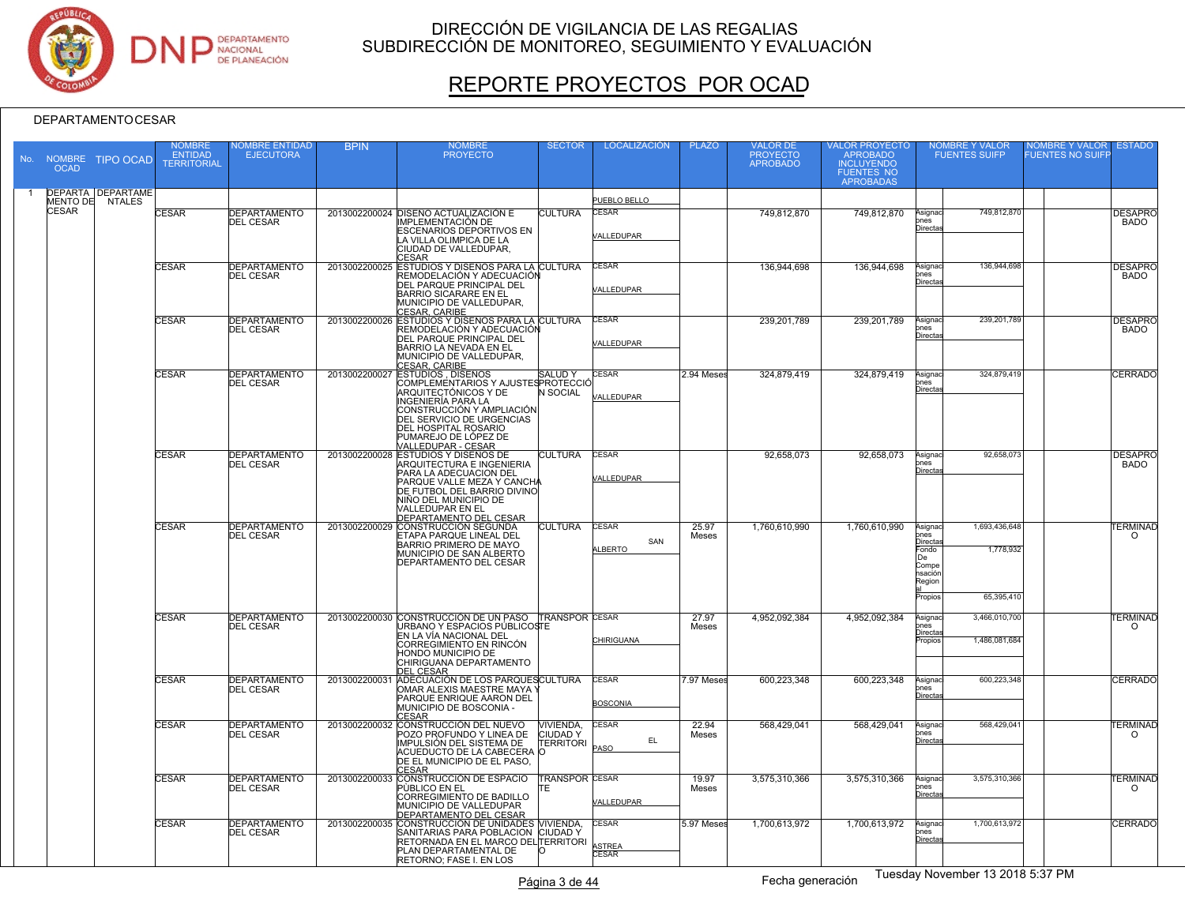

# REPORTE PROYECTOS POR OCAD

| No. | <b>NOMBRE</b><br><b>OCAD</b> | <b>TIPO OCAD</b>                            | <b>NOMBRE</b><br>ENTIDAD<br><b>TERRITORIAL</b> | <b>IOMBRE ENTIDAD</b><br><b>EJECUTORA</b> | <b>BPIN</b>   | <b>NOMBRE</b><br><b>PROYECTO</b>                                                                                                                                                                                                           | <b>SECTOR</b>                                          | LOCALIZACIÓN                    | <b>PLAZO</b>   | VALOR DE<br>PROYECTO<br><b>APROBADO</b> | VALOR PROYECTO<br>APROBADO<br><b>INCLUYENDO</b><br><b>FUENTES NO</b><br><b>APROBADAS</b> |                                                                                    | NOMBRE Y VALOR<br>FUENTES SUIFP          | NOMBRE Y VALOR<br>UENTES NO SUIFF | <b>ESTADO</b>                     |
|-----|------------------------------|---------------------------------------------|------------------------------------------------|-------------------------------------------|---------------|--------------------------------------------------------------------------------------------------------------------------------------------------------------------------------------------------------------------------------------------|--------------------------------------------------------|---------------------------------|----------------|-----------------------------------------|------------------------------------------------------------------------------------------|------------------------------------------------------------------------------------|------------------------------------------|-----------------------------------|-----------------------------------|
|     |                              | <b>DEPARTA DEPARTAME</b><br>MENTO DE NTALES |                                                |                                           |               |                                                                                                                                                                                                                                            |                                                        | PUEBLO BELLO                    |                |                                         |                                                                                          |                                                                                    |                                          |                                   |                                   |
|     | <b>CESAR</b>                 |                                             | <b>CESAR</b>                                   | <b>DEPARTAMENTO</b><br><b>DEL CESAR</b>   |               | 2013002200024 DISEÑO ACTUALIZACIÓN E<br><b>IMPLEMENTACIÓN DE</b><br><b>ESCENARIOS DEPORTIVOS EN</b><br>LA VILLA OLIMPICA DE LA<br>CIUDAD DE VALLEDUPAR.<br>CESAR                                                                           | <b>CULTURA</b>                                         | <b>CESAR</b><br>VALLEDUPAR      |                | 749,812,870                             | 749,812,870                                                                              | Asignac<br>ones<br>Directa                                                         | 749.812.870                              |                                   | <b>DESAPRO</b><br><b>BADO</b>     |
|     |                              |                                             | CESAR                                          | <b>DEPARTAMENTO</b><br><b>DEL CESAR</b>   |               | 2013002200025 ESTUDIOS Y DISEÑOS PARA LA CULTURA<br>REMODELACIÓN Y ADECUACIÓN<br>DEL PARQUE PRINCIPAL DEL<br><b>BARRIO SICARARE EN EL</b><br>MUNICIPIO DE VALLEDUPAR,<br>CESAR, CARIBE<br>2013002200026 ESTUDIOS Y DISEÑOS PARA LA CULTURA |                                                        | <b>CESAR</b><br>VALLEDUPAR      |                | 136,944,698                             | 136,944,698                                                                              | Asignac<br>ones<br>Directa                                                         | 136,944,698                              |                                   | <b>DESAPRC</b><br><b>BADO</b>     |
|     |                              |                                             | CESAR                                          | <b>DEPARTAMENTO</b><br><b>DEL CESAR</b>   |               | REMODELACIÓN Y ADECUACIÓN<br><b>DEL PARQUE PRINCIPAL DEL</b><br>BARRIO LA NEVADA EN EL<br>MUNICIPIO DE VALLEDUPAR,<br>CESAR, CARIBE<br>ESTUDIOS , DISEÑOS                                                                                  |                                                        | <b>CESAR</b><br>VALLEDUPAR      |                | 239,201,789                             | 239, 201, 789                                                                            | Asignac<br>ones<br>Directa                                                         | 239,201,789                              |                                   | <b>DESAPRC</b><br><b>BADO</b>     |
|     |                              |                                             | CESAR                                          | <b>DEPARTAMENTO</b><br><b>DEL CESAR</b>   | 2013002200027 | COMPLEMENTARIOS Y AJUSTES PROTECCIÓ<br>ARQUITECTÓNICOS Y DE<br>INGENIERÍA PARA LA<br>CONSTRUCCIÓN Y AMPLIACIÓN<br><b>DEL SERVICIO DE URGENCIAS</b><br>DEL HOSPITAL ROSARIO<br>PUMAREJO DE LÓPEZ DE<br>VALLEDUPAR - CESAR                   | <b>SALUDY</b><br><b>N SOCIAL</b>                       | <b>CESAR</b><br>ALLEDUPAR       | 2.94 Meses     | 324,879,419                             | 324,879,419                                                                              | Asignac<br>ones<br>Directa                                                         | 324,879,419                              |                                   | CERRADO                           |
|     |                              |                                             | <b>CESAR</b>                                   | <b>DEPARTAMENTO</b><br><b>DEL CESAR</b>   |               | 2013002200028 ESTUDIOS Y DISEÑOS DE<br>ARQUITECTURA E INGENIERIA<br>PARA LA ADECUACION DEL<br>PARQUE VALLE MEZA Y CANCHA<br>DE FUTBOL DEL BARRIO DIVINO<br>NIÑO DEL MUNICIPIO DE<br>VALLEDUPAR EN EL<br>DEPARTAMENTO DEL CESAR             | <b>CULTURA</b>                                         | <b>CESAR</b><br>VALLEDUPAR      |                | 92.658.073                              | 92,658,073                                                                               | Asignaci<br>$_{\rm ones}$<br>Directa                                               | 92,658,073                               |                                   | <b>DESAPRC</b><br><b>BADO</b>     |
|     |                              |                                             | CESAR                                          | <b>DEPARTAMENTO</b><br><b>DEL CESAR</b>   | 2013002200029 | CONSTRUCCIÓN SEGUNDA<br><b>ETAPA PARQUE LINEAL DEL</b><br><b>BARRIO PRIMERO DE MAYO</b><br>MUNICIPIO DE SAN ALBERTO<br><b>DEPARTAMENTO DEL CESAR</b>                                                                                       | <b>CULTURA</b>                                         | CESAR<br>SAN<br>ALBERTO         | 25.97<br>Meses | 1,760,610,990                           | 1,760,610,990                                                                            | Asignac<br>ones<br>Directa<br>Fondo<br>De<br>Compe<br>nsación<br>Region<br>Propios | 1,693,436,648<br>1,778,932<br>65,395,410 |                                   | <b><i>TERMINAD</i></b><br>$\circ$ |
|     |                              |                                             | <b>CESAR</b>                                   | <b>DEPARTAMENTO</b><br><b>DEL CESAR</b>   |               | 2013002200030 CONSTRUCCIÓN DE UN PASO TRANSPOR CESAR<br>URBANO Y ESPACIOS PÚBLICOSTE<br>EN LA VÍA NACIONAL DEL<br>CORREGIMIENTO EN RINCÓN<br>HONDO MUNICIPIO DE<br>CHIRIGUANA DEPARTAMENTO<br><b>DEL CESAR</b>                             |                                                        | CHIRIGUANA                      | 27.97<br>Meses | 4.952.092.384                           | 4.952.092.384                                                                            | Asignac<br>$_{\rm ones}$<br>Directas<br>Propios                                    | 3,466,010,700<br>1,486,081,684           |                                   | <b><i>FERMINAD</i></b><br>$\circ$ |
|     |                              |                                             | <b>CESAR</b>                                   | <b>DEPARTAMENTO</b><br><b>DEL CESAR</b>   | 2013002200031 | ADECUACIÓN DE LOS PARQUESCULTURA<br>OMAR ALEXIS MAESTRE MAYA Y<br>PARQUE ENRIQUE AARON DEL<br>MUNICIPIO DE BOSCONIA -<br><b>CESAR</b>                                                                                                      |                                                        | <b>CESAR</b><br><b>BOSCONIA</b> | 7.97 Meses     | 600,223,348                             | 600,223,348                                                                              | Asignac<br>$_{\rm ones}$<br>Directas                                               | 600,223,348                              |                                   | CERRADO                           |
|     |                              |                                             | CESAR                                          | <b>DEPARTAMENTO</b><br><b>DEL CESAR</b>   | 2013002200032 | CONSTRUCCIÓN DEL NUEVO<br>POZO PROFUNDO Y LINEA DE<br>IMPULSIÓN DEL SISTEMA DE<br>ACUEDUCTO DE LA CABECERA O<br>DE EL MUNICIPIO DE EL PASO.<br>CESAR                                                                                       | <b>VIVIENDA.</b><br><b>CIUDADY</b><br><b>TERRITORI</b> | CESAR<br>EL.<br>PASO            | 22.94<br>Meses | 568.429.041                             | 568,429,041                                                                              | Asignac<br><b>ones</b><br>Directas                                                 | 568,429,041                              |                                   | <b><i>TERMINAD</i></b><br>$\circ$ |
|     |                              |                                             | <b>CESAR</b>                                   | <b>DEPARTAMENTO</b><br><b>DEL CESAR</b>   | 2013002200033 | <b>CONSTRUCCIÓN DE ESPACIO</b><br>PÙBLICO EN EL<br>CORREGIMIENTO DE BADILLO<br>MUNICIPIO DE VALLEDUPAR<br>DEPARTAMENTO DEL CESAR<br>2013002200035 CONSTRUCCIÓN DE UNIDADES MIVIENDA,                                                       | <b>TRANSPOR CESAR</b><br>TЕ                            | /ALLEDUPAR                      | 19.97<br>Meses | 3,575,310,366                           | 3,575,310,366                                                                            | Asignac<br><b>ones</b><br><b>Directa</b>                                           | 3,575,310,366                            |                                   | <b>TERMINAD</b><br>$\Omega$       |
|     |                              |                                             | CESAR                                          | <b>DEPARTAMENTO</b><br><b>DEL CESAR</b>   |               | SANITARIAS PARA POBLACION CIUDAD Y<br>RETORNADA EN EL MARCO DELTERRITORI<br>PLAN DEPARTAMENTAL DE<br>RETORNO; FASE I. EN LOS                                                                                                               |                                                        | CESAR<br>ASTREA<br>CESAR        | 5.97 Meses     | 1,700,613,972                           | 1,700,613,972                                                                            | Asignac<br>ones<br>Directa                                                         | 1,700,613,972                            |                                   | CERRADO                           |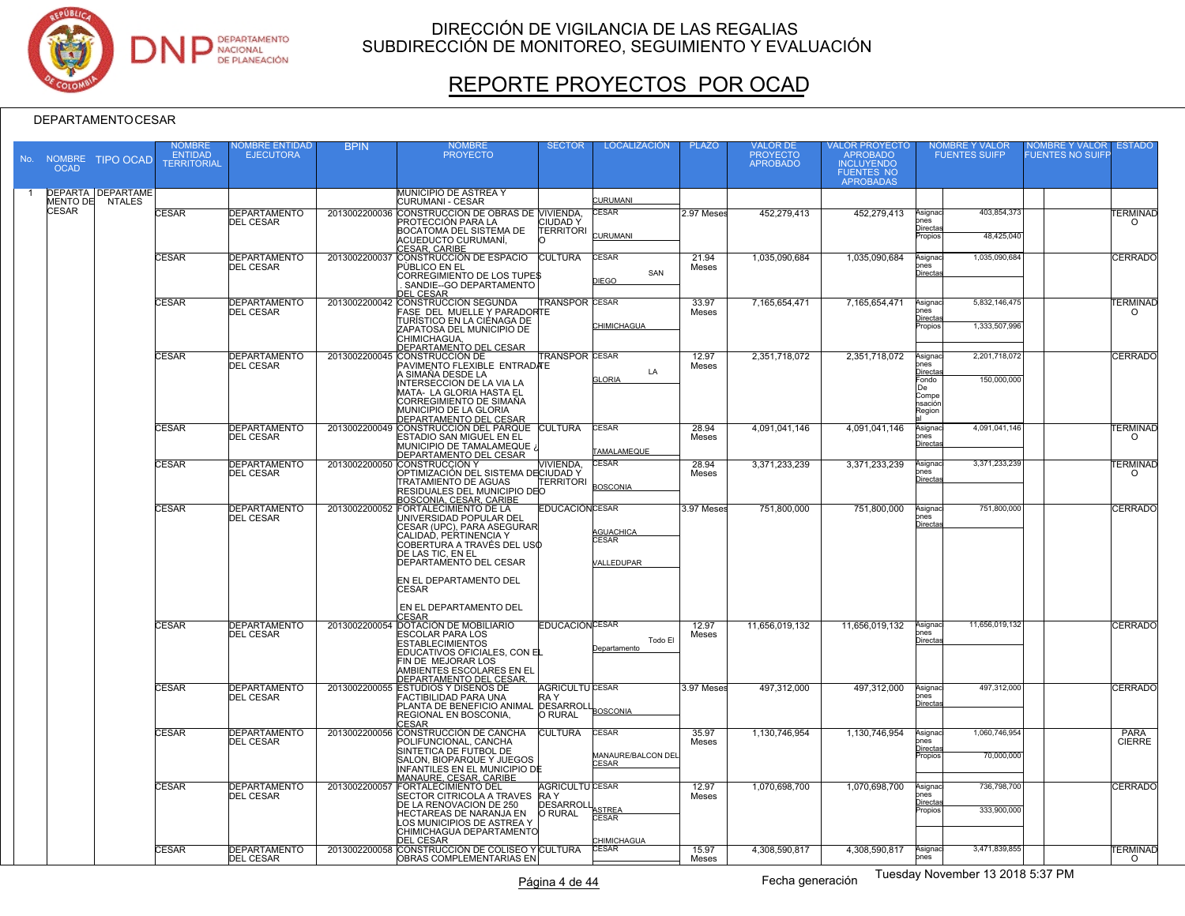

# REPORTE PROYECTOS POR OCAD

| No. | <b>NOMBRE</b><br><b>OCAD</b> | <b>TIPO OCAD</b>                            | <b>NOMBRE</b><br><b>ENTIDAD</b><br><b>TERRITORIAL</b> | <b>IOMBRE ENTIDAD</b><br><b>EJECUTORA</b> | <b>BPIN</b>   | <b>NOMBRE</b><br><b>PROYECTO</b>                                                                                                                                                                                                                                                         | <b>SECTOR</b>                                         | <b>LOCALIZACIÓN</b>                                | <b>PLAZO</b>   | VALOR DE<br>PROYECTO<br><b>APROBADO</b> | VALOR PROYECTO<br>APROBADO<br><b>INCLUYENDO</b><br><b>FUENTES NO</b><br><b>APROBADAS</b> |                                                                          | NOMBRE Y VALOR<br>FUENTES SUIFP | NOMBRE Y VALOR<br>UENTES NO SUIFF | <b>ESTADO</b>                      |
|-----|------------------------------|---------------------------------------------|-------------------------------------------------------|-------------------------------------------|---------------|------------------------------------------------------------------------------------------------------------------------------------------------------------------------------------------------------------------------------------------------------------------------------------------|-------------------------------------------------------|----------------------------------------------------|----------------|-----------------------------------------|------------------------------------------------------------------------------------------|--------------------------------------------------------------------------|---------------------------------|-----------------------------------|------------------------------------|
|     |                              | <b>DEPARTA DEPARTAME</b><br>MENTO DE NTALES |                                                       |                                           |               | <b>MUNICIPIO DE ASTREA Y</b><br>CURUMANI - CESAR                                                                                                                                                                                                                                         |                                                       | CURUMANI                                           |                |                                         |                                                                                          |                                                                          |                                 |                                   |                                    |
|     | <b>CESAR</b>                 |                                             | <b>CESAR</b>                                          | <b>DEPARTAMENTO</b><br><b>DEL CESAR</b>   |               | 2013002200036 CONSTRUCCIÓN DE OBRAS DE MIVIENDA.<br>PROTECCIÓN PARA LA<br><b>BOCATOMA DEL SISTEMA DE</b><br>ACUEDUCTO CURUMANI,<br><u>CESAR, CARIBE</u>                                                                                                                                  | <b>CIUDAD Y</b><br><b>TERRITORI</b>                   | CESAR<br>CURUMANI                                  | 2.97 Meses     | 452,279,413                             | 452,279,413                                                                              | Asignac<br>ones<br><u>Directas</u><br>Propios                            | 403,854,373<br>48,425,040       |                                   | <b>TERMINAD</b><br>$\Omega$        |
|     |                              |                                             | CESAR                                                 | <b>DEPARTAMENTO</b><br><b>DEL CESAR</b>   | 2013002200037 | CONSTRUCCIÓN DE ESPACIO CULTURA<br>PÙBLICO EN EL<br>CORREGIMIENTO DE LOS TUPES<br>SANDIE--GO DEPARTAMENTO<br>DEL CESAR                                                                                                                                                                   |                                                       | CESAR<br>SAN<br><b>DIEGO</b>                       | 21.94<br>Meses | 1.035.090.684                           | 1.035.090.684                                                                            | Asignac<br>$_{\rm ones}$<br>Directa                                      | 1,035,090,684                   |                                   | CERRADO                            |
|     |                              |                                             | <b>CESAR</b>                                          | <b>DEPARTAMENTO</b><br><b>DEL CESAR</b>   |               | 2013002200042 CONSTRUCCIÓN SEGUNDA<br>FASE DEL MUELLE Y PARADORTE<br>TURÍSTICO EN LA CIÉNAGA DE<br>ZAPATOSA DEL MUNICIPIO DE<br>CHIMICHAGUA.<br>DEPARTAMENTO DEL CESAR                                                                                                                   | <b>TRANSPOR CESAR</b>                                 | CHIMICHAGUA                                        | 33.97<br>Meses | 7,165,654,471                           | 7,165,654,471                                                                            | Asignad<br>ones<br><u>Directa</u><br>ropios                              | 5.832.146.475<br>1,333,507,996  |                                   | <b><i>FERMINAD</i></b><br>$\Omega$ |
|     |                              |                                             | CESAR                                                 | <b>DEPARTAMENTO</b><br><b>DEL CESAR</b>   |               | 2013002200045 CONSTRUCCIÓN DE<br>PAVIMENTO FLEXIBLE ENTRADATE<br>A SIMAÑA DESDE LA<br><b>INTERSECCION DE LA VIA LA</b><br>MATA- LA GLORIA HASTA EL<br>CORREGIMIENTO DE SIMAÑA<br>MUNICIPIO DE LA GLORIA<br>DEPARTAMENTO DEL CESAR                                                        | <b>FRANSPOR CESAR</b>                                 | LA<br><b>GLORIA</b>                                | 12.97<br>Meses | 2,351,718,072                           | 2,351,718,072                                                                            | Asignac<br>ones<br>Directa<br>Fondo<br>ne.<br>Compe<br>nsación<br>Region | 2,201,718,072<br>150,000,000    |                                   | CERRADO                            |
|     |                              |                                             | CESAR                                                 | <b>DEPARTAMENTO</b><br><b>DEL CESAR</b>   | 2013002200049 | CONSTRUCCIÓN DEL PARQUE CULTURA<br>ESTADIO SAN MIGUEL EN EL<br>MUNICIPIO DE TAMALAMEQUE ¿<br>DEPARTAMENTO DEL CESAR                                                                                                                                                                      |                                                       | CESAR<br>TAMALAMEQUE                               | 28.94<br>Meses | 4.091.041.146                           | 4.091.041.146                                                                            | Asignac<br>ones<br><b>Directa</b>                                        | 4,091,041,146                   |                                   | <b><i>TERMINAD</i></b><br>$\Omega$ |
|     |                              |                                             | <b>CESAR</b>                                          | <b>DEPARTAMENTO</b><br><b>DEL CESAR</b>   |               | 2013002200050 CONSTRUCCIÓN Y<br>OPTIMIZACIÓN DEL SISTEMA DECIUDAD Y<br><b>TRATAMIENTO DE AGUAS</b><br>RESIDUALES DEL MUNICIPIO DEO<br>BOSCONIA, CESAR, CARIBE                                                                                                                            | <b>VIVIENDA</b><br>TERRITORI                          | <b>CESAR</b><br><b>BOSCONIA</b>                    | 28.94<br>Meses | 3.371.233.239                           | 3.371.233.239                                                                            | Asignac<br>$_{\rm ones}$<br>Directa                                      | 3.371.233.239                   |                                   | <b>TERMINAD</b><br>∩               |
|     |                              |                                             | CESAR                                                 | <b>DEPARTAMENTO</b><br><b>DEL CESAR</b>   |               | 2013002200052 FORTALECIMIENTO DE LA<br>UNIVERSIDAD POPULAR DEL<br>CESAR (UPC), PARA ASEGURAR<br>ICALIDAD. PERTINENCIA Y<br>COBERTÚRA A TRAVÉS DEL USO<br>DE LAS TIC, EN EL<br><b>DEPARTAMENTO DEL CESAR</b><br>EN EL DEPARTAMENTO DEL<br><b>CESAR</b><br>EN EL DEPARTAMENTO DEL<br>CESAR | <b>EDUCACIÓN CESAR</b>                                | <b>GUACHICA</b><br><b>FSAR</b><br>/ALLEDUPAR       | 3.97 Meses     | 751,800,000                             | 751,800,000                                                                              | Asignac<br>ones<br><b>Directa</b>                                        | 751,800,000                     |                                   | <b>CERRADO</b>                     |
|     |                              |                                             | CESAR                                                 | <b>DEPARTAMENTO</b><br><b>DEL CESAR</b>   |               | 2013002200054 DOTACIÓN DE MOBILIARIO<br><b>ESCOLAR PARA LOS</b><br><b>ESTABLECIMIENTOS</b><br>EDUCATIVOS OFICIALES, CON EL<br>FIN DE MEJORAR LOS<br>AMBIENTES ESCOLARES EN EL<br>DEPARTAMENTO DEL CESAR.                                                                                 | <b>EDUCACIÓN CESAR</b>                                | Todo El<br>Departamento                            | 12.97<br>Meses | 11,656,019,132                          | 11,656,019,132                                                                           | Asignaci<br>nes<br>Directas                                              | 11,656,019,132                  |                                   | <b>CERRADO</b>                     |
|     |                              |                                             | CESAR                                                 | <b>DEPARTAMENTO</b><br><b>DEL CESAR</b>   |               | 2013002200055 ESTUDIOS Y DISEÑOS DE<br><b>FACTIBILIDAD PARA UNA</b><br>PLANTA DE BENEFICIO ANIMAL DESARROLI<br>REGIONAL EN BOSCONIA,<br><b>CESAR</b>                                                                                                                                     | <b>AGRICULTU CESAR</b><br>RA Y<br><b>O RURAL</b>      | <b>BOSCONIA</b>                                    | 3.97 Meses     | 497,312,000                             | 497,312,000                                                                              | Asignac<br>ones<br><b>Directa</b>                                        | 497,312,000                     |                                   | CERRADO                            |
|     |                              |                                             | <b>CESAR</b>                                          | DEPARTAMENTO<br><b>DEL CESAR</b>          |               | 2013002200056 CONSTRUCCIÓN DE CANCHA<br>POLIFUNCIONAL, CANCHA<br>SINTETICA DE FUTBOL DE<br>SALON, BIOPARQUE Y JUEGOS<br><b>INFANTILES EN EL MUNICIPIO DE</b><br>MANAURE, CESAR, CARIBE                                                                                                   | <b>CULTURA</b>                                        | <b>CESAR</b><br>MANAURE/BALCON DEL<br><b>CESAR</b> | 35.97<br>Meses | 1.130.746.954                           | 1,130,746,954                                                                            | Asignac<br>$_{\rm ones}$<br>Directas<br>Propios                          | 1,060,746,954<br>70,000,000     |                                   | <b>PARA</b><br><b>CIERRE</b>       |
|     |                              |                                             | <b>CESAR</b>                                          | <b>DEPARTAMENTO</b><br><b>DEL CESAR</b>   | 201300220005  | <b>FORTALECIMIENTO DEL</b><br>SECTOR CITRICOLA A TRAVES RAY<br>DE LA RENOVACION DE 250<br>HECTAREAS DE NARANJA EN<br>LOS MUNICIPIOS DE ASTREA Y<br>CHIMICHAGUA DEPARTAMENTO                                                                                                              | <b>AGRICULTU CESAR</b><br><b>DESARROLI</b><br>O RURAL | <b>STRFA</b><br>CESAR                              | 12.97<br>Meses | 1,070,698,700                           | 1,070,698,700                                                                            | Asignac<br>ones<br><u>Directas</u><br>Propios                            | 736,798,700<br>333,900,000      |                                   | <b>CERRADO</b>                     |
|     |                              |                                             | CESAR                                                 | <b>DEPARTAMENTO</b><br><b>DEL CESAR</b>   |               | <b>DEL CESAR</b><br>2013002200058 CONSTRUCCIÓN DE COLISEO Y CULTURA<br><b>OBRAS COMPLEMENTARIAS EN</b>                                                                                                                                                                                   |                                                       | <b>HIMICHAGUA</b><br>CESAR                         | 15.97<br>Meses | 4,308,590,817                           | 4,308,590,817                                                                            | Asignaci<br>ones                                                         | 3,471,839,855                   |                                   | <b>TERMINAD</b><br>$\Omega$        |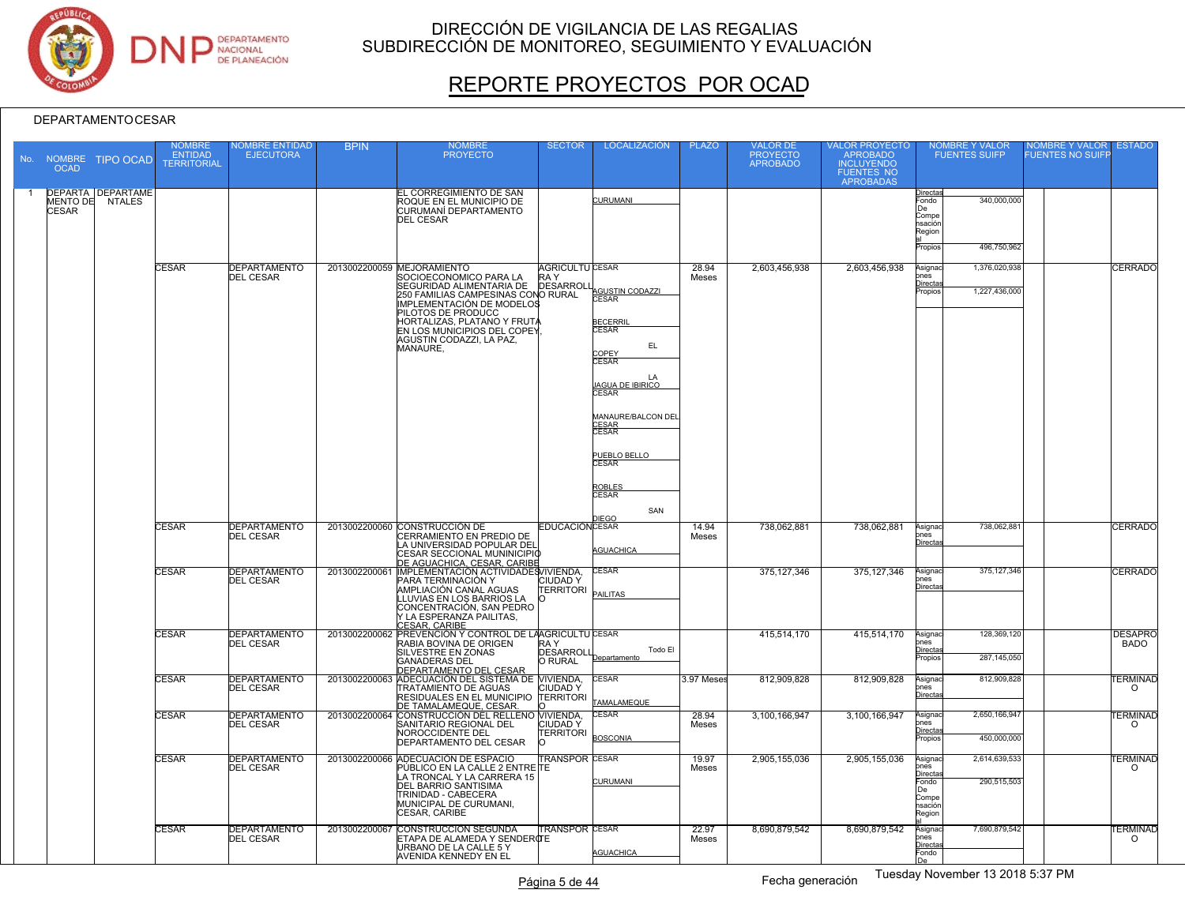

# REPORTE PROYECTOS POR OCAD

|    | No. NOMBRE<br><b>OCAD</b> | <b>TIPO OCAD</b>                            | NOMBRE<br><b>ENTIDAD</b><br><b>TERRITORIAL</b> | <b>IOMBRE ENTIDAD</b><br><b>EJECUTORA</b> | <b>BPIN</b>   | <b>NOMBRE</b><br><b>PROYECTO</b>                                                                                                                                                                                                                                                       | <b>SECTOR</b>                                     | <b>LOCALIZACIÓN</b>                                                                                                                                                                                                           | <b>PLAZO</b>   | <b>VALOR DE</b><br>PROYECTO<br>APROBADO | VALOR PROYECTO<br>APROBADO<br><b>INCLUYENDO</b><br>FUENTES NO<br>APROBADAS | NOMBRE Y VALOR<br><b>FUENTES SUIFP</b>                                                                  | <b>NOMBRE Y VALOR</b><br><b>ESTADO</b><br><b>UENTES NO SUIFF</b> |
|----|---------------------------|---------------------------------------------|------------------------------------------------|-------------------------------------------|---------------|----------------------------------------------------------------------------------------------------------------------------------------------------------------------------------------------------------------------------------------------------------------------------------------|---------------------------------------------------|-------------------------------------------------------------------------------------------------------------------------------------------------------------------------------------------------------------------------------|----------------|-----------------------------------------|----------------------------------------------------------------------------|---------------------------------------------------------------------------------------------------------|------------------------------------------------------------------|
| -1 | <b>CESAR</b>              | <b>DEPARTA DEPARTAME</b><br>MENTO DE NTALES |                                                |                                           |               | <b>EL CORREGIMIENTO DE SAN</b><br>ROQUE EN EL MUNICIPIO DE<br>CURUMANÍ DEPARTAMENTO<br><b>DEL CESAR</b>                                                                                                                                                                                |                                                   | <b>CURUMANI</b>                                                                                                                                                                                                               |                |                                         |                                                                            | Directas<br>340,000,000<br>-ondo<br>De<br>Compe<br>ısación<br>Region<br>Propios<br>496,750,962          |                                                                  |
|    |                           |                                             | <b>CESAR</b>                                   | <b>DEPARTAMENTO</b><br><b>DEL CESAR</b>   |               | 2013002200059 MEJORAMIENTO<br>SOCIOECONOMICO PARA LA<br>SEGURIDAD ALIMENTARIA DE<br>250 FAMILIAS CAMPESINAS CONO RURAL<br><b>IMPLEMENTACIÓN DE MODELOS</b><br>PILOTOS DE PRODUCC<br>HORTALIZAS, PLATANO Y FRUTA<br>EN LOS MUNICIPIOS DEL COPEY<br>AGUSTIN CODAZZI, LA PAZ,<br>MANAURE, | <b>AGRICULTU CESAR</b><br>RA Y<br><b>DESARROL</b> | AGUSTIN CODAZZI<br>CESAR<br><b>BECERRI</b><br>CESAR<br>EL.<br>COPFY<br><b>CESAR</b><br>I.A<br><b>AGUA DE IBIRICO</b><br><b>CESAR</b><br>MANAURE/BALCON DEL<br>CESAR<br><b>CESAR</b><br>PUEBLO BELLO<br>ROBLES<br>CESAR<br>SAN | 28.94<br>Meses | 2.603.456.938                           | 2.603.456.938                                                              | 1,376,020,938<br>Asignac<br>nes<br>Directa<br>1,227,436,000<br>opios                                    | <b>CERRADO</b>                                                   |
|    |                           |                                             | <b>CESAR</b>                                   | <b>DEPARTAMENTO</b><br><b>DEL CESAR</b>   |               | 2013002200060 CONSTRUCCIÓN DE<br>CERRAMIENTO EN PREDIO DE<br>LA UNIVERSIDAD POPULAR DEL<br>CESAR SECCIONAL MUNINICIPIO<br>DE AGUACHICA, CESAR, CARIBE                                                                                                                                  | <b>EDUCACIÓNCESAR</b>                             | <b>IEGO</b><br><b>AGUACHICA</b>                                                                                                                                                                                               | 14.94<br>Meses | 738,062,881                             | 738,062,881                                                                | 738.062.881<br>Asignac<br>nes<br>Directa                                                                | <b>CERRADO</b>                                                   |
|    |                           |                                             | <b>CESAR</b>                                   | <b>DEPARTAMENTO</b><br><b>DEL CESAR</b>   | 2013002200061 | IMPLEMENTACIÓN ACTIVIDADES VIVIENDA,<br>PARA TERMINACIÓN Y<br>AMPLIACIÓN CANAL AGUAS<br>LLUVIAS EN LOS BARRIOS LA<br>CONCENTRACIÓN, SAN PEDRO<br>Y LA ESPERANZA PAILITAS.<br>CESAR, CARIBE                                                                                             | <b>CIUDADY</b><br><b>TERRITORI</b>                | <b>CESAR</b><br><b>PAILITAS</b>                                                                                                                                                                                               |                | 375, 127, 346                           | 375, 127, 346                                                              | 375, 127, 346<br>Asignac<br>ones<br>Directa                                                             | <b>CERRADO</b>                                                   |
|    |                           |                                             | CESAR                                          | <b>DEPARTAMENTO</b><br><b>DEL CESAR</b>   |               | 2013002200062 PREVENCIÓN Y CONTROL DE LAAGRICULTU CESAR<br>RABIA BOVINA DE ORIGEN<br>SILVESTRE EN ZONAS<br><b>GANADERAS DEL</b><br>DEPARTAMENTO DEL CESAR                                                                                                                              | <b>RAY</b><br><b>DESARROLL</b><br><b>O RURAL</b>  | Todo El<br>Departamento                                                                                                                                                                                                       |                | 415,514,170                             | 415,514,170                                                                | 128,369,120<br>Asignac<br>nes<br>Directas<br>287,145,050<br>opios                                       | <b>DESAPRO</b><br><b>BADO</b>                                    |
|    |                           |                                             | CESAR                                          | <b>DEPARTAMENTO</b><br><b>DEL CESAR</b>   |               | 2013002200063 ADECUACIÓN DEL SISTEMA DE VIVIENDA,<br>TRATAMIENTO DE AGUAS<br>RESIDUALES EN EL MUNICIPIO TERRITORI<br>DE TAMALAMEQUE, CESAR.                                                                                                                                            | <b>CIUDAD Y</b>                                   | <b>CESAR</b><br><b>AMALAMEQUE</b>                                                                                                                                                                                             | 3.97 Meses     | 812,909,828                             | 812,909,828                                                                | 812,909,828<br>Asignac<br>nes<br>Directa                                                                | <b>TERMINAD</b><br>$\circ$                                       |
|    |                           |                                             | <b>CESAR</b>                                   | <b>DEPARTAMENTO</b><br><b>DEL CESAR</b>   | 2013002200064 | CONSTRUCCIÓN DEL RELLENO VIVIENDA,<br>SANITARIO REGIONAL DEL<br>NOROCCIDENTE DEL<br>DEPARTAMENTO DEL CESAR                                                                                                                                                                             | <b>CIUDAD Y</b><br>TERRITORI                      | <b>CESAR</b><br><b>BOSCONIA</b>                                                                                                                                                                                               | 28.94<br>Meses | 3,100,166,947                           | 3,100,166,947                                                              | 2,650,166,947<br>Asignac<br>nes<br>Directa<br>450,000,000<br>ropios                                     | TERMINAD<br>$\circ$                                              |
|    |                           |                                             | <b>CESAR</b>                                   | <b>DEPARTAMENTO</b><br><b>DEL CESAR</b>   | 2013002200066 | ADECUACIÓN DE ESPACIO<br>PÚBLICO EN LA CALLE 2 ENTRE ITE<br>LA TRONCAL Y LA CARRERA 15<br><b>DEL BARRIO SANTISIMA</b><br><b>TRINIDAD - CABECERA</b><br>MUNICIPAL DE CURUMANI,<br>CESAR, CARIBE                                                                                         | <b>TRANSPOR CESAR</b>                             | <b>CURUMANI</b>                                                                                                                                                                                                               | 19.97<br>Meses | 2,905,155,036                           | 2,905,155,036                                                              | 2,614,639,533<br>Asignac<br>nes<br>Directa<br>290,515,503<br>Fondo<br>De.<br>Compe<br>ısación<br>Region | <b>TERMINAD</b><br>$\Omega$                                      |
|    |                           |                                             | <b>CESAR</b>                                   | <b>DEPARTAMENTO</b><br>DEL CESAR          | 2013002200067 | CONSTRUCCIÓN SEGUNDA<br>ETAPA DE ALAMEDA Y SENDERQTE<br>URBANO DE LA CALLE 5 Y<br><b>AVENIDA KENNEDY EN EL</b>                                                                                                                                                                         | <b>TRANSPOR CESAR</b>                             | <b>AGUACHICA</b>                                                                                                                                                                                                              | 22.97<br>Meses | 8.690.879.542                           | 8.690.879.542                                                              | 7,690,879,542<br>Asignac<br>nes<br>Directa<br>-ondo<br>De.                                              | <b>TERMINAD</b><br>$\circ$                                       |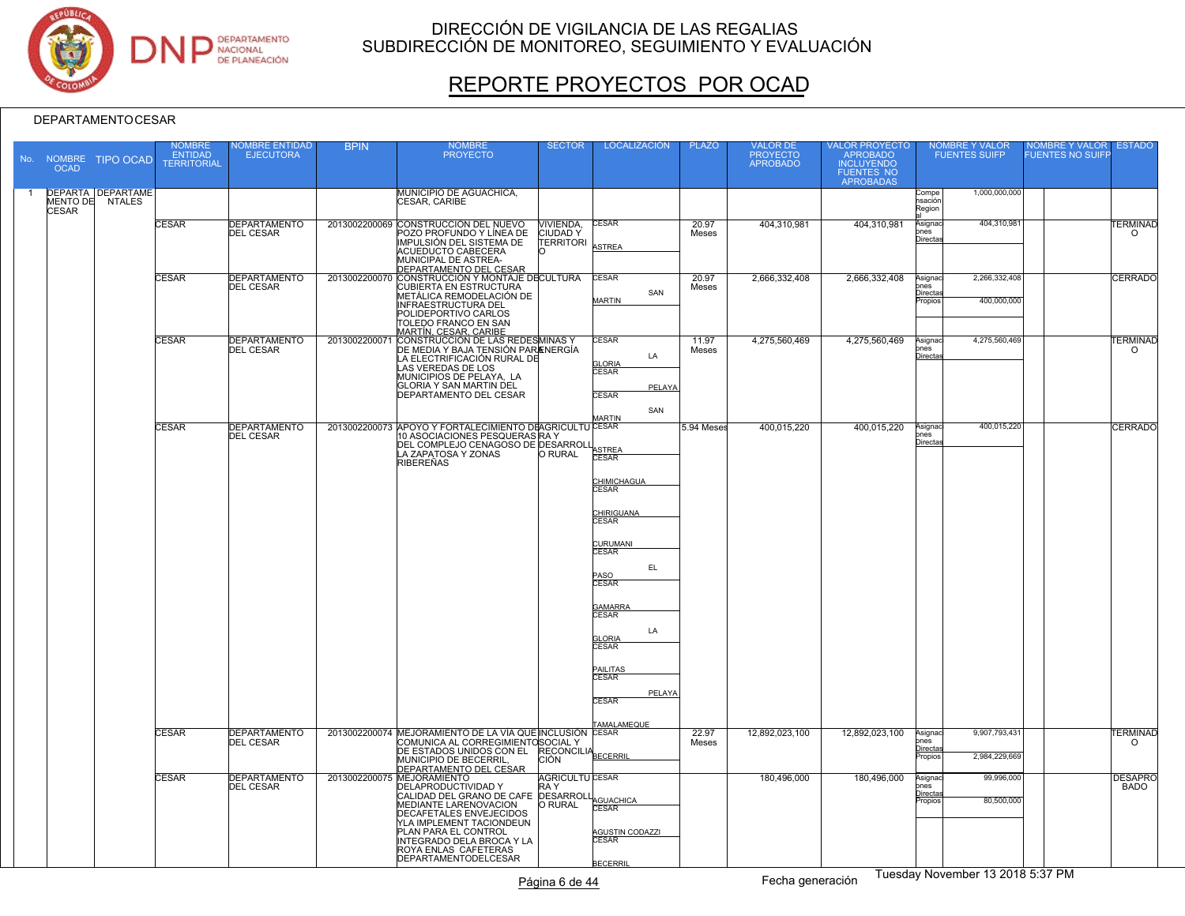

# REPORTE PROYECTOS POR OCAD

#### DEPARTAMENTOCESAR

|                | <b>OCAD</b>  | No. NOMBRE TIPO OCAD                        | <b>NOMBRE</b><br><b>ENTIDAD</b><br><b>TERRITORIAL</b> | <b>IOMBRE ENTIDAD</b><br><b>EJECUTORA</b> | <b>BPIN</b>   | <b>NOMBRE</b><br><b>PROYECTO</b>                                                                                                                                                                                                                                                     | <b>SECTOR</b>                                   | <b>LOCALIZACIÓN</b>                                                                                                                                                                                                                                     | <b>PLAZO</b>   | VALOR DE<br>PROYECTO<br>APROBADO | VALOR PROYECTO<br>APROBADO<br>INCLUYENDO<br>FUENTES NO<br>APROBADAS |                                                    | <b>NOMBRE Y VALOR</b><br><b>FUENTES SUIFP</b> | <b>VOMBRE Y VALOR</b><br>UENTES NO SUIFI | <b>ESTADO</b>                      |
|----------------|--------------|---------------------------------------------|-------------------------------------------------------|-------------------------------------------|---------------|--------------------------------------------------------------------------------------------------------------------------------------------------------------------------------------------------------------------------------------------------------------------------------------|-------------------------------------------------|---------------------------------------------------------------------------------------------------------------------------------------------------------------------------------------------------------------------------------------------------------|----------------|----------------------------------|---------------------------------------------------------------------|----------------------------------------------------|-----------------------------------------------|------------------------------------------|------------------------------------|
| $\overline{1}$ | <b>CESAR</b> | <b>DEPARTA DEPARTAME</b><br>MENTO DE NTALES |                                                       |                                           |               | <b>MUNICIPIO DE AGUACHICA,</b><br>CESAR, CARIBE                                                                                                                                                                                                                                      |                                                 |                                                                                                                                                                                                                                                         |                |                                  |                                                                     | Compe<br>nsación<br>Region                         | 1,000,000,000                                 |                                          |                                    |
|                |              |                                             | <b>CESAR</b>                                          | DEPARTAMENTO<br><b>DEL CESAR</b>          |               | 2013002200069 CONSTRUCCIÓN DEL NUEVO<br>POZO PROFUNDO Y LÍNEA DE<br>IMPULSIÓN DEL SISTEMA DE<br>ACUEDUCTO CABECERA<br>MUNICIPAL DE ASTREA-<br>DEPARTAMENTO DEL CESAR                                                                                                                 | VIVIENDA,<br><b>CIUDADY</b><br><b>TERRITORI</b> | <b>CESAR</b><br>ASTREA                                                                                                                                                                                                                                  | 20.97<br>Meses | 404,310,981                      | 404,310,981                                                         | Asigna<br>ones<br>Directa                          | 404,310,981                                   |                                          | <b><i>TERMINAD</i></b><br>$\Omega$ |
|                |              |                                             | <b>CESAR</b>                                          | <b>DEPARTAMENTO</b><br><b>DEL CESAR</b>   |               | 2013002200070 CONSTRUCCIÓN Y MONTAJE DECULTURA<br>CUBIERTA EN ESTRUCTURA<br>METÁLICA REMODELACIÓN DE<br><b>INFRAESTRUCTURA DEL</b><br>POLIDEPORTIVO CARLOS<br>TOLEDO FRANCO EN SAN                                                                                                   |                                                 | <b>CESAR</b><br>SAN<br><b>MARTIN</b>                                                                                                                                                                                                                    | 20.97<br>Meses | 2,666,332,408                    | 2,666,332,408                                                       | Asignac<br>ones<br>Directas<br>Propios             | 2,266,332,408<br>400,000,000                  |                                          | <b>CERRADO</b>                     |
|                |              |                                             | CESAR                                                 | <b>DEPARTAMENTO</b><br><b>DEL CESAR</b>   | 2013002200071 | MARTÍN, CESAR, CARIBE<br>CONSTRUCCIÓN DE LAS REDESMINAS Y<br>DE MEDIA Y BAJA TENSIÓN PARAENERGÍA<br>LA ELECTRIFICACIÓN RURAL DE<br>LAS VEREDAS DE LOS<br>MUNICIPIOS DE PELAYA, LA<br><b>GLORIA Y SAN MARTIN DEL</b><br><b>DEPARTAMENTO DEL CESAR</b>                                 |                                                 | CESAR<br>LA<br><b>GLORIA</b><br>CESAR<br>PELAYA<br><b>CESAR</b><br>SAN                                                                                                                                                                                  | 11.97<br>Meses | 4,275,560,469                    | 4,275,560,469                                                       | Asignac<br>nnes<br>Directa                         | 4,275,560,469                                 |                                          | <b><i>FERMINAD</i></b><br>$\circ$  |
|                |              |                                             | <b>CESAR</b>                                          | <b>DEPARTAMENTO</b><br><b>DEL CESAR</b>   |               | 2013002200073 APOYO Y FORTALECIMIENTO DEAGRICULTU CESAR<br>10 ASOCIACIONES PESQUERAS RAY<br>DEL COMPLEJO CENAGOSO DE DESARROLI<br>LA ZAPATOSA Y ZONAS<br><b>RIBEREÑAS</b>                                                                                                            | O RURAL                                         | <b>ARTIN</b><br>ASTREA<br>CHIMICHAGUA<br><b>CESAR</b><br><b>CHIRIGUANA</b><br><b>CESAR</b><br>CURUMANI<br>CESAR<br>EL.<br>PASO<br>CESAR<br><b>GAMARRA</b><br>CESAR<br>LA<br><b>LORIA</b><br><b>CESAR</b><br>PAILITAS<br>CESAR<br>PELAYA<br><b>CESAR</b> | 5.94 Meses     | 400,015,220                      | 400,015,220                                                         | Asignac<br>ones<br>Directa                         | 400,015,220                                   |                                          | <b>CERRADO</b>                     |
|                |              |                                             | <b>CESAR</b>                                          | <b>DEPARTAMENTO</b><br><b>DEL CESAR</b>   |               | 2013002200074 MEJORAMIENTO DE LA VÍA QUE INCLUSIÓN CESAR<br>COMUNICA AL CORREGIMIENTOSOCIAL Y<br>DE ESTADOS UNIDOS CON EL RECONCILIA<br>MUNICIPIO DE BECERRIL,<br><b>DEPARTAMENTO DEL CESAR</b>                                                                                      | <b>CIÓN</b>                                     | <b>TAMALAMEQUE</b>                                                                                                                                                                                                                                      | 22.97<br>Meses | 12,892,023,100                   | 12,892,023,100                                                      | Asignac<br>ones<br>Directas<br><sup>2</sup> ropios | 9,907,793,431<br>2,984,229,669                |                                          | <b>TERMINAD</b><br>$\circ$         |
|                |              |                                             | <b>CESAR</b>                                          | <b>DEPARTAMENTO</b><br>DEL CESAR          |               | 2013002200075 MEJORAMIENTO<br>DELAPRODUCTIVIDAD Y<br>CALIDAD DEL GRANO DE CAFE DESARROLL<br>MEDIANTE LARENOVACION<br><b>DECAFETALES ENVEJECIDOS</b><br>YLA IMPLEMENT TACIONDEUN<br>PLAN PARA EL CONTROL<br>INTEGRADO DELA BROCA Y LA<br>ROYA ENLAS CAFETERAS<br>DEPARTAMENTODELCESAR | <b>AGRICULTU CESAR</b><br>RA Y<br>O RURAL       | AGUACHICA<br><b>CESAR</b><br><b>AGUSTIN CODAZZI</b><br><b>ESAR</b><br><b>BECERRIL</b>                                                                                                                                                                   |                | 180,496,000                      | 180,496,000                                                         | Asignac<br>ones<br><u>Directas</u><br>Propios      | 99,996,000<br>80,500,000                      |                                          | <b>DESAPRO</b><br><b>BADO</b>      |

Página 6 de 44 Fecha generación Tuesday November 13 2018 5:37 PM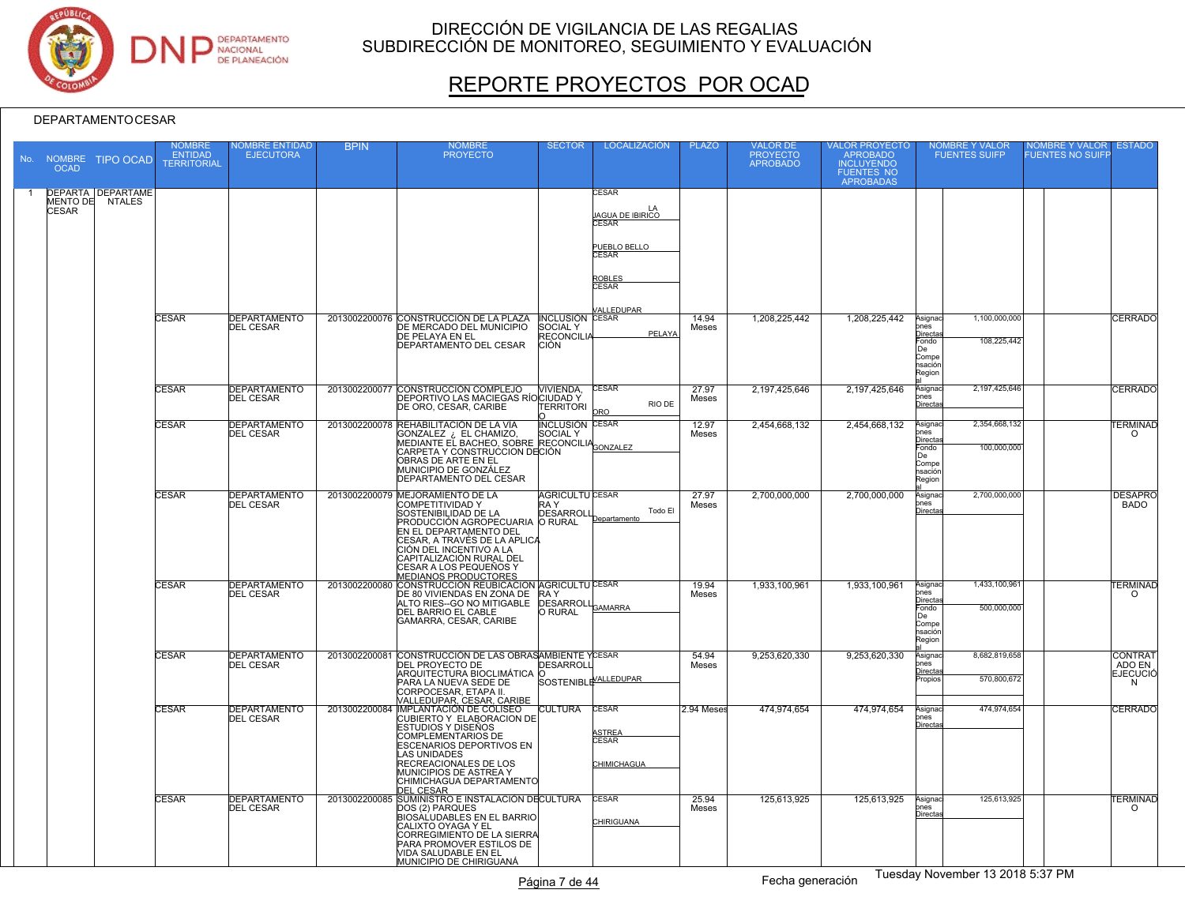

# REPORTE PROYECTOS POR OCAD

| <b>OCAD</b>  | No. NOMBRE TIPO OCAD                        | NOMBRE<br><b>ENTIDAD</b><br><b>TERRITORIAL</b> | <b>IOMBRE ENTIDAD</b><br><b>EJECUTORA</b> | <b>BPIN</b>   | NOMBRE<br><b>PROYECTO</b>                                                                                                                                                                                                                                                                   | <b>SECTOR</b>                                                          | <b>LOCALIZACIÓN</b>                                         | <b>PLAZO</b>   | VALOR DE<br>PROYECTO<br><b>APROBADO</b> | VALOR PROYECTO<br>APROBADO<br><b>INCLUYENDO</b><br>FUENTES NO<br>APROBADAS | <b>NOMBRE Y VALOR</b><br><b>FUENTES SUIFP</b>                                                                  | NOMBRE Y VALOR<br><b>FUENTES NO SUIFP</b> | <b>ESTADO</b>                                    |
|--------------|---------------------------------------------|------------------------------------------------|-------------------------------------------|---------------|---------------------------------------------------------------------------------------------------------------------------------------------------------------------------------------------------------------------------------------------------------------------------------------------|------------------------------------------------------------------------|-------------------------------------------------------------|----------------|-----------------------------------------|----------------------------------------------------------------------------|----------------------------------------------------------------------------------------------------------------|-------------------------------------------|--------------------------------------------------|
| <b>CESAR</b> | <b>DEPARTA DEPARTAME</b><br>MENTO DE NTALES |                                                |                                           |               |                                                                                                                                                                                                                                                                                             |                                                                        | CESAR<br>LA<br><b>AGUA DE IBIRICO</b><br>`FSAR              |                |                                         |                                                                            |                                                                                                                |                                           |                                                  |
|              |                                             |                                                |                                           |               |                                                                                                                                                                                                                                                                                             |                                                                        | PUEBLO BELLO<br>CESAR<br>ROBLES<br>CESAR                    |                |                                         |                                                                            |                                                                                                                |                                           |                                                  |
|              |                                             | <b>CESAR</b>                                   | <b>DEPARTAMENTO</b><br><b>DEL CESAR</b>   |               | 2013002200076 CONSTRUCCIÓN DE LA PLAZA<br>DE MERCADO DEL MUNICIPIO<br>DE PELAYA EN EL<br><b>DEPARTAMENTO DEL CESAR</b>                                                                                                                                                                      | <b>INCLUSIÓN CESAR</b><br>SOCIAL Y<br><b>RECONCILIA</b><br><b>CIÓN</b> | ALLEDUPAR<br>PELAYA                                         | 14.94<br>Meses | 1,208,225,442                           | 1,208,225,442                                                              | 1,100,000,000<br>Asignac<br>ones<br>Directa<br>108,225,442<br>Fondo<br>De<br>Compe<br>nsación<br>Region        |                                           | <b>CERRADO</b>                                   |
|              |                                             | <b>CESAR</b>                                   | <b>DEPARTAMENTO</b><br><b>DEL CESAR</b>   |               | 2013002200077 CONSTRUCCIÓN COMPLEJO<br>DEPORTIVO LAS MACIEGAS RÍOCIUDAD Y<br>DE ORO, CESAR, CARIBE                                                                                                                                                                                          | <b>NIVIENDA.</b><br><b>TERRITORI</b>                                   | <b>CESAR</b><br><b>RIO DE</b>                               | 27.97<br>Meses | 2,197,425,646                           | 2,197,425,646                                                              | 2,197,425,646<br>Asignao<br>ones<br>Directa                                                                    |                                           | <b>CERRADO</b>                                   |
|              |                                             | <b>CESAR</b>                                   | <b>DEPARTAMENTO</b><br><b>DEL CESAR</b>   |               | 2013002200078 REHABILITACIÓN DE LA VÍA<br><b>RETABILITY CONTRACT CONTRACT SOCIAL Y<br/>GONZALEZ : EL BACHEO, SOBRE RECONCILIA</b><br>MEDIANTE EL BACHEO, SOBRE RECONCILIA<br>CARPETA Y CONSTRUCCION DECIÓN<br>OBRAS DE ARTE EN EL<br>MUNICIPIO DE GONZÁLEZ<br>DEPARTAMENTO DEL CESAR        | <b>INCLUSIÓN CESAR</b>                                                 |                                                             | 12.97<br>Meses | 2,454,668,132                           | 2,454,668,132                                                              | 2,354,668,132<br>Asignaci<br>nes<br><b>Directa</b><br>100.000.000<br>Fondo<br>Πe<br>Compe<br>nsación<br>Region |                                           | <b>TERMINAD</b><br>$\Omega$                      |
|              |                                             | <b>CESAR</b>                                   | <b>DEPARTAMENTO</b><br><b>DEL CESAR</b>   |               | 2013002200079 MEJORAMIENTO DE LA<br>COMPETITIVIDAD Y<br>SOSTENIBILIDAD DE LA<br>PRODUCCIÓN AGROPECUARIA O RURAL<br>EN EL DEPARTAMENTO DEL<br>ICESAR, A TRAVÉS DE LA APLICA<br>CIÓN DEL INCENTIVO A LA<br>CAPITALIZACIÓN RURAL DEL<br>ICESAR A LOS PEQUEÑOS Y<br><b>MEDIANOS PRODUCTORES</b> | <b>AGRICULTU CESAR</b><br>RA Y<br><b>DESARROLI</b>                     | Todo El<br>Departamento                                     | 27.97<br>Meses | 2,700,000,000                           | 2,700,000,000                                                              | 2,700,000,000<br>Asignac<br>nes<br><u>Directa</u>                                                              |                                           | <b>DESAPRO</b><br><b>BADO</b>                    |
|              |                                             | CESAR                                          | <b>DEPARTAMENTO</b><br><b>DEL CESAR</b>   | 2013002200080 | CONSTRUCCIÓN REUBICACION AGRICULTU CESAR<br>DE 80 VIVIENDAS EN ZONA DE<br>ALTO RIES--GO NO MITIGABLE<br>DEL BARRIO EL CABLE<br>GAMARRA, CESAR, CARIBE                                                                                                                                       | RA Y<br><b>EXA I</b><br>DESARROLL <sub>GAMARRA</sub>                   |                                                             | 19.94<br>Meses | 1.933.100.961                           | 1.933.100.961                                                              | 1,433,100,961<br>Asignac<br>ones<br><u>Directa</u><br>500,000,000<br>-ondo<br>De<br>Compe<br>nsación<br>Region |                                           | <b>TERMINAD</b><br>$\circ$                       |
|              |                                             | <b>CESAR</b>                                   | <b>DEPARTAMENTO</b><br><b>DEL CESAR</b>   |               | 2013002200081 CONSTRUCCIÓN DE LAS OBRASAMBIENTE YCESAR<br>DEL PROYECTO DE<br>ARQUITECTURA BIOCLIMÁTICA O<br>PARA LA NUEVA SEDE DE<br>CORPOCESAR, ETAPA II.<br>VALLEDUPAR, CESAR, CARIBE                                                                                                     | <b>DESARROLI</b><br>SOSTENIBLE <sup>VALLEDUPAR</sup>                   |                                                             | 54.94<br>Meses | 9,253,620,330                           | 9,253,620,330                                                              | 8,682,819,658<br>Asignac<br>ones<br>Directa<br>570,800,672<br>ropios                                           |                                           | <b>CONTRAT</b><br>ADO EN<br><b>EJECUCIÓ</b><br>N |
|              |                                             | <b>CESAR</b>                                   | <b>DEPARTAMENTO</b><br><b>DEL CESAR</b>   |               | 2013002200084 IMPLANTACIÓN DE COLISEO<br>CUBIERTO Y ELABORACION DE<br>ESTUDIOS Y DISEÑOS<br><b>COMPLEMENTARIOS DE</b><br>ESCENARIOS DEPORTIVOS EN<br>LAS UNIDADES<br>RECREACIONALES DE LOS<br>MUNICIPIOS DE ASTREA Y<br>CHIMICHAGUA DEPARTAMENTO<br><b>DEL CESAR</b>                        | <b>CULTURA</b>                                                         | <b>CESAR</b><br><b>STREA</b><br><b>CESAR</b><br>CHIMICHAGUA | 2.94 Meses     | 474,974,654                             | 474,974,654                                                                | 474,974,654<br>Asignac<br>ones<br>Directa                                                                      |                                           | <b>CERRADO</b>                                   |
|              |                                             | <b>CESAR</b>                                   | <b>DEPARTAMENTO</b><br><b>DEL CESAR</b>   |               | 2013002200085 SUMINISTRO E INSTALACIÓN DECULTURA<br>DOS (2) PARQUES<br>BIOSÀLUDABLES EN EL BARRIO<br>CALIXTO OYAGA Y EL<br>CORREGIMIENTO DE LA SIERRA<br>PARA PROMOVER ESTILOS DE<br>VIDA SALUDABLE EN EL<br>MUNICIPIO DE CHIRIGUANÁ                                                        |                                                                        | <b>CESAR</b><br><b>CHIRIGUANA</b>                           | 25.94<br>Meses | 125,613,925                             | 125,613,925                                                                | 125,613,925<br>Asignaci<br>ones<br>Directa                                                                     |                                           | <b>TERMINAD</b><br>$\Omega$                      |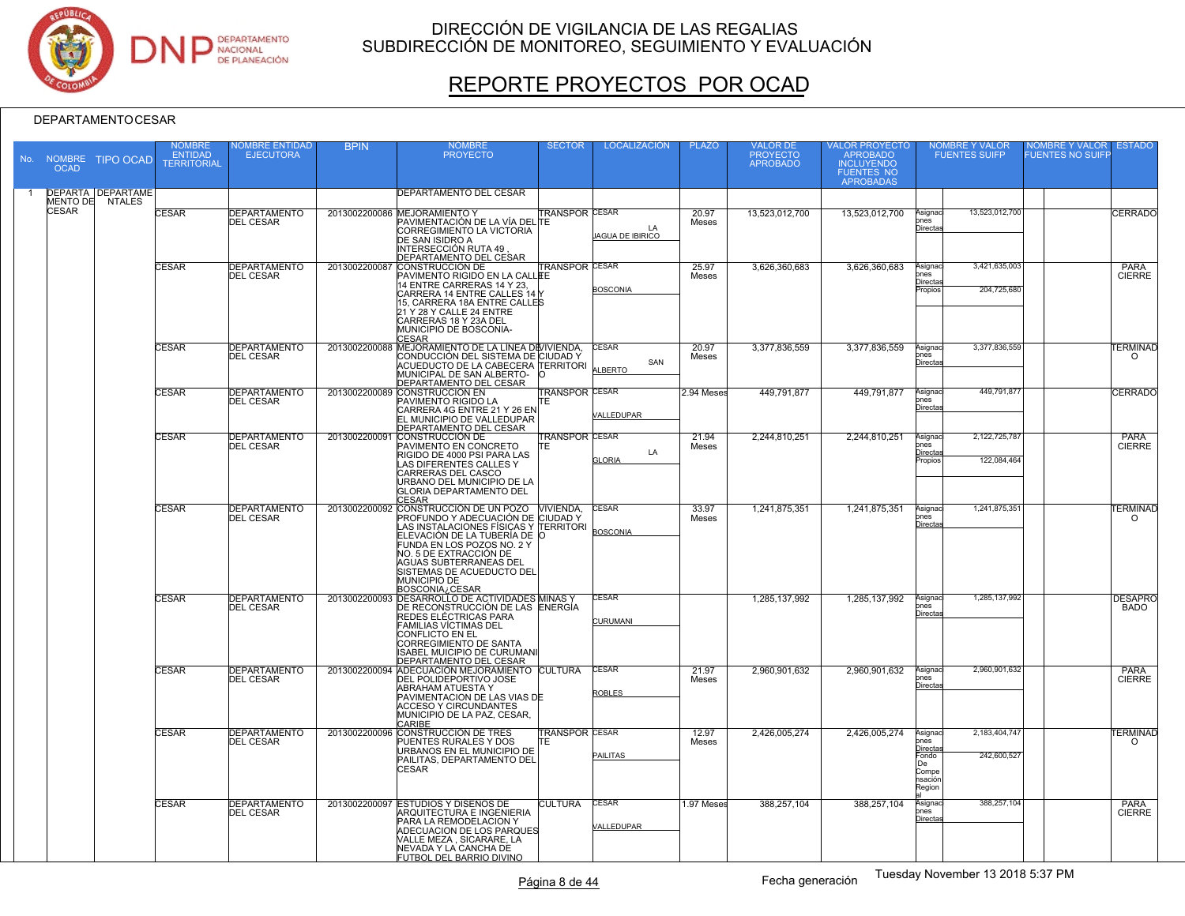

# REPORTE PROYECTOS POR OCAD

| No. | <b>OCAD</b>  | NOMBRE TIPO OCAD                   | NOMBRE<br><b>ENTIDAD</b><br><b>TERRITORIAL</b> | <b>IOMBRE ENTIDAD</b><br><b>EJECUTORA</b> | <b>BPIN</b>   | <b>NOMBRE</b><br><b>PROYECTO</b>                                                                                                                                                                                                                                                                    | <b>SECTOR</b>                 | <b>LOCALIZACIÓN</b>           | <b>PLAZO</b>   | VALOR DE<br>PROYECTO<br><b>APROBADO</b> | VALOR PROYECTO<br>APROBADO<br><b>INCLUYENDO</b><br><b>FUENTES NO</b><br><b>APROBADAS</b> |                                                                                  | NOMBRE Y VALOR<br>FUENTES SUIFP | <b>NOMBRE Y VALOR</b><br><b>ESTADO</b><br><b>FUENTES NO SUIFF</b> |
|-----|--------------|------------------------------------|------------------------------------------------|-------------------------------------------|---------------|-----------------------------------------------------------------------------------------------------------------------------------------------------------------------------------------------------------------------------------------------------------------------------------------------------|-------------------------------|-------------------------------|----------------|-----------------------------------------|------------------------------------------------------------------------------------------|----------------------------------------------------------------------------------|---------------------------------|-------------------------------------------------------------------|
|     | MENTO DE     | <b>DEPARTA DEPARTAME</b><br>NTALES |                                                |                                           |               | DEPARTAMENTO DEL CESAR                                                                                                                                                                                                                                                                              |                               |                               |                |                                         |                                                                                          |                                                                                  |                                 |                                                                   |
|     | <b>CESAR</b> |                                    | <b>CESAR</b>                                   | <b>DEPARTAMENTO</b><br><b>DEL CESAR</b>   |               | 2013002200086 MEJORAMIENTO Y<br>PAVIMENTACIÓN DE LA VÍA DEL TE<br>CORREGIMIENTO LA VICTORIA<br>DE SAN ISIDRO A<br>INTERSECCIÓN RUTA 49<br>DEPARTAMENTO DEL CESAR                                                                                                                                    | <b>TRANSPOR CESAR</b>         | LA<br><b>AGUA DE IBIRICO</b>  | 20.97<br>Meses | 13,523,012,700                          | 13,523,012,700                                                                           | Asignac<br>ones<br>Directa                                                       | 13.523.012.700                  | CERRADO                                                           |
|     |              |                                    | <b>CESAR</b>                                   | <b>DEPARTAMENTO</b><br><b>DEL CESAR</b>   | 2013002200087 | CONSTRUCCIÓN DE<br>PAVIMENTO RIGIDO EN LA CALLEE<br>14 ENTRE CARRERAS 14 Y 23.<br>CARRERA 14 ENTRE CALLES 14<br>15, CARRERA 18A ENTRE CALLES<br>21 Y 28 Y CALLE 24 ENTRE<br>CARRERAS 18 Y 23A DEL<br>MUNICIPIO DE BOSCONIA-<br>CESAR                                                                | <b>FRANSPOR CESAR</b>         | <b>BOSCONIA</b>               | 25.97<br>Meses | 3,626,360,683                           | 3,626,360,683                                                                            | Asignaci<br>ones<br>Directas<br>Propios                                          | 3,421,635,003<br>204,725,680    | <b>PARA</b><br><b>CIERRE</b>                                      |
|     |              |                                    | <b>CESAR</b>                                   | <b>DEPARTAMENTO</b><br><b>DEL CESAR</b>   |               | 2013002200088 MEJORAMIENTO DE LA LÍNEA DEVIVIENDA,<br>CONDUCCIÓN DEL SISTEMA DE CIUDAD Y<br>ACUEDUCTO DE LA CABECERA TERRITORI<br>MUNICIPAL DE SAN ALBERTO-<br>DEPARTAMENTO DEL CESAR                                                                                                               |                               | <b>CESAR</b><br>SAN<br>LBERTO | 20.97<br>Meses | 3,377,836,559                           | 3,377,836,559                                                                            | Asignaci<br>ones<br>Directa                                                      | 3,377,836,559                   | <b>TERMINAD</b><br>$\Omega$                                       |
|     |              |                                    | <b>CESAR</b>                                   | <b>DEPARTAMENTO</b><br><b>DEL CESAR</b>   |               | 2013002200089 CONSTRUCCIÓN EN<br><b>PAVIMENTO RIGIDO LA</b><br>CARRERA 4G ENTRE 21 Y 26 EN<br>EL MUNICIPIO DE VALLEDUPAR<br>DEPARTAMENTO DEL CESAR                                                                                                                                                  | <b>TRANSPOR CESAR</b><br>TE   | /ALLEDUPAR                    | 2.94 Meses     | 449,791,877                             | 449,791,877                                                                              | Asignac<br>ones<br>Directa                                                       | 449,791,877                     | CERRADO                                                           |
|     |              |                                    | CESAR                                          | <b>DEPARTAMENTO</b><br><b>DEL CESAR</b>   | 2013002200091 | CONSTRUCCIÓN DE<br>PAVIMENTO EN CONCRETO<br>RIGIDO DE 4000 PSI PARA LAS<br>LAS DIFERENTES CALLES Y<br>CARRERAS DEL CASCO<br>URBANO DEL MUNICIPIO DE LA<br><b>GLORIA DEPARTAMENTO DEL</b><br><b>CESAR</b>                                                                                            | <b>TRANSPOR CESAR</b><br>lΤE. | LA<br><b>GLORIA</b>           | 21.94<br>Meses | 2,244,810,251                           | 2,244,810,251                                                                            | Asignac<br>ones<br>Directas<br>Propios                                           | 2,122,725,787<br>122.084.464    | <b>PARA</b><br><b>CIERRE</b>                                      |
|     |              |                                    | <b>CESAR</b>                                   | <b>DEPARTAMENTO</b><br><b>DEL CESAR</b>   |               | 2013002200092 CONSTRUCCIÓN DE UN POZO VIVIENDA,<br>PROFUNDO Y ADECUACIÓN DE CIUDAD Y<br>LAS INSTALACIONES FÍSICAS Y TERRITORI<br>ELEVACIÓN DE LA TUBERÍA DE O<br>FUNDA EN LOS POZOS NO. 2 Y<br>NO. 5 DE EXTRACCIÓN DE<br><b>AGUAS SUBTERRANEAS DEL</b><br>SISTEMAS DE ACUEDUCTO DEL<br>MUNICIPIO DE |                               | CESAR<br><b>BOSCONIA</b>      | 33.97<br>Meses | 1,241,875,351                           | 1,241,875,351                                                                            | Asignac<br>hnes<br>Directa                                                       | 1,241,875,351                   | <b><i>TERMINAD</i></b><br>$\circ$                                 |
|     |              |                                    | <b>CESAR</b>                                   | <b>DEPARTAMENTO</b><br><b>DEL CESAR</b>   |               | EOSCONIA / CESAR<br>2013002200093 DESARROLLO DE ACTIVIDADES MINAS y<br>DE RECONSTRUCCIÓN DE LAS ENERGÍA<br>REDES ELÉCTRICAS PARA<br><b>FAMILIAS VÍCTIMAS DEL</b><br><b>CONFLICTO EN EL</b><br>CORREGIMIENTO DE SANTA<br>ISABEL MUICIPIO DE CURUMANI<br><b>DEPARTAMENTO DEL CESAR</b>                |                               | CESAR<br><b>CURUMANI</b>      |                | 1,285,137,992                           | 1,285,137,992                                                                            | Asignac<br>ones<br>Directa                                                       | 1,285,137,992                   | <b>DESAPRO</b><br><b>BADO</b>                                     |
|     |              |                                    | <b>CESAR</b>                                   | <b>DEPARTAMENTO</b><br><b>DEL CESAR</b>   |               | 2013002200094 ADECUACIÓN MEJORAMIENTO CULTURA<br>DEL POLIDEPORTIVO JOSE<br><b>ABRAHAM ATUESTA Y</b><br>PAVIMENTACION DE LAS VIAS DE<br><b>ACCESO Y CIRCUNDANTES</b><br>MUNICIPIO DE LA PAZ, CESAR,<br>CARIBE                                                                                        |                               | <b>CESAR</b><br><b>ROBLES</b> | 21.97<br>Meses | 2,960,901,632                           | 2,960,901,632                                                                            | Asignac<br>ones<br>Directa                                                       | 2,960,901,632                   | PARA<br><b>CIERRE</b>                                             |
|     |              |                                    | <b>CESAR</b>                                   | <b>DEPARTAMENTO</b><br><b>DEL CESAR</b>   |               | 2013002200096 CONSTRUCCIÓN DE TRES<br>PUENTES RURALES Y DOS<br>URBANOS EN EL MUNICIPIO DE<br>PAILITAS, DEPARTAMENTO DEL<br><b>CESAR</b>                                                                                                                                                             | <b>TRANSPOR CESAR</b><br>lΤE. | PAILITAS                      | 12.97<br>Meses | 2,426,005,274                           | 2,426,005,274                                                                            | Asignaci<br>ones<br><u>Directa</u><br>Fondo<br>De.<br>Compe<br>nsación<br>Region | 2,183,404,747<br>242,600,527    | <b><i>TERMINAD</i></b><br>$\Omega$                                |
|     |              |                                    | <b>CESAR</b>                                   | DEPARTAMENTO<br><b>DEL CESAR</b>          |               | 2013002200097 ESTUDIOS Y DISEÑOS DE<br>ARQUITECTURA E INGENIERIA<br><b>PARA LA REMODELACION Y</b><br>ADECUACION DE LOS PARQUES<br>VALLE MEZA, SICARARE, LA<br>NEVADA Y LA CANCHA DE<br>FUTBOL DEL BARRIO DIVINO                                                                                     | <b>CULTURA</b>                | <b>CESAR</b><br>VALLEDUPAR    | 1.97 Meses     | 388,257,104                             | 388,257,104                                                                              | Asignac<br>ones<br>Directas                                                      | 388.257.104                     | <b>PARA</b><br><b>CIERRE</b>                                      |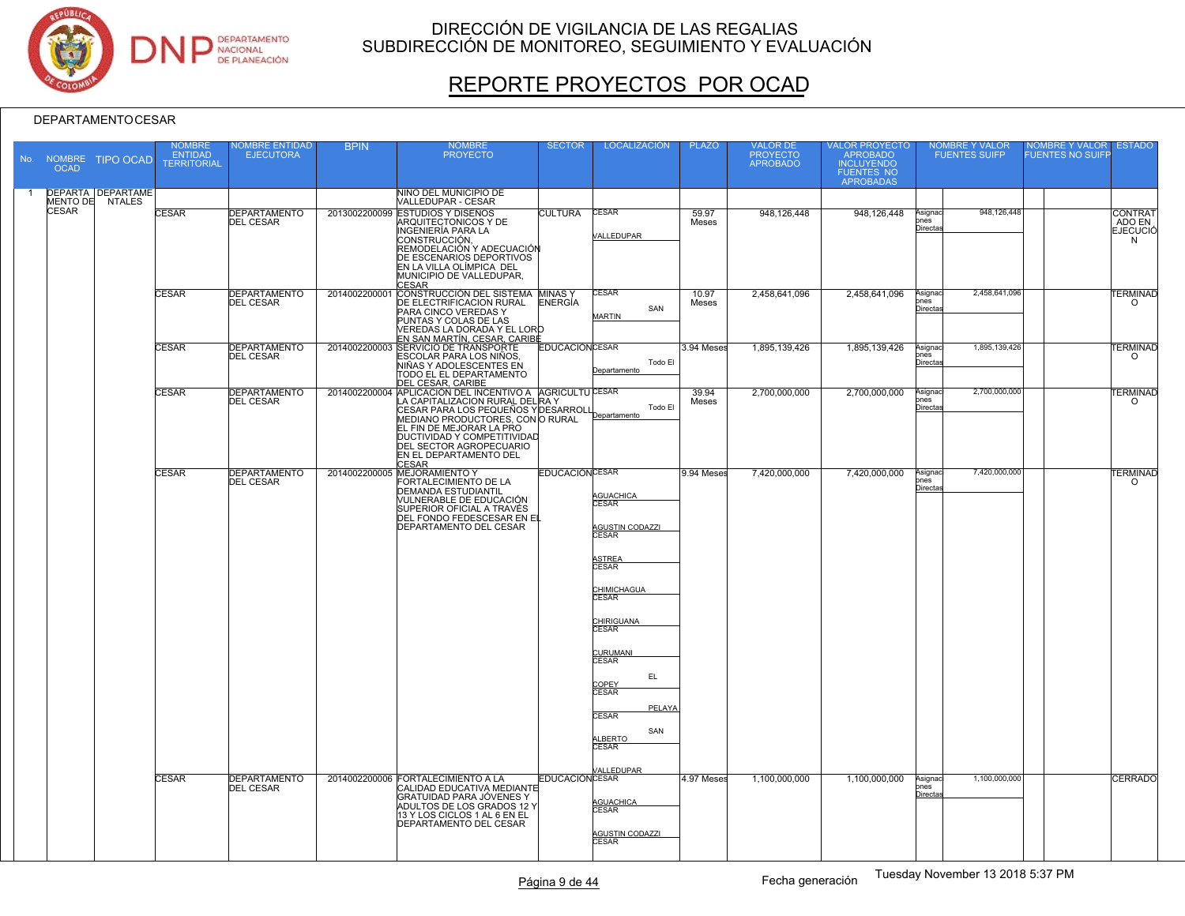

# REPORTE PROYECTOS POR OCAD

| <b>OCAD</b>  | No. NOMBRE TIPO OCAD                        | <b>NOMBRE</b><br><b>ENTIDAD</b><br><b>TERRITORIAL</b> | <b>JOMBRE ENTIDAD</b><br><b>EJECUTORA</b> | <b>BPIN</b>   | <b>NOMBRE</b><br><b>PROYECTO</b>                                                                                                                                                                                                                                                                                    | <b>SECTOR</b>         | <b>LOCALIZACIÓN</b>                                                                                                                                                                                                                                          | <b>PLAZO</b>   | <b>VALOR DE</b><br>PROYECTO<br>APROBADO | VALOR PROYECTO<br>APROBADO<br>INCLUYENDO<br>FUENTES NO<br>APROBADAS |                                          | <b>NOMBRE Y VALOR</b><br><b>FUENTES SUIFP</b> | <b>VOMBRE Y VALOR</b><br><b>FUENTES NO SUIFI</b> | <b>ESTADO</b>                      |
|--------------|---------------------------------------------|-------------------------------------------------------|-------------------------------------------|---------------|---------------------------------------------------------------------------------------------------------------------------------------------------------------------------------------------------------------------------------------------------------------------------------------------------------------------|-----------------------|--------------------------------------------------------------------------------------------------------------------------------------------------------------------------------------------------------------------------------------------------------------|----------------|-----------------------------------------|---------------------------------------------------------------------|------------------------------------------|-----------------------------------------------|--------------------------------------------------|------------------------------------|
|              | <b>DEPARTA DEPARTAME</b><br>MENTO DE NTALES |                                                       |                                           |               | NIÑO DEL MUNICIPIO DE<br>VALLEDUPAR - CESAR                                                                                                                                                                                                                                                                         |                       |                                                                                                                                                                                                                                                              |                |                                         |                                                                     |                                          |                                               |                                                  |                                    |
| <b>CESAR</b> |                                             | <b>CESAR</b>                                          | <b>DEPARTAMENTO</b><br><b>DEL CESAR</b>   |               | 2013002200099 ESTUDIOS Y DISEÑOS<br>ARQUITECTONICOS Y DE<br>INGENIERÍA PARA LA<br>CONSTRUCCIÓN,<br>REMODELACIÓN Y ADECUACIÓN<br>DE ESCENARIOS DEPORTIVOS<br>EN LA VILLA OLÍMPICA DEL<br>MUNICIPIO DE VALLEDUPAR,<br><b>CESAR</b>                                                                                    | <b>CULTURA</b>        | <b>CESAR</b><br>VALLEDUPAR                                                                                                                                                                                                                                   | 59.97<br>Meses | 948.126.448                             | 948,126,448                                                         | Asignac<br><b>pnes</b><br><b>Directa</b> | 948,126,448                                   |                                                  | CONTRAT<br>ADO EN<br>EJECUCIÓ<br>N |
|              |                                             | <b>CESAR</b>                                          | <b>DEPARTAMENTO</b><br><b>DEL CESAR</b>   | 2014002200001 | CONSTRUCCIÓN DEL SISTEMA MINAS Y<br>DE ELECTRIFICACION RURAL ENERGÍA<br><b>PARA CINCO VEREDAS Y</b><br>PUNTAS Y COLAS DE LAS<br>VEREDAS LA DORADA Y EL LORO<br><u>EN SAN MARTÍN, CESAR, CARIB⋢</u>                                                                                                                  | <b>ENERGÍA</b>        | CESAR<br>SAN<br>MARTIN                                                                                                                                                                                                                                       | 10.97<br>Meses | 2,458,641,096                           | 2,458,641,096                                                       | Asignac<br>ones<br><u>Directa</u>        | 2,458,641,096                                 |                                                  | <b><i>FERMINAD</i></b><br>$\circ$  |
|              |                                             | <b>CESAR</b>                                          | <b>DEPARTAMENTO</b><br><b>DEL CESAR</b>   |               | 2014002200003 SERVICIO DE TRANSPORTE<br>ESCOLAR PARA LOS NIÑOS,<br>NIÑAS Y ADOLESCENTES EN<br>TODO EL EL DEPARTAMENTO                                                                                                                                                                                               | <b>EDUCACIÓNCESAR</b> | Todo El<br>Departamento                                                                                                                                                                                                                                      | 3.94 Meses     | 1,895,139,426                           | 1,895,139,426                                                       | Asignaci<br>ones<br><b>Directa</b>       | 1,895,139,426                                 |                                                  | <b>ERMINAD</b><br>$\circ$          |
|              |                                             | <b>CESAR</b>                                          | <b>DEPARTAMENTO</b><br><b>DEL CESAR</b>   |               | DEL CESAR, CARIBE<br>2014002200004 APLICACIÓN DEL INCENTIVO A AGRICULTU CESAR<br>LA CAPITALIZACION RURAL DEL RA Y<br>CESAR PARA LOS PEQUEÑOS Y DESARROLI<br>MEDIANO PRODUCTORES, CON O RURAL<br>EL FIN DE MEJORAR LA PRO<br><b>DUCTIVIDAD Y COMPETITIVIDAD</b><br>DEL SECTOR AGROPECUARIO<br>EN EL DEPARTAMENTO DEL |                       | Todo El<br>Departamento                                                                                                                                                                                                                                      | 39.94<br>Meses | 2,700,000,000                           | 2,700,000,000                                                       | Asignac<br>ones<br>Directas              | 2,700,000,000                                 |                                                  | <b>ERMINAD</b><br>$\circ$          |
|              |                                             | CESAR                                                 | <b>DEPARTAMENTO</b><br><b>DEL CESAR</b>   |               | 2014002200005 MEJORAMIENTO Y<br>FORTALECIMIENTO DE LA<br><b>DEMANDA ESTUDIANTIL</b><br>VULNERABLE DE EDUCACIÓN<br>SUPERIOR OFICIAL A TRAVÉS<br>DEL FONDO FEDESCESAR EN EL<br>DEPARTAMENTO DEL CESAR                                                                                                                 | <b>EDUCACIÓNCESAR</b> | AGUACHICA<br><b>CESAR</b><br><b>AGUSTIN CODAZZI</b><br><b>CESAR</b><br>ASTREA<br>CESAR<br>CHIMICHAGUA<br><b>CESAR</b><br>CHIRIGUANA<br>CESAR<br>CURUMANI<br>CESAR<br>EL.<br>COPEY<br>CESAR<br>PELAYA<br><b>CESAR</b><br>SAN<br>ALBERTO<br>CESAR<br>ALLEDUPAR | 9.94 Meses     | 7,420,000,000                           | 7,420,000,000                                                       | Asignaci<br>ones<br><b>Directa</b>       | 7,420,000,000                                 |                                                  | <b><i>TERMINAD</i></b><br>$\circ$  |
|              |                                             | <b>CESAR</b>                                          | <b>DEPARTAMENTO</b><br><b>DEL CESAR</b>   |               | 2014002200006 FORTALECIMIENTO A LA<br>CALIDAD EDUCATIVA MEDIANTE<br>GRATUIDAD PARA JÓVENES Y<br>ADULTOS DE LOS GRADOS 12 Y<br>13 Y LOS CICLOS 1 AL 6 EN EL<br><b>DEPARTAMENTO DEL CESAR</b>                                                                                                                         | <b>EDUCACIÓNCESAR</b> | <b>AGUACHICA</b><br>CESAR<br>AGUSTIN CODAZZI<br>CESAR                                                                                                                                                                                                        | 4.97 Meses     | 1.100.000.000                           | 1,100,000,000                                                       | Asignac<br>ones<br><b>Directa</b>        | 1,100,000,000                                 |                                                  | <b>CERRADO</b>                     |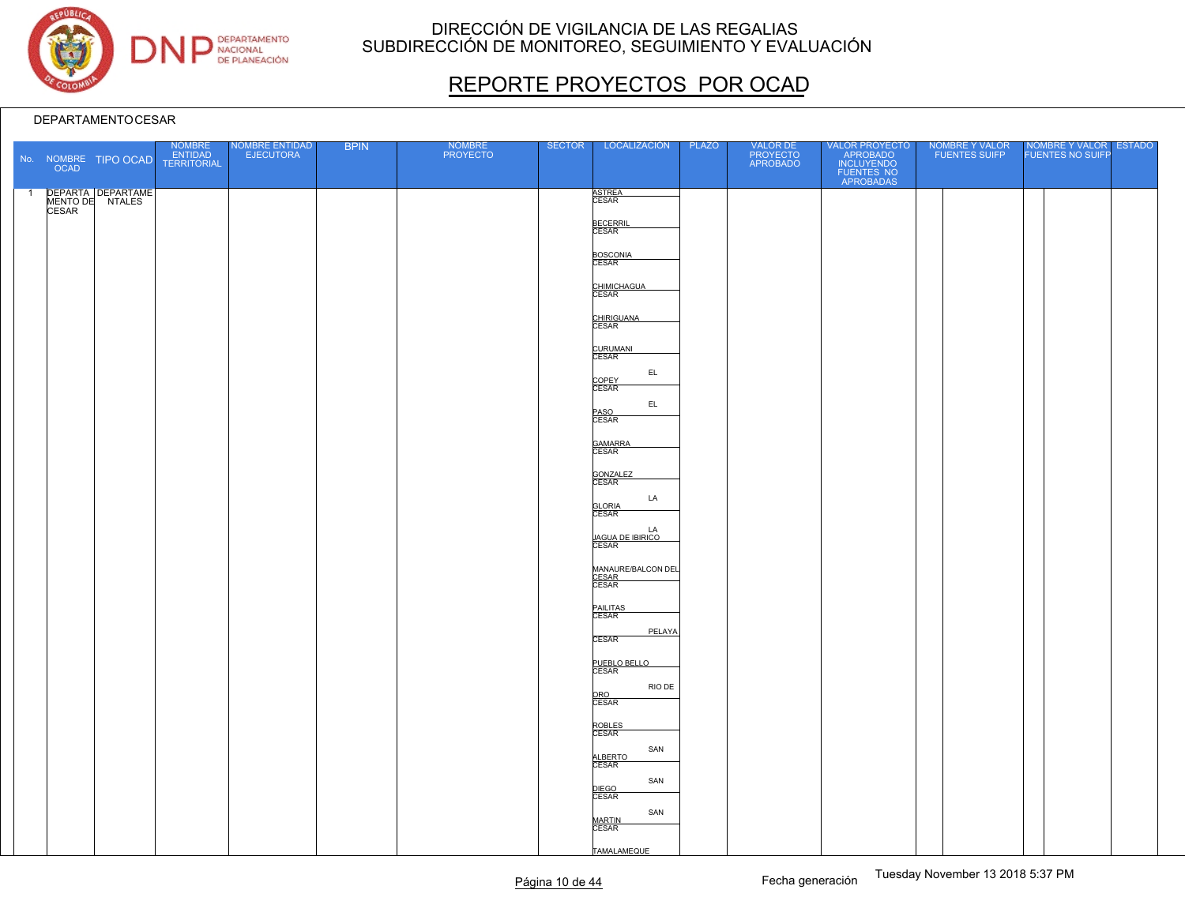

# REPORTE PROYECTOS POR OCAD

|                |              | No. NOMBRE TIPO OCAD | NOMBRE<br>ENTIDAD<br>TERRITORIAL | NOMBRE ENTIDAD<br>EJECUTORA | <b>BPIN</b> | <b>NOMBRE</b><br><b>PROYECTO</b> | <b>SECTOR</b> | LOCALIZACIÓN                           | <b>PLAZO</b> | VALOR DE<br>PROYECTO<br>APROBADO | VALOR PROYECTO<br>APROBADO<br>INCLUYENDO<br>FUENTES NO<br>APROBADAS | NOMBRE Y VALOR<br>FUENTES SUIFP | NOMBRE Y VALOR ESTADO<br>FUENTES NO SUIFP |  |
|----------------|--------------|----------------------|----------------------------------|-----------------------------|-------------|----------------------------------|---------------|----------------------------------------|--------------|----------------------------------|---------------------------------------------------------------------|---------------------------------|-------------------------------------------|--|
| $\overline{1}$ | <b>CESAR</b> | DEPARTA DEPARTAME    |                                  |                             |             |                                  |               | ASTREA<br>CESAR                        |              |                                  |                                                                     |                                 |                                           |  |
|                |              |                      |                                  |                             |             |                                  |               | <b>BECERRIL</b><br>CESAR               |              |                                  |                                                                     |                                 |                                           |  |
|                |              |                      |                                  |                             |             |                                  |               | BOSCONIA<br>CESAR                      |              |                                  |                                                                     |                                 |                                           |  |
|                |              |                      |                                  |                             |             |                                  |               | CHIMICHAGUA                            |              |                                  |                                                                     |                                 |                                           |  |
|                |              |                      |                                  |                             |             |                                  |               | CHIRIGUANA                             |              |                                  |                                                                     |                                 |                                           |  |
|                |              |                      |                                  |                             |             |                                  |               | CURUMANI<br>CESAR                      |              |                                  |                                                                     |                                 |                                           |  |
|                |              |                      |                                  |                             |             |                                  |               | EL<br>COPEY<br>CESAR                   |              |                                  |                                                                     |                                 |                                           |  |
|                |              |                      |                                  |                             |             |                                  |               | EL.<br>PASO<br>CESAR                   |              |                                  |                                                                     |                                 |                                           |  |
|                |              |                      |                                  |                             |             |                                  |               |                                        |              |                                  |                                                                     |                                 |                                           |  |
|                |              |                      |                                  |                             |             |                                  |               | GAMARRA<br>CESAR                       |              |                                  |                                                                     |                                 |                                           |  |
|                |              |                      |                                  |                             |             |                                  |               | GONZALEZ<br>CESAR<br>LA                |              |                                  |                                                                     |                                 |                                           |  |
|                |              |                      |                                  |                             |             |                                  |               | <b>GLORIA</b><br>CESAR                 |              |                                  |                                                                     |                                 |                                           |  |
|                |              |                      |                                  |                             |             |                                  |               | LA<br><u>JAGUA DE IBIRICO</u><br>CESAR |              |                                  |                                                                     |                                 |                                           |  |
|                |              |                      |                                  |                             |             |                                  |               | MANAURE/BALCON DEL<br>CESAR<br>CESAR   |              |                                  |                                                                     |                                 |                                           |  |
|                |              |                      |                                  |                             |             |                                  |               | PAILITAS<br>CESAR                      |              |                                  |                                                                     |                                 |                                           |  |
|                |              |                      |                                  |                             |             |                                  |               | PELAYA<br><b>CESAR</b>                 |              |                                  |                                                                     |                                 |                                           |  |
|                |              |                      |                                  |                             |             |                                  |               | PUEBLO BELLO                           |              |                                  |                                                                     |                                 |                                           |  |
|                |              |                      |                                  |                             |             |                                  |               | RIO DE<br>ORO<br>CESAR                 |              |                                  |                                                                     |                                 |                                           |  |
|                |              |                      |                                  |                             |             |                                  |               | ROBLES<br>CESAR                        |              |                                  |                                                                     |                                 |                                           |  |
|                |              |                      |                                  |                             |             |                                  |               | SAN<br>ALBERTO                         |              |                                  |                                                                     |                                 |                                           |  |
|                |              |                      |                                  |                             |             |                                  |               | SAN<br>DIEGO<br>CESAR                  |              |                                  |                                                                     |                                 |                                           |  |
|                |              |                      |                                  |                             |             |                                  |               | SAN<br>MARTIN<br>CESAR                 |              |                                  |                                                                     |                                 |                                           |  |
|                |              |                      |                                  |                             |             |                                  |               | TAMALAMEQUE                            |              |                                  |                                                                     |                                 |                                           |  |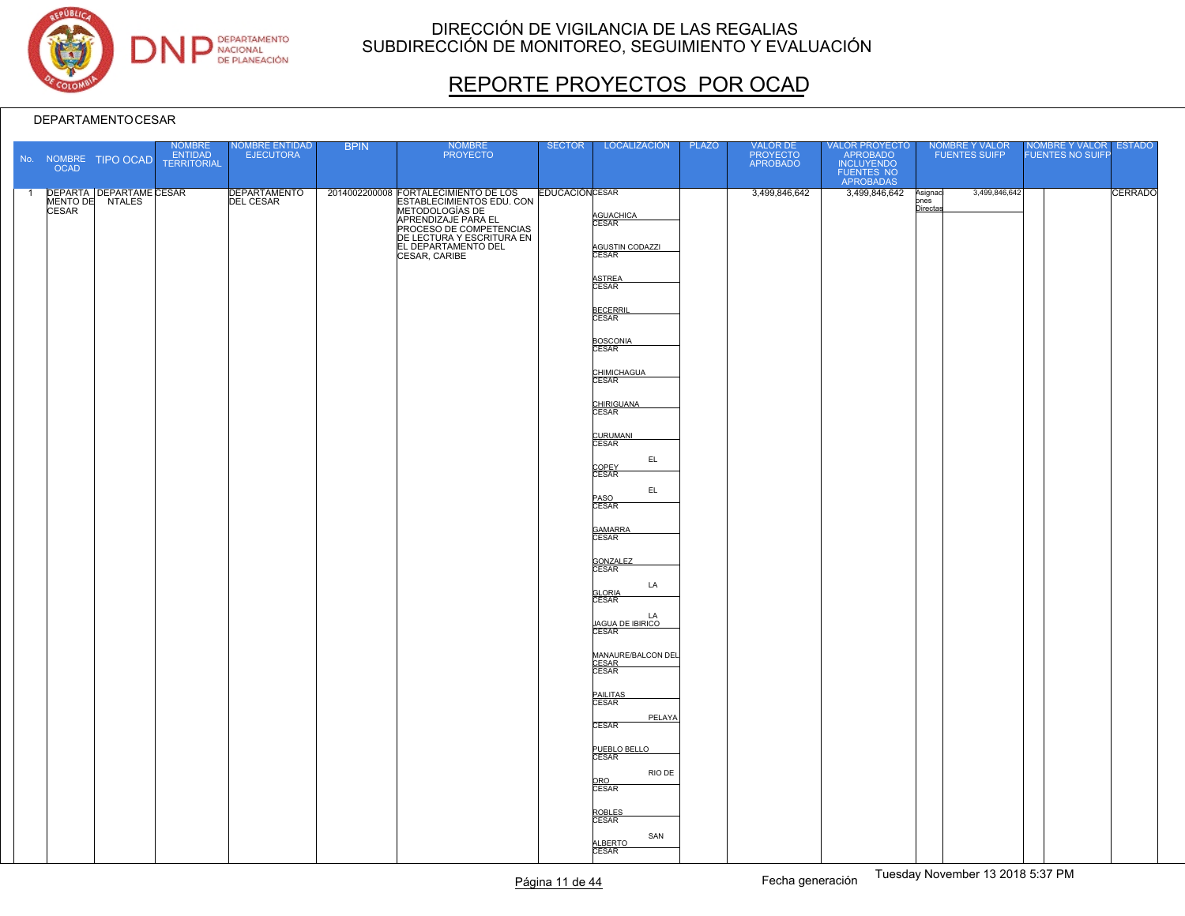

# REPORTE PROYECTOS POR OCAD

|                | <b>OCAD</b>  | No. NOMBRE TIPO OCAD                       | NOMBRE<br>ENTIDAD<br><b>TERRITORIAL</b> | NOMBRE ENTIDAD<br>EJECUTORA      | <b>BPIN</b> | NOMBRE<br>PROYECTO                                                                                                                                                                                                                 | <b>SECTOR</b> | LOCALIZACIÓN                                                                                                                                                                                                                                                                                                                                                                                                                                                                            | <b>PLAZO</b> | VALOR DE<br>PROYECTO<br>APROBADO | VALOR PROYECTO<br>APROBADO<br>INCLUYENDO<br>FUENTES NO<br>APROBADAS |                            | NOMBRE Y VALOR<br>FUENTES SUIFP | NOMBRE Y VALOR<br>FUENTES NO SUIFP | <b>ESTADO</b> |
|----------------|--------------|--------------------------------------------|-----------------------------------------|----------------------------------|-------------|------------------------------------------------------------------------------------------------------------------------------------------------------------------------------------------------------------------------------------|---------------|-----------------------------------------------------------------------------------------------------------------------------------------------------------------------------------------------------------------------------------------------------------------------------------------------------------------------------------------------------------------------------------------------------------------------------------------------------------------------------------------|--------------|----------------------------------|---------------------------------------------------------------------|----------------------------|---------------------------------|------------------------------------|---------------|
| $\overline{1}$ | <b>CESAR</b> | DEPARTA DEPARTAME CESAR<br>MENTO DE NTALES |                                         | DEPARTAMENTO<br><b>DEL CESAR</b> |             | 2014002200008 FORTALECIMIENTO DE LOS EDUCACIÓN CESAR<br>ESTABLECIMIENTOS EDU. CON<br>METODOLOGÍAS DE<br><b>APRENDIZAJE PARA EL</b><br>PROCESO DE COMPETENCIAS<br>DE LECTURA Y ESCRITURA EN<br>EL DEPARTAMENTO DEL<br>CESAR, CARIBE |               | AGUACHICA<br>CESAR<br>AGUSTIN CODAZZI<br>ASTREA<br>CESAR<br>BECERRIL<br>CESAR<br>BOSCONIA<br>CHIMICHAGUA<br>CHIRIGUANA<br>CESAR<br>CURUMANI<br>EL.<br>COPEY<br>CESAR<br>EL.<br>PASO<br>CESAR<br>GAMARRA<br>CESAR<br>GONZALEZ<br>CESAR<br>LA<br><b>GLORIA</b><br>CESAR<br>LA<br><u>JAGUA DE IBIRICO</u><br>CESAR<br>MANAURE/BALCON DEL<br>CESAR<br>CESAR<br>PAILITAS<br>CESAR<br>PELAYA<br>CESAR<br>PUEBLO BELLO<br>RIO DE<br>ORO<br>CESAR<br>ROBLES<br>CESAR<br>SAN<br>ALBERTO<br>CESAR |              | 3,499,846,642                    | 3,499,846,642                                                       | Asignad<br>pnes<br>Directa | 3,499,846,642                   |                                    | CERRADO       |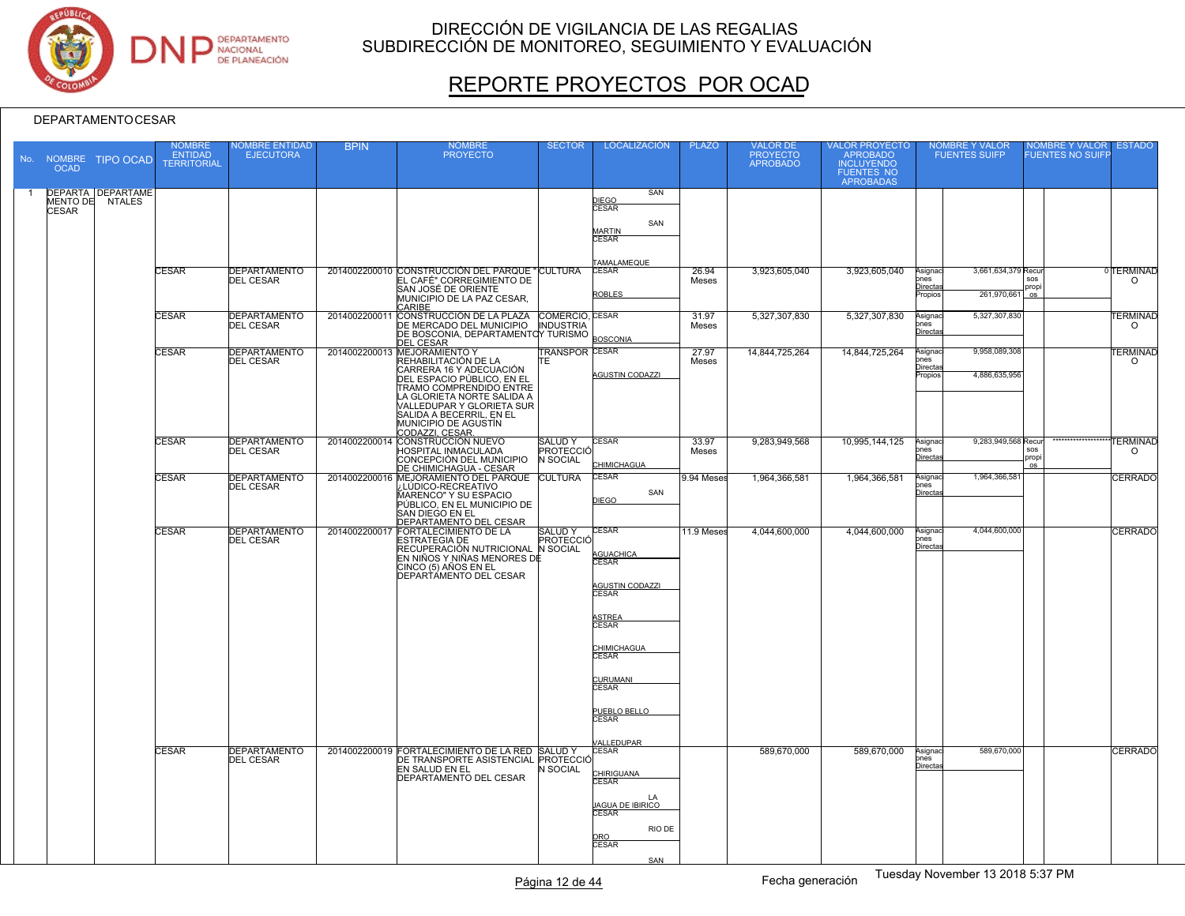

# REPORTE PROYECTOS POR OCAD

| <b>OCAD</b>  | No. NOMBRE TIPO OCAD                        | <b>NOMBRE</b><br><b>ENTIDAD</b><br><b>TERRITORIAL</b> | <b>IOMBRE ENTIDAD</b><br><b>EJECUTORA</b> | <b>BPIN</b>   | <b>NOMBRE</b><br><b>PROYECTO</b>                                                                                                                                                                                                                         | <b>SECTOR</b>                                 | <b>LOCALIZACIÓN</b>                                                                                                                                                                                    | <b>PLAZO</b>   | VALOR DE<br>PROYECTO<br>APROBADO | VALOR PROYECTO<br>APROBADO<br><b>INCLUYENDO</b><br><b>FUENTES NO</b><br><b>APROBADAS</b> | NOMBRE Y VALOR<br>FUENTES SUIFP                                                      | NOMBRE Y VALOR<br>FUENTES NO SUIFP        | <b>ESTADO</b>                      |
|--------------|---------------------------------------------|-------------------------------------------------------|-------------------------------------------|---------------|----------------------------------------------------------------------------------------------------------------------------------------------------------------------------------------------------------------------------------------------------------|-----------------------------------------------|--------------------------------------------------------------------------------------------------------------------------------------------------------------------------------------------------------|----------------|----------------------------------|------------------------------------------------------------------------------------------|--------------------------------------------------------------------------------------|-------------------------------------------|------------------------------------|
| <b>CESAR</b> | <b>DEPARTA DEPARTAME</b><br>MENTO DE NTALES |                                                       |                                           |               |                                                                                                                                                                                                                                                          |                                               | SAN<br>DIEGO<br>CESAR<br>SAN<br><b>MARTIN</b><br>CESAR                                                                                                                                                 |                |                                  |                                                                                          |                                                                                      |                                           |                                    |
|              |                                             | <b>CESAR</b>                                          | <b>DEPARTAMENTO</b><br><b>DEL CESAR</b>   |               | 2014002200010 CONSTRUCCIÓN DEL PARQUE "CULTURA<br>EL CAFÉ" CORREGIMIENTO DE<br>SAN JOSÉ DE ORIENTE<br>MUNICIPIO DE LA PAZ CESAR,<br>CARIBE                                                                                                               |                                               | TAMALAMEQUE<br>CESAR<br><b>ROBLES</b>                                                                                                                                                                  | 26.94<br>Meses | 3,923,605,040                    | 3,923,605,040                                                                            | 3.661.634.379 Recur<br>Asignac<br>ones<br><u>Directa</u><br>261,970,661<br>ropios    | sos<br>propi<br>os                        | <sup>0</sup> TERMINAD<br>$\Omega$  |
|              |                                             | <b>CESAR</b>                                          | <b>DEPARTAMENTO</b><br><b>DEL CESAR</b>   | 2014002200011 | CONSTRUCCIÓN DE LA PLAZA COMERCIO, CESAR<br>DE MERCADO DEL MUNICIPIO INDUSTRIA<br>DE BOSCONIA, DEPARTAMENTOY TURISMO<br><b>DEL CESAR</b>                                                                                                                 |                                               | <b>BOSCONIA</b>                                                                                                                                                                                        | 31.97<br>Meses | 5.327.307.830                    | 5,327,307,830                                                                            | 5,327,307,830<br>Asignac<br>ones<br>Directa                                          |                                           | <b><i>TERMINAD</i></b><br>$\circ$  |
|              |                                             | <b>CESAR</b>                                          | <b>DEPARTAMENTO</b><br><b>DEL CESAR</b>   |               | 2014002200013 MEJORAMIENTO Y<br>REHABILITACIÓN DE LA<br>ICARRERA 16 Y ADECUACIÓN<br>DEL ESPACIO PÚBLICO, EN EL<br>TRAMO COMPRENDIDO ENTRE<br>LA GLORIETA NORTE SALIDA A<br>VALLEDUPAR Y GLORIETA SUR<br>SALIDA A BECERRIL, EN EL<br>MUNICIPIO DE AGUSTÍN | <b>TRANSPOR CESAR</b><br>TF.                  | <b>AGUSTIN CODAZZI</b>                                                                                                                                                                                 | 27.97<br>Meses | 14,844,725,264                   | 14,844,725,264                                                                           | 9,958,089,308<br>Asignaci<br>nes<br>Directas<br>4.886.635.956<br><sup>2</sup> ropios |                                           | <b><i>TERMINAD</i></b><br>$\Omega$ |
|              |                                             | <b>CESAR</b>                                          | <b>DEPARTAMENTO</b><br><b>DEL CESAR</b>   |               | 2014002200014 CONSTRUCCIÓN NUEVO<br><b>HOSPITAL INMACULADA</b><br>CONCEPCIÓN DEL MUNICIPIO                                                                                                                                                               | <b>SALUDY</b><br>PROTECCIÓ<br><b>N SOCIAL</b> | <b>CESAR</b><br>CHIMICHAGUA                                                                                                                                                                            | 33.97<br>Meses | 9.283.949.568                    | 10.995.144.125                                                                           | 9,283,949,568 Recur<br>Asignac<br>ones<br><u>Direct</u>                              | **************<br>sos<br>propi<br>$\circ$ | <b>TERMINAD</b><br>$\circ$         |
|              |                                             | <b>CESAR</b>                                          | <b>DEPARTAMENTO</b><br><b>DEL CESAR</b>   |               | DE CHIMICHAGUA - CESAR<br>2014002200016 MEJORAMIENTO DEL PARQUE<br>2014002200016 MEJORAMIENTO DEL PARQUE<br>MARENCO" Y SU ESPACIO<br>PÚBLICO, EN EL MUNICIPIO DE<br>SAN DIEGO EN EL<br>DEPARTAMENTO DEL CESAR                                            |                                               | <b>CESAR</b><br>SAN<br><b>DIEGO</b>                                                                                                                                                                    | 9.94 Meses     | 1,964,366,581                    | 1,964,366,581                                                                            | 1,964,366,581<br>Asignac<br>nes<br>Directa                                           |                                           | <b>CERRADO</b>                     |
|              |                                             | CESAR                                                 | <b>DEPARTAMENTO</b><br><b>DEL CESAR</b>   |               | 2014002200017 FORTALECIMIENTO DE LA<br><b>ESTRATEGIA DE</b><br>RECUPERACIÓN NUTRICIONAL N SOCIAL<br>EN NIÑOS Y NIÑAS MENORES DE<br>CINCO (5) AÑOS EN EL<br>DEPARTÁMENTO DEL CESAR                                                                        | <b>SALUDY</b><br>PROTECCIĆ                    | <b>CESAR</b><br><b>AGUACHICA</b><br>CESAR<br>AGUSTIN CODAZZI<br>CESAR<br><b>STREA</b><br><b>CESAR</b><br>CHIMICHAGUA<br><b>CESAR</b><br>URUMANI<br><b>CESAR</b><br>PUEBLO BELLO<br>CESAR<br>/ALLEDUPAR | 11.9 Meses     | 4,044,600,000                    | 4,044,600,000                                                                            | 4.044.600.000<br>Asignac<br>ones<br>Directa:                                         |                                           | <b>CERRADO</b>                     |
|              |                                             | <b>CESAR</b>                                          | <b>DEPARTAMENTO</b><br><b>DEL CESAR</b>   |               | 2014002200019 FORTALECIMIENTO DE LA RED SALUD Y<br>DE TRANSPORTE ASISTENCIAL PROTECCIÓ<br>EN SALUD EN EL<br><b>DEPARTAMENTO DEL CESAR</b>                                                                                                                | N SOCIAL                                      | CESAR<br>CHIRIGUANA<br>CESAR<br>LA<br><b>AGUA DE IBIRICO</b><br><b>CESAR</b><br>RIO DE<br>CRO<br>CESAR<br>SAN                                                                                          |                | 589,670,000                      | 589.670.000                                                                              | 589,670,000<br>Asignaci<br>ones<br>Directa                                           |                                           | <b>CERRADO</b>                     |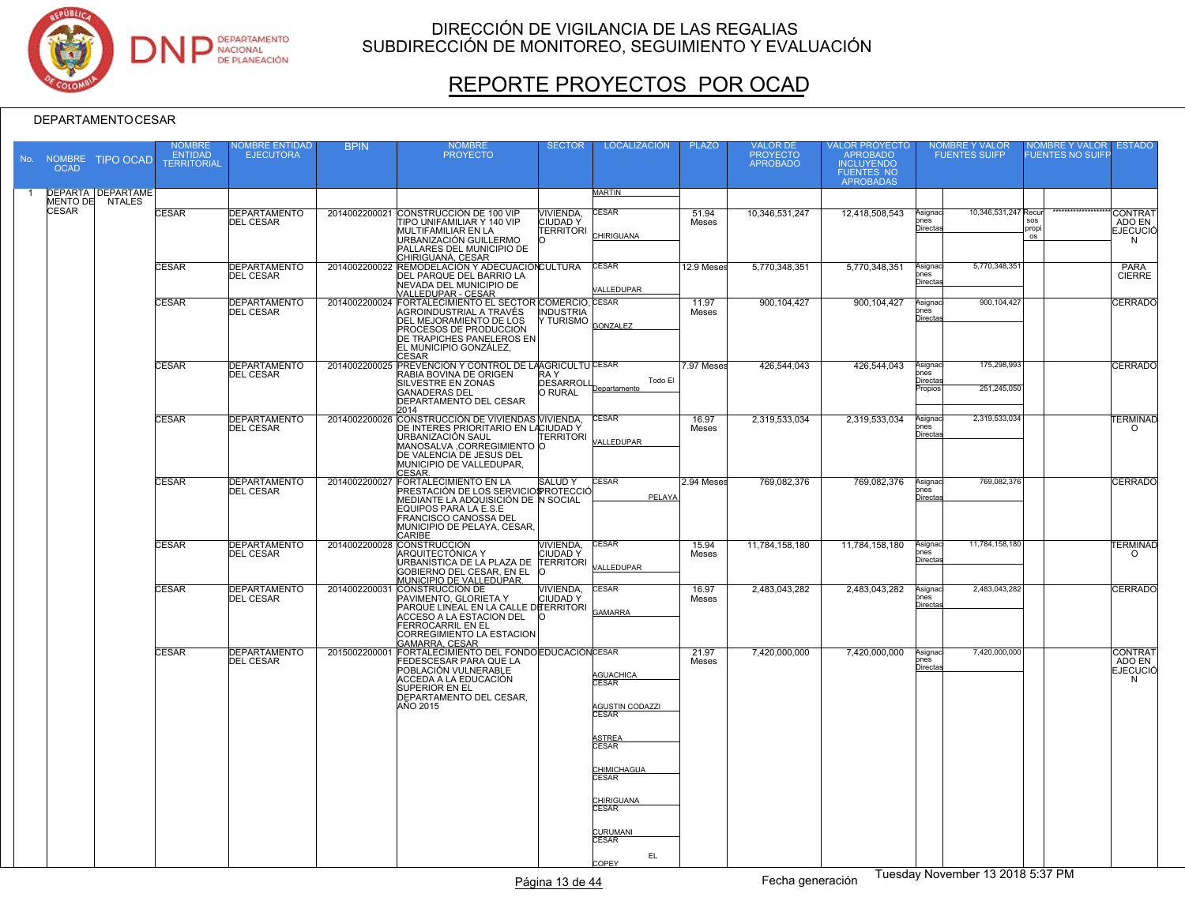

# REPORTE PROYECTOS POR OCAD

#### DEPARTAMENTOCESAR

| <b>OCAD</b>  | No. NOMBRE TIPO OCAD                        | <b>NOMBRE</b><br><b>ENTIDAD</b><br><b>TERRITORIAL</b> | <b>IOMBRE ENTIDAD</b><br><b>EJECUTORA</b> | <b>BPIN</b>   | <b>NOMBRE</b><br><b>PROYECTO</b>                                                                                                                                                                               | <b>SECTOR</b>                                          | <b>LOCALIZACIÓN</b>                                                                                                                                                                                  | <b>PLAZO</b>   | VALOR DE<br>PROYECTO<br><b>APROBADO</b> | VALOR PROYECTO<br>APROBADO<br><b>INCLUYENDO</b><br><b>FUENTES NO</b><br><b>APROBADAS</b> |                                                | NOMBRE Y VALOR<br>FUENTES SUIFP |                    | NOMBRE Y VALOR<br>FUENTES NO SUIFP | <b>ESTADO</b>                                    |
|--------------|---------------------------------------------|-------------------------------------------------------|-------------------------------------------|---------------|----------------------------------------------------------------------------------------------------------------------------------------------------------------------------------------------------------------|--------------------------------------------------------|------------------------------------------------------------------------------------------------------------------------------------------------------------------------------------------------------|----------------|-----------------------------------------|------------------------------------------------------------------------------------------|------------------------------------------------|---------------------------------|--------------------|------------------------------------|--------------------------------------------------|
|              | <b>DEPARTA DEPARTAME</b><br>MENTO DE NTALES |                                                       |                                           |               |                                                                                                                                                                                                                |                                                        | MARTIN                                                                                                                                                                                               |                |                                         |                                                                                          |                                                |                                 |                    |                                    |                                                  |
| <b>CESAR</b> |                                             | <b>CESAR</b>                                          | <b>DEPARTAMENTO</b><br><b>DEL CESAR</b>   | 2014002200021 | CONSTRUCCIÓN DE 100 VIP<br>TIPO UNIFAMILIAR Y 140 VIP<br>MULTIFAMILIAR EN LA<br>URBANIZACIÓN GUILLERMO<br>PALLARES DEL MUNICIPIO DE<br>CHIRIGUANÁ, CESAR                                                       | <b>VIVIENDA.</b><br><b>CIUDADY</b><br><b>TERRITORI</b> | <b>CESAR</b><br><b>CHIRIGUANA</b>                                                                                                                                                                    | 51.94<br>Meses | 10,346,531,247                          | 12,418,508,543                                                                           | Asignac<br>$_{\rm ones}$<br>Directa            | 10,346,531,247 Recu             | sos<br>propi<br>os |                                    | <b>CONTRAT</b><br>ADO EN<br><b>EJECUCIÓ</b><br>N |
|              |                                             | <b>CESAR</b>                                          | <b>DEPARTAMENTO</b><br><b>DEL CESAR</b>   |               | 2014002200022 REMODELACIÓN Y ADECUACIÓNCULTURA<br>DEL PARQUE DEL BARRIO LA<br>NEVADA DEL MUNICIPIO DE<br>VALLEDUPAR - CESAR<br>2014002200024 FORTALECIMIENTO EL SECTOR COMERCIO, CESAR                         |                                                        | <b>CESAR</b><br><b>/ALLEDUPAR</b>                                                                                                                                                                    | 12.9 Meses     | 5,770,348,351                           | 5,770,348,351                                                                            | Asignac<br>$_{\rm ones}$<br>Directa            | 5,770,348,351                   |                    |                                    | <b>PARA</b><br><b>CIERRE</b>                     |
|              |                                             | <b>CESAR</b>                                          | <b>DEPARTAMENTO</b><br><b>DEL CESAR</b>   |               | AGROINDUSTRIAL A TRAVÉS<br>DEL MEJORAMIENTO DE LOS<br><b>PROCESOS DE PRODUCCION</b><br>DE TRAPICHES PANELEROS EN<br>EL MUNICIPIO GONZÁLEZ,<br><b>CESAR</b>                                                     | <b>INDUSTRIA</b><br>Y TURISMO                          | GONZALEZ                                                                                                                                                                                             | 11.97<br>Meses | 900, 104, 427                           | 900, 104, 427                                                                            | Asignaci<br>$_{\rm ones}$<br>Directa           | 900,104,427                     |                    |                                    | CERRADO                                          |
|              |                                             | <b>CESAR</b>                                          | <b>DEPARTAMENTO</b><br><b>DEL CESAR</b>   |               | 2014002200025 PREVENCIÓN Y CONTROL DE LAAGRICULTUCESAR<br>RABIA BOVINA DE ORIGEN<br><b>SILVESTRE EN ZONAS</b><br><b>GANADERAS DEL</b><br><b>DEPARTAMENTO DEL CESAR</b><br>2014                                 | RA Y<br><b>DESARROLL</b><br><b>O RURAL</b>             | Todo El<br>Departamento                                                                                                                                                                              | 7.97 Meses     | 426,544,043                             | 426,544,043                                                                              | Asignaci<br>hnes<br><u>Directas</u><br>Propios | 175,298,993<br>251,245,050      |                    |                                    | CERRADO                                          |
|              |                                             | <b>CESAR</b>                                          | <b>DEPARTAMENTO</b><br><b>DEL CESAR</b>   |               | 2014002200026 CONSTRUCCIÓN DE VIVIENDAS VIVIENDA,<br>DE INTERES PRIORITARIO EN LACIUDAD Y<br>URBANIZACIÓN SAUL<br>MANOSALVA, CORREGIMIENTO O<br>DE VALENCIA DE JESUS DEL<br>MUNICIPIO DE VALLEDUPAR,<br>CESAR. | <b>TERRITORI</b>                                       | <b>CESAR</b><br>VALLEDUPAR                                                                                                                                                                           | 16.97<br>Meses | 2,319,533,034                           | 2,319,533,034                                                                            | Asignaci<br>hnes<br>Directa                    | 2.319.533.034                   |                    |                                    | <b>TERMINAD</b><br>$\circ$                       |
|              |                                             | <b>CESAR</b>                                          | <b>DEPARTAMENTO</b><br><b>DEL CESAR</b>   | 2014002200027 | <b>FORTALECIMIENTO EN LA</b><br>PRESTACIÓN DE LOS SERVICIOS ROTECCIÓ<br>MEDIANTE LA ADQUISICIÓN DE N SOCIAL<br>EQUIPOS PARA LA E.S.E<br><b>FRANCISCO CANOSSA DEL</b><br>MUNICIPIO DE PELAYA, CESAR,<br>CARIBE  | SALUD Y                                                | <b>CESAR</b><br>PELAYA                                                                                                                                                                               | 2.94 Meses     | 769,082,376                             | 769,082,376                                                                              | Asignaci<br>ones<br>Directa                    | 769,082,376                     |                    |                                    | <b>CERRADO</b>                                   |
|              |                                             | <b>CESAR</b>                                          | <b>DEPARTAMENTO</b><br><b>DEL CESAR</b>   |               | 2014002200028 CONSTRUCCIÓN<br>ARQUITECTÓNICA Y<br>URBANÍSTICA DE LA PLAZA DE<br>GOBIERNO DEL CESAR, EN EL<br>MUNICIPIO DE VALLEDUPAR.                                                                          | VIVIENDA,<br>CIUDAD Y<br><b>TERRITORI</b><br>$\Omega$  | <b>CESAR</b><br>VALLEDUPAR                                                                                                                                                                           | 15.94<br>Meses | 11,784,158,180                          | 11,784,158,180                                                                           | Asignac<br>ones<br><b>Directa</b>              | 11,784,158,180                  |                    |                                    | <b><i>TERMINAD</i></b><br>$\Omega$               |
|              |                                             | <b>CESAR</b>                                          | <b>DEPARTAMENTO</b><br><b>DEL CESAR</b>   | 2014002200031 | <b>CONSTRUCCIÓN DE</b><br>PAVIMENTO, GLORIETA Y<br>PARQUE LINEAL EN LA CALLE DEERRITORI<br>ACCESO A LA ESTACION DEL<br><b>FERROCARRIL EN EL</b><br>CORREGIMIENTO LA ESTACION<br>GAMARRA, CESAR                 | VIVIENDA,<br><b>CIUDAD Y</b>                           | CESAR<br>GAMARRA                                                                                                                                                                                     | 16.97<br>Meses | 2,483,043,282                           | 2,483,043,282                                                                            | Asignaci<br>nes<br>Directas                    | 2,483,043,282                   |                    |                                    | <b>CERRADO</b>                                   |
|              |                                             | <b>CESAR</b>                                          | <b>DEPARTAMENTO</b><br><b>DEL CESAR</b>   |               | 2015002200001 FORTALECIMIENTO DEL FONDO EDUCACIÓNCESAR<br>FEDESCESAR PARA QUE LA<br>POBLACIÓN VULNERABLE<br>ACCEDA A LA EDUCACIÓN<br><b>SUPERIOR EN EL</b><br>DEPARTAMENTO DEL CESAR,<br>AÑO 2015              |                                                        | AGUACHICA<br>CESAR<br><b>AGUSTIN CODAZZI</b><br>CESAR<br><b>STREA</b><br><b>CESAR</b><br><b>CHIMICHAGUA</b><br><b>CESAR</b><br><b>CHIRIGUANA</b><br><b>CESAR</b><br>CURUMAN<br>CESAR<br>EL.<br>COPEY | 21.97<br>Meses | 7,420,000,000                           | 7.420.000.000                                                                            | Asignac<br>ones<br>Directa                     | 7,420,000,000                   |                    |                                    | <b>CONTRAT</b><br>ADO EN<br><b>EJECUCIÓ</b><br>N |

Tuesday November 13 2018 5:37 PM Página 13 de 44 Fecha generación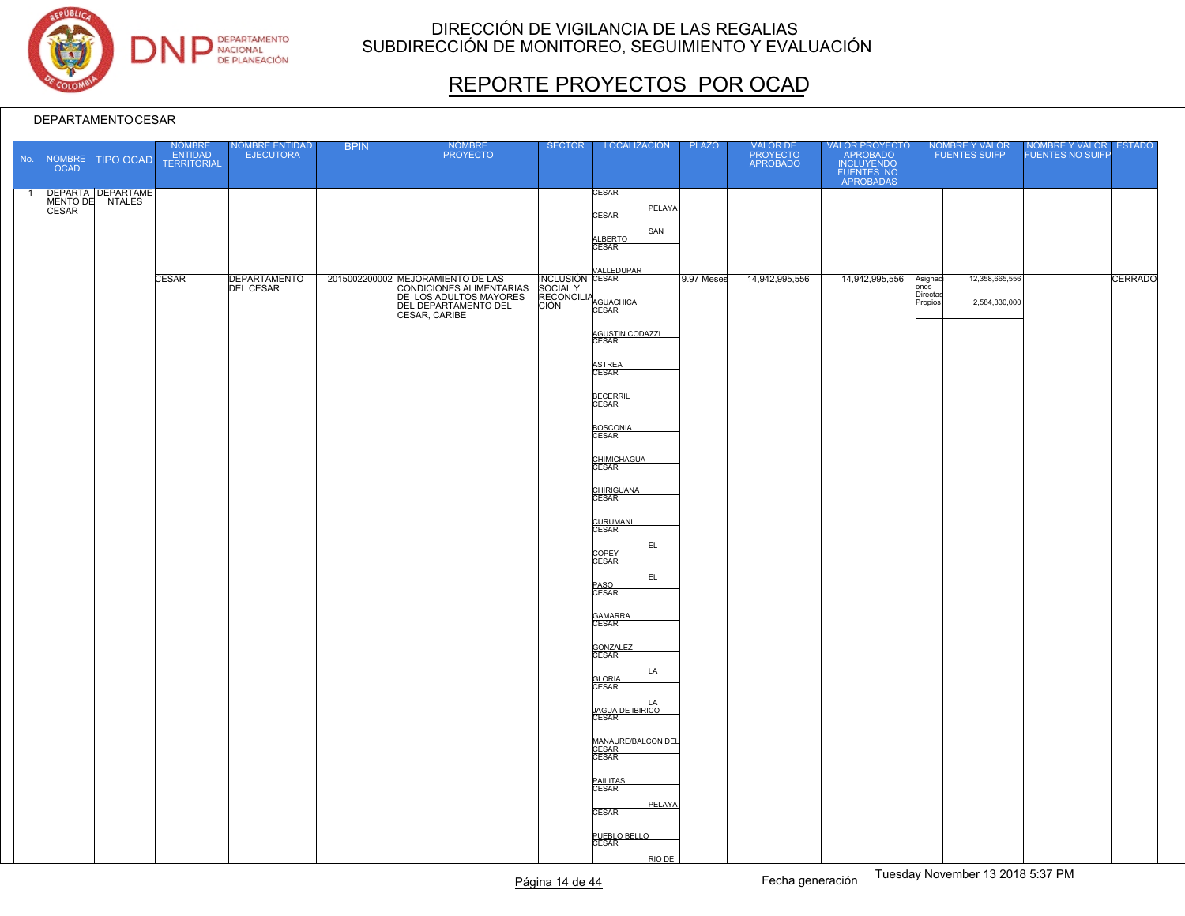

# REPORTE PROYECTOS POR OCAD

|                | <b>OCAD</b>  | No. NOMBRE TIPO OCAD | NOMBRE<br>ENTIDAD<br><b>TERRITORIAL</b> | NOMBRE ENTIDAD<br><b>EJECUTORA</b> | <b>BPIN</b> | <b>NOMBRE</b><br><b>PROYECTO</b>                                                                                                 | <b>SECTOR</b>                                                         | LOCALIZACIÓN                                                                                                                                                                                                                                                                                                                                                                                                             | <b>PLAZO</b> | VALOR DE<br>PROYECTO<br>APROBADO | VALOR PROYECTO<br>APROBADO<br>INCLUYENDO<br>FUENTES NO<br>APROBADAS | NOMBRE Y VALOR<br>FUENTES SUIFP                                            | NOMBRE Y VALOR ESTADO<br><b>FUENTES NO SUIFP</b> |
|----------------|--------------|----------------------|-----------------------------------------|------------------------------------|-------------|----------------------------------------------------------------------------------------------------------------------------------|-----------------------------------------------------------------------|--------------------------------------------------------------------------------------------------------------------------------------------------------------------------------------------------------------------------------------------------------------------------------------------------------------------------------------------------------------------------------------------------------------------------|--------------|----------------------------------|---------------------------------------------------------------------|----------------------------------------------------------------------------|--------------------------------------------------|
| $\overline{1}$ | <b>CESAR</b> | DEPARTA DEPARTAME    |                                         |                                    |             |                                                                                                                                  |                                                                       | CESAR<br>PELAYA<br><b>CESAR</b><br>SAN<br>ALBERTO                                                                                                                                                                                                                                                                                                                                                                        |              |                                  |                                                                     |                                                                            |                                                  |
|                |              |                      | <b>CESAR</b>                            | DEPARTAMENTO<br><b>DEL CESAR</b>   |             | 2015002200002 MEJORAMIENTO DE LAS<br>CONDICIONES ALIMENTARIAS<br>DE LOS ADULTOS MAYORES<br>DEL DEPARTAMENTO DEL<br>CESAR, CARIBE | INCLUSION CESAR<br>SOCIAL Y<br>RECONCILIA<br>CIÓN CESAR<br>CIÓN CESAR | <b>VALLEDUPAR</b><br>AGUSTIN CODAZZI<br>CESAR<br>ASTREA<br>CESAR<br><b>BECERRIL</b><br>CESAR<br>BOSCONIA<br>CHIMICHAGUA<br>CESAR<br>CHIRIGUANA<br>CESAR<br>CURUMANI<br>CESAR<br>EL<br>COPEY<br>CESAR<br>EL.<br>PASO<br>CESAR<br>GAMARRA<br>CESAR<br>GONZALEZ<br>CESAR<br>LA<br>GLORIA<br>CESAR<br>LA<br>JAGUA DE IBIRICO<br>CESAR<br>MANAURE/BALCON DEL<br>CESAR<br>CESAR<br>PAILITAS<br>CESAR<br>PELAYA<br><b>CESAR</b> | 9.97 Meses   | 14,942,995,556                   | 14,942,995,556                                                      | 12,358,665,556<br>Asignaci<br>ones<br>Directas<br>2,584,330,000<br>Propios | CERRADO                                          |
|                |              |                      |                                         |                                    |             |                                                                                                                                  |                                                                       | PUEBLO BELLO<br>CESAR<br>RIO DE                                                                                                                                                                                                                                                                                                                                                                                          |              |                                  |                                                                     |                                                                            |                                                  |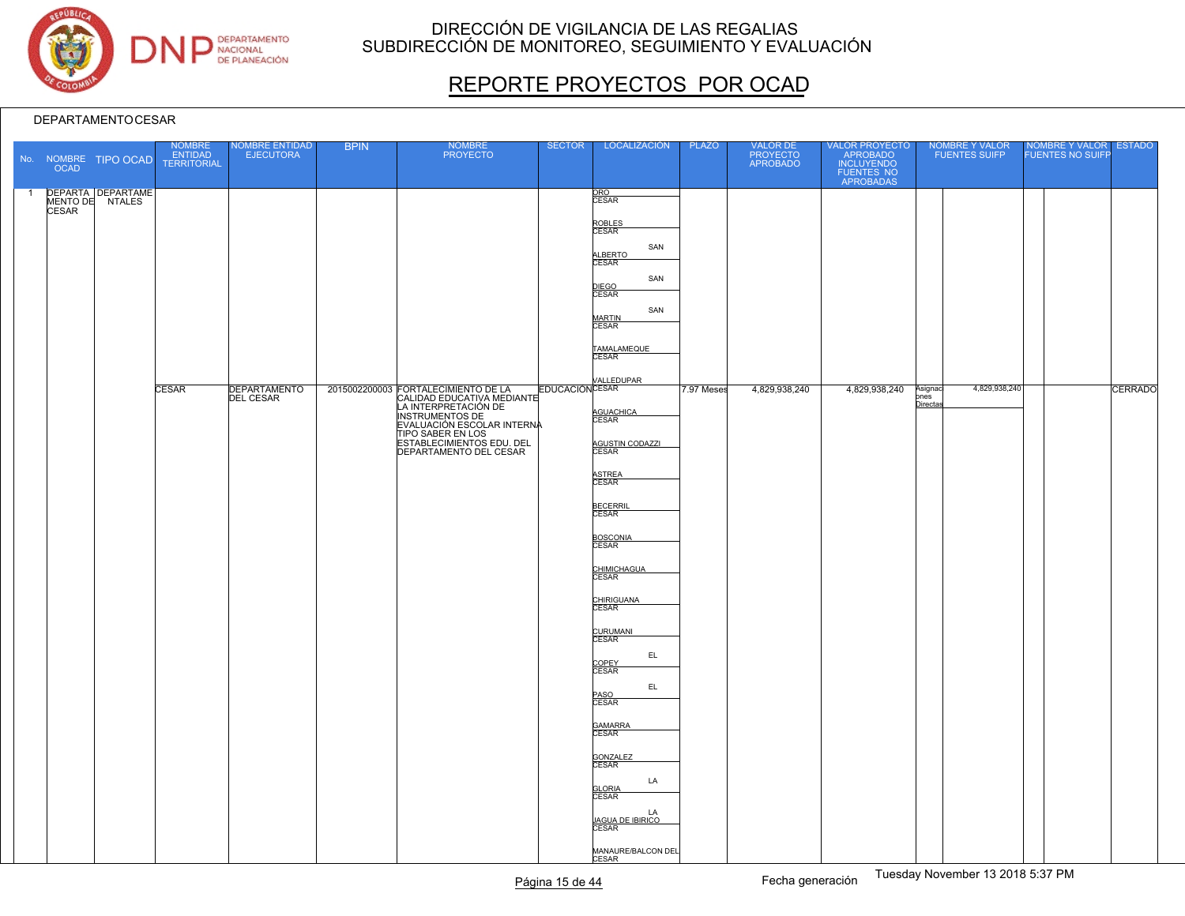

# REPORTE PROYECTOS POR OCAD

|                | OCAD         | No. NOMBRE TIPO OCAD                 | NOMBRE<br>ENTIDAD<br>TERRITORIAL | <b>VOMBRE ENTIDAD</b><br><b>EJECUTORA</b> | <b>BPIN</b> | <b>NOMBRE</b><br><b>PROYECTO</b>                                                                                        | <b>SECTOR</b> | LOCALIZACIÓN                                                                                                                                                                                                                                                                                                                                                                                                                                                                                                            | <b>PLAZO</b> | VALOR DE<br>PROYECTO<br>APROBADO | VALOR PROYECTO<br>APROBADO<br>INCLUYENDO<br>FUENTES NO<br>APROBADAS | NOMBRE Y VALOR<br>FUENTES SUIFP              | NOMBRE Y VALOR ESTADO |                |
|----------------|--------------|--------------------------------------|----------------------------------|-------------------------------------------|-------------|-------------------------------------------------------------------------------------------------------------------------|---------------|-------------------------------------------------------------------------------------------------------------------------------------------------------------------------------------------------------------------------------------------------------------------------------------------------------------------------------------------------------------------------------------------------------------------------------------------------------------------------------------------------------------------------|--------------|----------------------------------|---------------------------------------------------------------------|----------------------------------------------|-----------------------|----------------|
| $\overline{1}$ | <b>CESAR</b> | DEPARTA DEPARTAME<br>MENTO DE NTALES | <b>CESAR</b>                     | <b>DEPARTAMENTO</b><br><b>DEL CESAR</b>   |             | 2015002200003 FORTALECIMIENTO DE LA<br>FORTALEONICATIVA MEDIANTE<br>ESTABLECIMIENTOS EDU. DEL<br>DEPARTAMENTO DEL CESAR |               | ORO<br>CESAR<br>ROBLES<br>CESAR<br>SAN<br>ALBERTO<br>CESAR<br>SAN<br>DIEGO<br>CESAR<br>SAN<br><b>MARTIN</b><br>CESAR<br>TAMALAMEQUE<br><b>EDUCACIÓN</b> CESAR<br>AGUACHICA<br>CESAR<br>AGUSTIN CODAZZI<br>ASTREA<br>CESAR<br>BECERRIL<br>CESAR<br>BOSCONIA<br>CESAR<br>CHIMICHAGUA<br>CESAR<br>CHIRIGUANA<br>CURUMANI<br>CESAR<br>EL.<br>COPEY<br>CESAR<br>EL<br>PASO<br>CESAR<br>GAMARRA<br>CESAR<br>GONZALEZ<br>CESAR<br>LA<br><b>GLORIA</b><br><b>CESAR</b><br>LA<br>JAGUA DE IBIRICO<br>CESAR<br>MANAURE/BALCON DEL | 7.97 Meses   | 4,829,938,240                    | 4,829,938,240                                                       | 4,829,938,240<br>Asignac<br>pnes<br>Directas |                       | <b>CERRADO</b> |
|                |              |                                      |                                  |                                           |             |                                                                                                                         |               | CESAR                                                                                                                                                                                                                                                                                                                                                                                                                                                                                                                   |              |                                  |                                                                     |                                              |                       |                |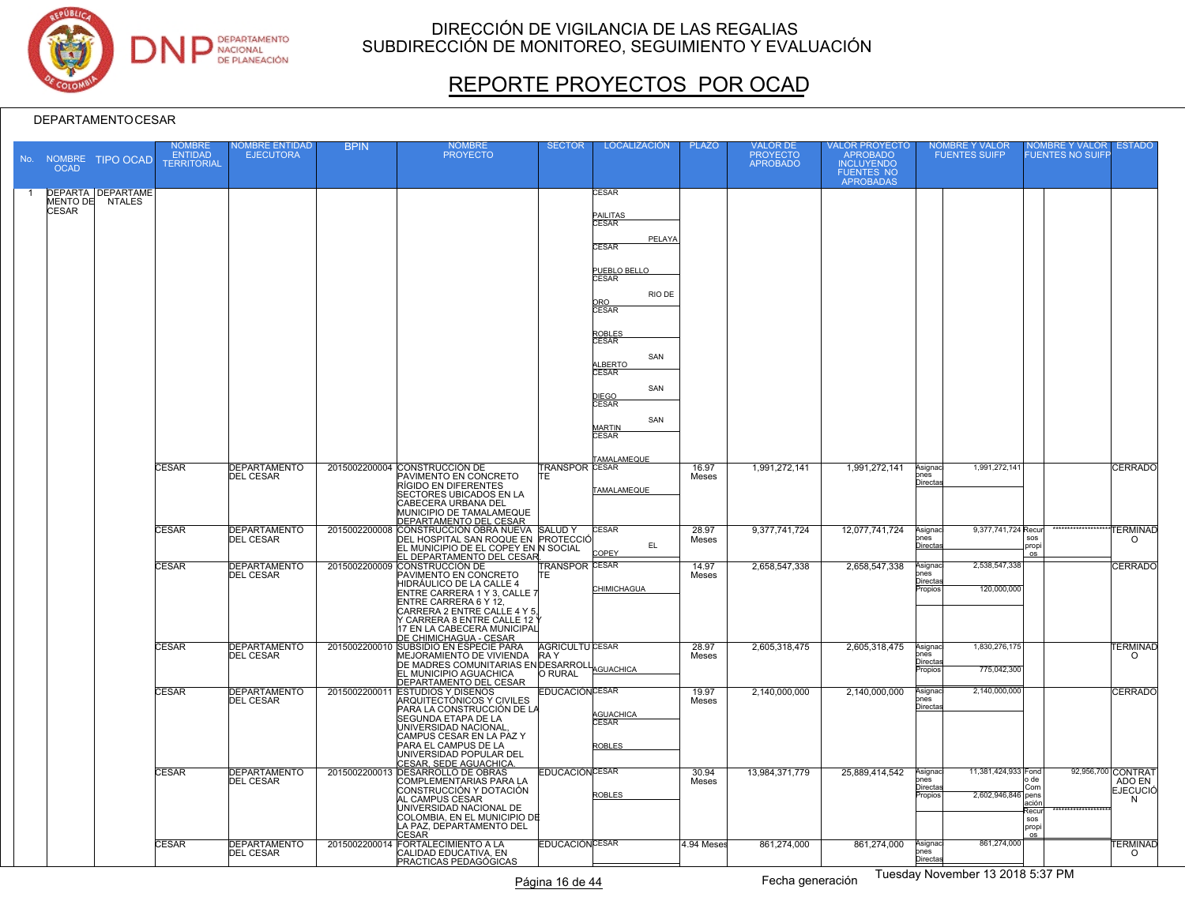

# REPORTE PROYECTOS POR OCAD

#### DEPARTAMENTOCESAR

| <b>OCAD</b>              | No. NOMBRE TIPO OCAD                      | <b>NOMBRE</b><br><b>ENTIDAD</b><br><b>TERRITORIAL</b> | <b>IOMBRE ENTIDAD</b><br><b>EJECUTORA</b> | <b>BPIN</b> | <b>NOMBRE</b><br><b>PROYECTO</b>                                                                                                                                                                                                                                     | <b>SECTOR</b>                                   | <b>LOCALIZACIÓN</b>                                                                                                                                                                        | <b>PLAZO</b>   | <b>VALOR DE</b><br>PROYECTO<br>APROBADO | VALOR PROYECTO<br>APROBADO<br><b>INCLUYENDO</b><br><b>FUENTES NO</b><br><b>APROBADAS</b> | NOMBRE Y VALOR<br><b>FUENTES SUIFP</b>                                     | <b>IOMBRE Y VALOR</b><br><b>UENTES NO SUIFI</b>                    | <b>ESTADO</b>                                        |
|--------------------------|-------------------------------------------|-------------------------------------------------------|-------------------------------------------|-------------|----------------------------------------------------------------------------------------------------------------------------------------------------------------------------------------------------------------------------------------------------------------------|-------------------------------------------------|--------------------------------------------------------------------------------------------------------------------------------------------------------------------------------------------|----------------|-----------------------------------------|------------------------------------------------------------------------------------------|----------------------------------------------------------------------------|--------------------------------------------------------------------|------------------------------------------------------|
| MENTO DE<br><b>CESAR</b> | <b>DEPARTA DEPARTAME</b><br><b>NTALES</b> |                                                       |                                           |             |                                                                                                                                                                                                                                                                      |                                                 | CESAR<br>PAILITAS<br><b>CESAR</b><br>PELAYA<br><b>CESAR</b><br>PUEBLO BELLO<br>RIO DE<br>ORO<br>CESAR<br>ROBLES<br>CESAR<br>SAN<br><b>LLBERTO</b><br><b>CESAR</b><br>SAN<br>DIEGO<br>CESAR |                |                                         |                                                                                          |                                                                            |                                                                    |                                                      |
|                          |                                           | <b>CESAR</b>                                          | <b>DEPARTAMENTO</b><br><b>DEL CESAR</b>   |             | 2015002200004 CONSTRUCCIÓN DE<br>PAVIMENTO EN CONCRETO<br>RÍGIDO EN DIFERENTES<br><b>SECTORES UBICADOS EN LA</b><br>CABECERA URBANA DEL<br>MUNICIPIO DE TAMALAMEQUE<br>DEPARTAMENTO DEL CESAR                                                                        | <b>TRANSPOR CESAR</b><br>ITF.                   | SAN<br><b>MARTIN</b><br>CESAR<br>TAMALAMEQUE<br>TAMALAMEQUE                                                                                                                                | 16.97<br>Meses | 1,991,272,141                           | 1,991,272,141                                                                            | 1,991,272,141<br>Asignaci<br>$_{\rm ones}$<br><u>Directa</u>               |                                                                    | <b>CERRADO</b>                                       |
|                          |                                           | <b>CESAR</b>                                          | <b>DEPARTAMENTO</b><br><b>DEL CESAR</b>   |             | 2015002200008 CONSTRUCCIÓN OBRA NUEVA SALUD Y<br>DEL HOSPITAL SAN ROQUE EN PROTECCIÓ<br>EL MUNICIPIO DE EL COPEY EN N SOCIAL<br>EL DEPARTAMENTO DEL CESAR                                                                                                            |                                                 | <b>CESAR</b><br>EL<br>COPEY                                                                                                                                                                | 28.97<br>Meses | 9,377,741,724                           | 12,077,741,724                                                                           | 9,377,741,724 Recur<br>Asignac<br>ones<br><u>Directa</u>                   | <b>SOS</b><br>propi<br><b>OS</b>                                   | <b>TERMINAD</b><br>$\circ$                           |
|                          |                                           | <b>CESAR</b>                                          | <b>DEPARTAMENTO</b><br><b>DEL CESAR</b>   |             | 2015002200009 CONSTRUCCIÓN DE<br>PAVIMENTO EN CONCRETO<br>HIDRÁULICO DE LA CALLE 4<br>ENTRE CARRERA 1 Y 3, CALLE 7<br>ENTRE CARRERA 6 Y 12,<br>CARRERA 2 ENTRE CALLE 4 Y 5,<br>Y CARRERA 8 ENTRE CALLE 12 '<br>17 EN LA CABECERA MUNICIPAL<br>DE CHIMICHAGUA - CESAR | TRANSPOR CESAR<br>ITF.                          | CHIMICHAGUA                                                                                                                                                                                | 14.97<br>Meses | 2.658.547.338                           | 2,658,547,338                                                                            | 2,538,547,338<br>Asignac<br>nes<br>lirecta<br>120,000,000<br>opios         |                                                                    | <b>CERRADO</b>                                       |
|                          |                                           | <b>CESAR</b>                                          | <b>DEPARTAMENTO</b><br><b>DEL CESAR</b>   |             | 2015002200010 SUBSIDIO EN ESPECIE PARA<br>MEJORAMIENTO DE VIVIENDA<br>DE MADRES COMUNITARIAS EN DESARROLL<br>DE MADRES COMUNITARIAS EN DESARROLL<br>EL MUNICIPIO AGUACHICA<br>DEPARTAMENTO DEL CESAR                                                                 | <b>AGRICULTU CESAR</b><br><b>RAY</b><br>O RURAL |                                                                                                                                                                                            | 28.97<br>Meses | 2,605,318,475                           | 2,605,318,475                                                                            | 1,830,276,175<br>Asignaci<br>nes<br>)irecta<br>775,042,300<br>ropios       |                                                                    | <b>TERMINAD</b><br>$\Omega$                          |
|                          |                                           | <b>CESAR</b>                                          | <b>DEPARTAMENTO</b><br><b>DEL CESAR</b>   |             | 2015002200011 ESTUDIOS Y DISEÑOS<br>ARQUITECTÓNICOS Y CIVILES<br>PARA LA CONSTRUCCIÓN DE LA<br>SEGUNDA ETAPA DE LA<br>UNIVERSIDAD NACIONAL<br>CAMPUS CESAR EN LA PAZ Y<br>PARA EL CAMPUS DE LA<br>UNIVERSIDAD POPULAR DEL<br>CESAR, SEDE AGUACHICA                   | <b>EDUCACIÓNCESAR</b>                           | AGUACHICA<br>CESAR<br>ROBLES                                                                                                                                                               | 19.97<br>Meses | 2.140.000.000                           | 2,140,000,000                                                                            | 2,140,000,000<br>Asignac<br>ones<br>Directas                               |                                                                    | <b>CERRADO</b>                                       |
|                          |                                           | <b>CESAR</b>                                          | <b>DEPARTAMENTO</b><br><b>DEL CESAR</b>   |             | 2015002200013 DESARROLLO DE OBRAS<br>COMPLEMENTARIAS PARA LA<br>CONSTRUCCIÓN Y DOTACIÓN<br>AL CAMPUS CESAR<br>UNIVERSIDAD NACIONAL DE<br>COLOMBIA, EN EL MUNICIPIO DÉ<br>LA PAZ, DEPARTAMENTO DEL<br>CESAR                                                           | <b>EDUCACIÓNCESAR</b>                           | <b>ROBLES</b>                                                                                                                                                                              | 30.94<br>Meses | 13.984.371.779                          | 25.889.414.542                                                                           | 11,381,424,933 Fond<br>Asignac<br>nes<br>Directa<br>2,602,946,846<br>opios | o de<br>Com<br>bens<br>ıción<br>≷ecur<br><b>SOS</b><br>propi<br>ns | 92,956,700 CONTRAT<br>ADO EN<br><b>EJECUCIÓ</b><br>N |
|                          |                                           | <b>CESAR</b>                                          | <b>DEPARTAMENTO</b><br><b>DEL CESAR</b>   |             | 2015002200014 FORTALECIMIENTO A LA<br>CALIDAD EDUCATIVA. EN<br>PRACTICAS PEDAGÓGICAS                                                                                                                                                                                 | <b>EDUCACIÓNCESAR</b>                           |                                                                                                                                                                                            | 4.94 Meses     | 861.274.000                             | 861,274,000                                                                              | 861,274,000<br>Asignac<br>ones<br>Directas                                 |                                                                    | <b>TERMINAD</b><br>$\circ$                           |

Página 16 de 44 **Fecha generación** Fuesday November 13 2018 5:37 PM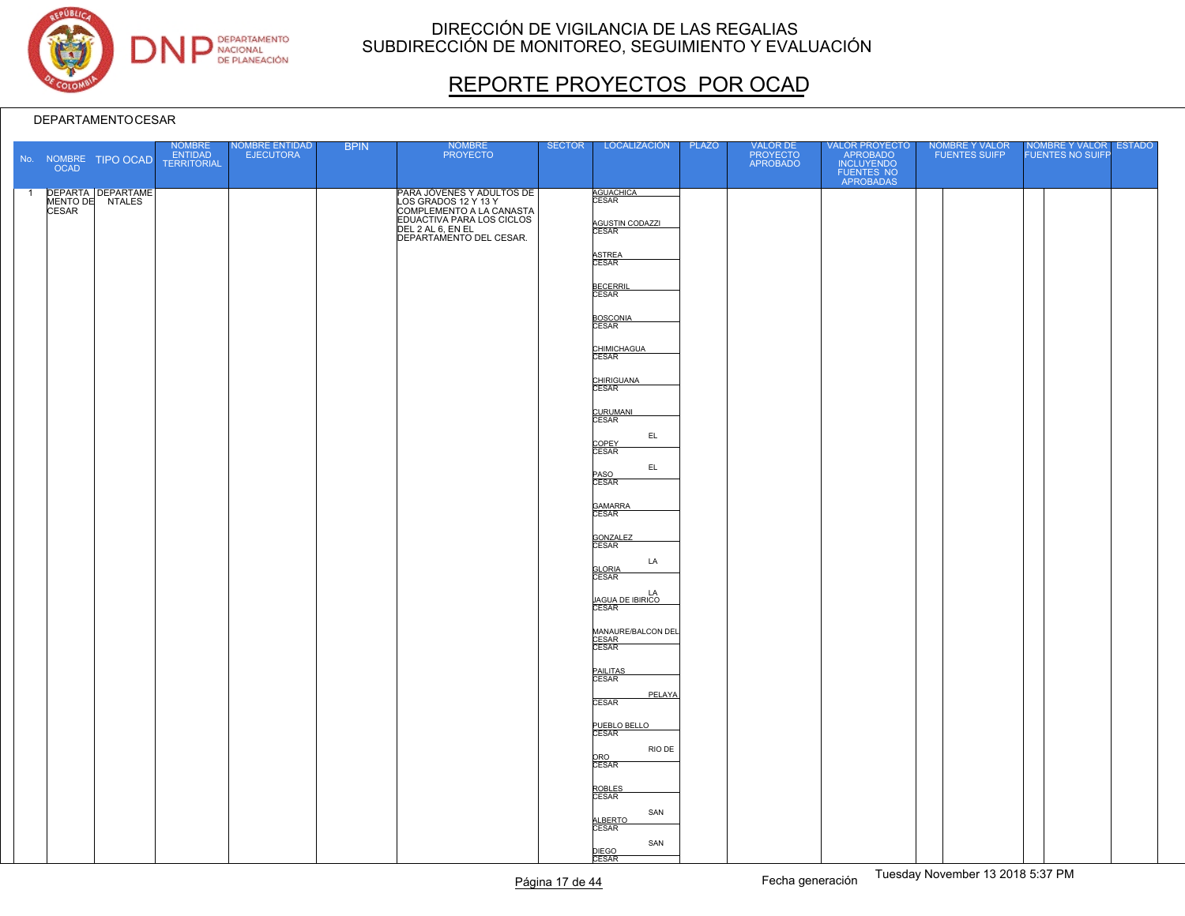

# REPORTE PROYECTOS POR OCAD

|                | <b>OCAD</b> | No. NOMBRE TIPO OCAD                          | NOMBRE<br>ENTIDAD<br>TERRITORIAL | NOMBRE ENTIDAD<br>EJECUTORA | <b>BPIN</b> | NOMBRE<br>PROYECTO                                                                                         | <b>SECTOR</b> | LOCALIZACIÓN                                                     | PLAZO | VALOR DE<br>PROYECTO<br>APROBADO | VALOR PROYECTO<br>APROBADO<br>INCLUYENDO<br>FUENTES NO<br>APROBADAS | NOMBRE Y VALOR<br>FUENTES SUIFP | NOMBRE Y VALOR ESTADO |  |
|----------------|-------------|-----------------------------------------------|----------------------------------|-----------------------------|-------------|------------------------------------------------------------------------------------------------------------|---------------|------------------------------------------------------------------|-------|----------------------------------|---------------------------------------------------------------------|---------------------------------|-----------------------|--|
| $\overline{1}$ |             | DEPARTA DEPARTAME<br>MENTO DE NTALES<br>CESAR |                                  |                             |             | PARA JÓVENES Y ADULTOS DE<br>LOS GRADOS 12 Y 13 Y<br>COMPLEMENTO A LA CANASTA<br>EDUACTIVA PARA LOS CICLOS |               | <b>AGUACHICA</b><br>CESAR<br>AGUSTIN CODAZZI                     |       |                                  |                                                                     |                                 |                       |  |
|                |             |                                               |                                  |                             |             | DEL 2 AL 6, EN EL<br>DEPARTAMENTO DEL CESAR.                                                               |               | ASTREA<br>CESAR                                                  |       |                                  |                                                                     |                                 |                       |  |
|                |             |                                               |                                  |                             |             |                                                                                                            |               | BECERRIL<br>CESAR                                                |       |                                  |                                                                     |                                 |                       |  |
|                |             |                                               |                                  |                             |             |                                                                                                            |               | BOSCONIA<br>CHIMICHAGUA                                          |       |                                  |                                                                     |                                 |                       |  |
|                |             |                                               |                                  |                             |             |                                                                                                            |               | CHIRIGUANA<br>CESAR                                              |       |                                  |                                                                     |                                 |                       |  |
|                |             |                                               |                                  |                             |             |                                                                                                            |               | CURUMANI<br>CESAR<br>EL                                          |       |                                  |                                                                     |                                 |                       |  |
|                |             |                                               |                                  |                             |             |                                                                                                            |               | COPEY<br>CESAR<br>EL<br>PASO<br>CESAR                            |       |                                  |                                                                     |                                 |                       |  |
|                |             |                                               |                                  |                             |             |                                                                                                            |               | GAMARRA                                                          |       |                                  |                                                                     |                                 |                       |  |
|                |             |                                               |                                  |                             |             |                                                                                                            |               | GONZALEZ<br>CESAR<br>LA                                          |       |                                  |                                                                     |                                 |                       |  |
|                |             |                                               |                                  |                             |             |                                                                                                            |               | <b>GLORIA</b><br>CESAR<br>LA<br><u>JAGUA DE IBIRICO</u><br>CESAR |       |                                  |                                                                     |                                 |                       |  |
|                |             |                                               |                                  |                             |             |                                                                                                            |               | MANAURE/BALCON DEL<br>CESAR<br>CESAR                             |       |                                  |                                                                     |                                 |                       |  |
|                |             |                                               |                                  |                             |             |                                                                                                            |               | PAILITAS<br>CESAR                                                |       |                                  |                                                                     |                                 |                       |  |
|                |             |                                               |                                  |                             |             |                                                                                                            |               | PELAYA<br><b>CESAR</b><br>PUEBLO BELLO                           |       |                                  |                                                                     |                                 |                       |  |
|                |             |                                               |                                  |                             |             |                                                                                                            |               | RIO DE<br>ORO<br>CESAR                                           |       |                                  |                                                                     |                                 |                       |  |
|                |             |                                               |                                  |                             |             |                                                                                                            |               | ROBLES<br>CESAR<br>SAN                                           |       |                                  |                                                                     |                                 |                       |  |
|                |             |                                               |                                  |                             |             |                                                                                                            |               | ALBERTO<br>CESAR<br>SAN<br>DIEGO<br>CESAR                        |       |                                  |                                                                     |                                 |                       |  |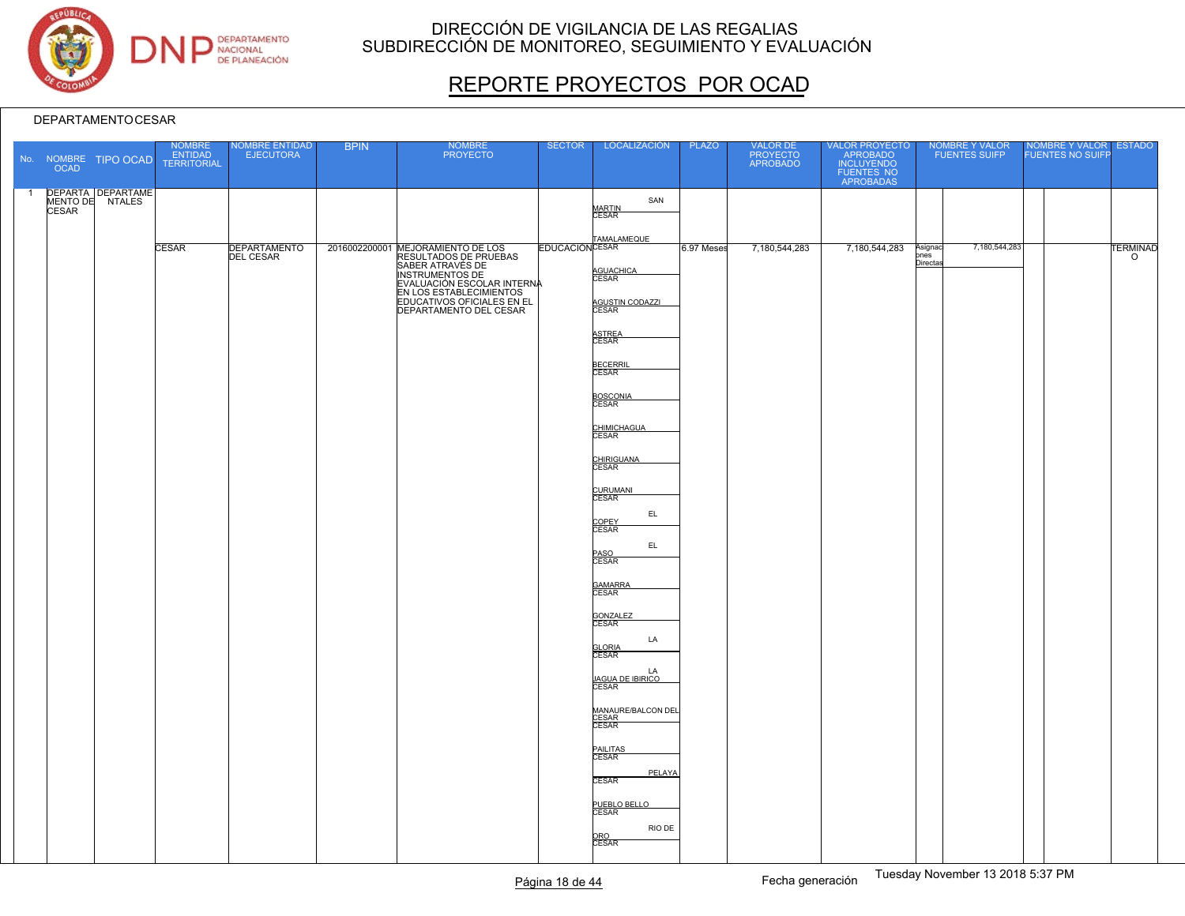

# REPORTE PROYECTOS POR OCAD

|                | OCAD  | No. NOMBRE TIPO OCAD                 | NOMBRE<br>ENTIDAD<br><b>TERRITORIAL</b> | NOMBRE ENTIDAD<br>EJECUTORA             | <b>BPIN</b> | <b>NOMBRE</b><br><b>PROYECTO</b>                                                                                                                                                                                   | <b>SECTOR</b>         | LOCALIZACIÓN                                                                                                                                                                                                                                                                      | <b>PLAZO</b> | VALOR DE<br>PROYECTO<br>APROBADO | VALOR PROYECTO<br>APROBADO<br>INCLUYENDO<br>FUENTES NO<br>APROBADAS |                            | NOMBRE Y VALOR<br>FUENTES SUIFP | NOMBRE Y VALOR ESTADO<br>FUENTES NO SUIFP |                            |
|----------------|-------|--------------------------------------|-----------------------------------------|-----------------------------------------|-------------|--------------------------------------------------------------------------------------------------------------------------------------------------------------------------------------------------------------------|-----------------------|-----------------------------------------------------------------------------------------------------------------------------------------------------------------------------------------------------------------------------------------------------------------------------------|--------------|----------------------------------|---------------------------------------------------------------------|----------------------------|---------------------------------|-------------------------------------------|----------------------------|
| $\overline{1}$ | CESAR | DEPARTA DEPARTAME<br>MENTO DE NTALES |                                         |                                         |             |                                                                                                                                                                                                                    |                       | SAN<br><b>MARTIN</b><br>CESAR                                                                                                                                                                                                                                                     |              |                                  |                                                                     |                            |                                 |                                           |                            |
|                |       |                                      | <b>CESAR</b>                            | <b>DEPARTAMENTO</b><br><b>DEL CESAR</b> |             | 2016002200001 MEJORAMIENTO DE LOS<br>RESULTADOS DE PRUEBAS<br>SABER ATRAVÉS DE<br>INSTRUMENTOS DE<br>EVALUACIÓN ESCOLAR INTERNA<br>EN LOS ESTABLECIMIENTOS<br>EDUCATIVOS OFICIALES EN EL<br>DEPARTAMENTO DEL CESAR | <b>EDUCACIÓNCESAR</b> | TAMALAMEQUE<br>AGUACHICA<br>CESAR<br>AGUSTIN CODAZZI<br>ASTREA<br>CESAR<br>BECERRIL<br>CESAR<br>BOSCONIA<br>CHIMICHAGUA<br>CESAR<br>CHIRIGUANA<br>CURUMANI<br>CESAR                                                                                                               | 6.97 Meses   | 7,180,544,283                    | 7,180,544,283                                                       | Asignac<br>pnes<br>Directa | 7,180,544,283                   |                                           | <b>TERMINAD</b><br>$\circ$ |
|                |       |                                      |                                         |                                         |             |                                                                                                                                                                                                                    |                       | EL.<br>COPEY<br>CESAR<br>EL.<br>PASO<br>CESAR<br>GAMARRA<br>GONZALEZ<br>CESAR<br>LA<br><b>GLORIA</b><br>CESAR<br>LA<br>JAGUA DE IBIRICO<br>CESAR<br>MANAURE/BALCON DEL<br>CESAR<br>CESAR<br>PAILITAS<br>CESAR<br>PELAYA<br><b>CESAR</b><br>PUEBLO BELLO<br>RIO DE<br>ORO<br>CESAR |              |                                  |                                                                     |                            |                                 |                                           |                            |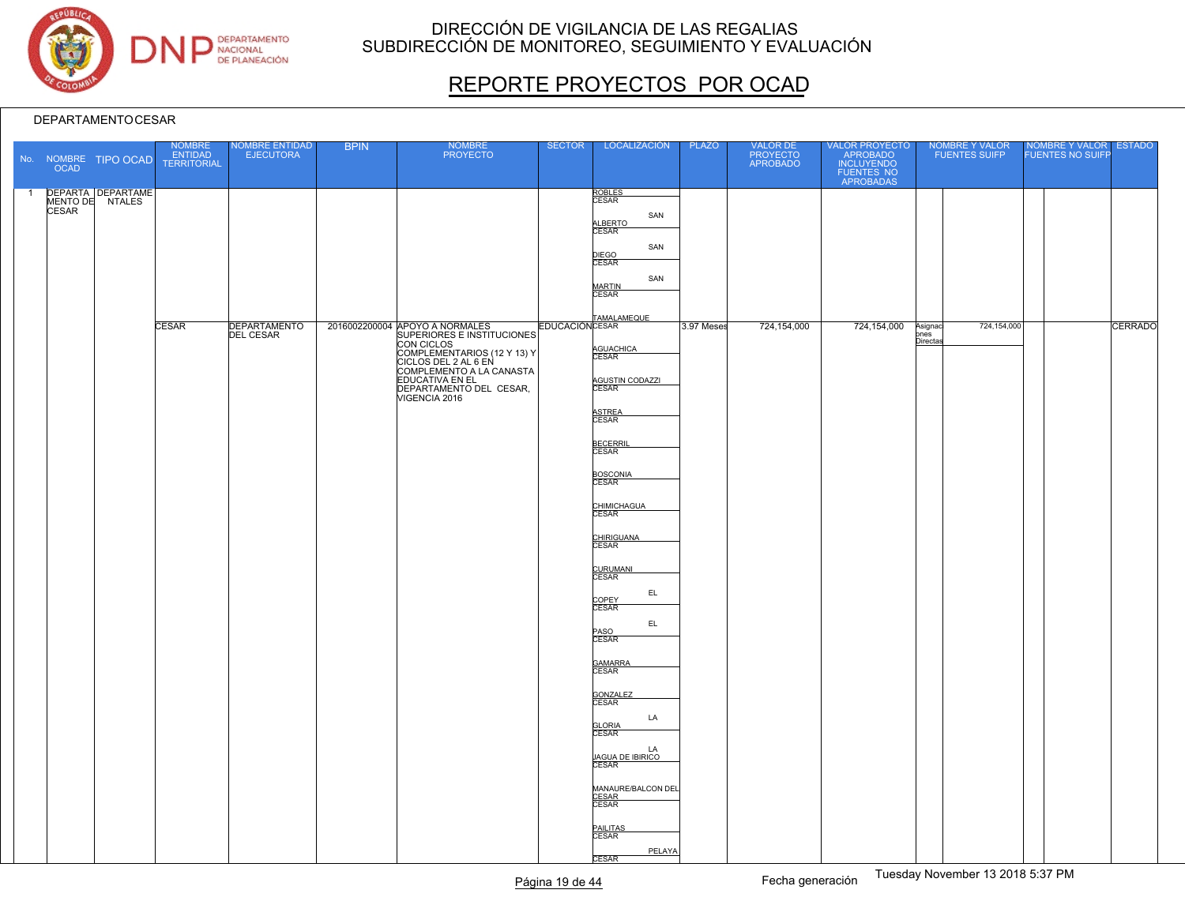

# REPORTE PROYECTOS POR OCAD

|                | <b>OCAD</b>  | No. NOMBRE TIPO OCAD                        | NOMBRE<br>ENTIDAD<br>TERRITORIAL | NOMBRE ENTIDAD<br><b>EJECUTORA</b> | <b>BPIN</b> | NOMBRE<br>PROYECTO                                                                                                                                                                                                           | <b>SECTOR</b> | LOCALIZACIÓN                                                                                                                                                                                                                                                                                                                | <b>PLAZO</b> | VALOR DE<br>PROYECTO<br>APROBADO |                                                                                    | NOMBRE Y VALOR<br>FUENTES SUIFP             | NOMBRE Y VALOR ESTADO<br>FUENTES NO SUIFP |         |
|----------------|--------------|---------------------------------------------|----------------------------------|------------------------------------|-------------|------------------------------------------------------------------------------------------------------------------------------------------------------------------------------------------------------------------------------|---------------|-----------------------------------------------------------------------------------------------------------------------------------------------------------------------------------------------------------------------------------------------------------------------------------------------------------------------------|--------------|----------------------------------|------------------------------------------------------------------------------------|---------------------------------------------|-------------------------------------------|---------|
| $\overline{1}$ | <b>CESAR</b> | <b>DEPARTA DEPARTAME</b><br>MENTO DE NTALES | <b>CESAR</b>                     | DEPARTAMENTO<br>DEL CESAR          |             | 2016002200004 APOYO A NORMALES<br>SUPERIORES E INSTITUCIONES<br>CON CICLOS<br>COMPLEMENTARIOS (12 Y 13) Y<br>CICLOS DEL 2 AL 6 EN<br>COMPLEMENTO A LA CANASTA<br>EDUCATIVA EN EL<br>DEPARTAMENTO DEL CESAR,<br>VIGENCIA 2016 |               | ROBLES<br>CESAR<br>SAN<br>ALBERTO<br>SAN<br>DIEGO<br>CESAR<br>SAN<br>MARTIN<br>CESAR<br><b>EDUCACIÓN</b> CESAR<br>AGUACHICA<br>CESAR<br>AGUSTIN CODAZZI<br>ASTREA<br>CESAR<br><b>BECERRIL</b><br>CESAR<br><b>BOSCONIA</b><br>CESAR<br>CHIMICHAGUA<br>CESAR<br>CHIRIGUANA<br>CURUMANI<br>CESAR<br>EL<br>COPEY<br>CESAR<br>EL | 3.97 Meses   | 724,154,000                      | VALOR PROYECTO<br>APROBADO<br>INCLUYENDO<br>FUENTES NO<br>APROBADAS<br>724,154,000 | 724,154,000<br>Asignaci<br>pnes<br>Directas |                                           | CERRADO |
|                |              |                                             |                                  |                                    |             |                                                                                                                                                                                                                              |               | PASO<br>CESAR<br>GAMARRA<br>CESAR<br><b>GONZALEZ</b><br>CESAR<br>LA<br><b>GLORIA</b><br>CESAR<br>LA<br>JAGUA DE IBIRICO<br>CESAR<br>MANAURE/BALCON DEL<br>CESAR<br>CESAR<br>PAILITAS<br>CESAR<br>PELAYA<br><b>CESAR</b>                                                                                                     |              |                                  |                                                                                    |                                             |                                           |         |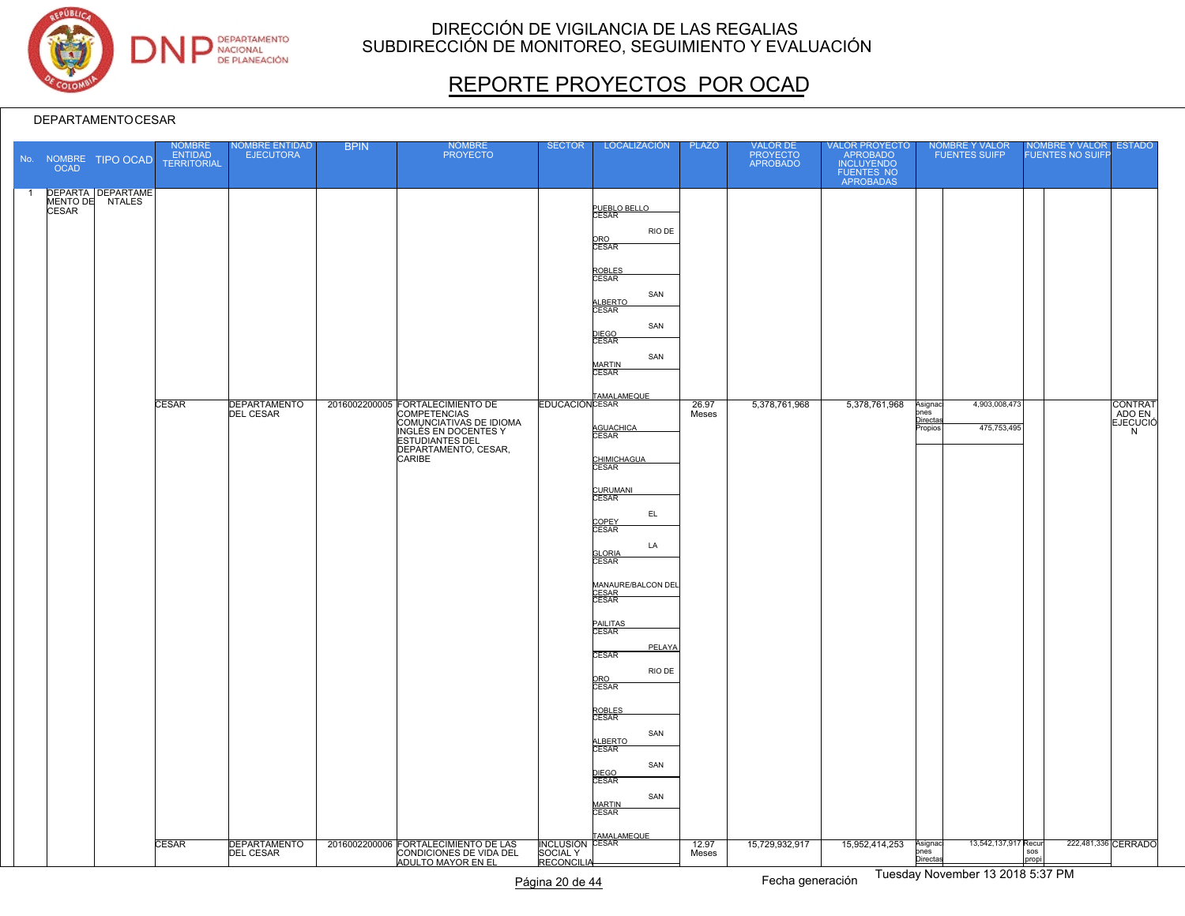

# REPORTE PROYECTOS POR OCAD

#### DEPARTAMENTOCESAR

|                | OCAD         | No. NOMBRE TIPO OCAD                        | NOMBRE<br><b>ENTIDAD</b><br><b>TERRITORIAL</b> | <b>IOMBRE ENTIDAD</b><br><b>EJECUTORA</b> | <b>BPIN</b> | <b>NOMBRE</b><br><b>PROYECTO</b>                                                                                                   | <b>SECTOR</b>     | LOCALIZACIÓN                                                                                                                                                                                                                                                                                                                                                                                     | <b>PLAZO</b>   | VALOR DE<br>PROYECTO<br>APROBADO | VALOR PROYECTO<br>APROBADO<br>INCLUYENDO<br>FUENTES NO<br>APROBADAS | <b>NOMBRE Y VALOR</b><br><b>FUENTES SUIFP</b>                                        | NOMBRE Y VALOR<br><b>FUENTES NO SUIFF</b> | <b>ESTADO</b>                      |
|----------------|--------------|---------------------------------------------|------------------------------------------------|-------------------------------------------|-------------|------------------------------------------------------------------------------------------------------------------------------------|-------------------|--------------------------------------------------------------------------------------------------------------------------------------------------------------------------------------------------------------------------------------------------------------------------------------------------------------------------------------------------------------------------------------------------|----------------|----------------------------------|---------------------------------------------------------------------|--------------------------------------------------------------------------------------|-------------------------------------------|------------------------------------|
| $\overline{1}$ | <b>CESAR</b> | <b>DEPARTA DEPARTAME</b><br>MENTO DE NTALES | <b>CESAR</b>                                   | <b>DEPARTAMENTO</b>                       |             | 2016002200005 FORTALECIMIENTO DE                                                                                                   |                   | PUEBLO BELLO<br>RIO DE<br>ORO<br>CESAR<br>ROBLES<br>CESAR<br>SAN<br>ALBERTO<br>CESAR<br>SAN<br>DIEGO<br>CESAR<br>SAN<br><b>MARTIN</b><br>CESAR<br>EDUCACIÓNCESAR                                                                                                                                                                                                                                 | 26.97          | 5,378,761,968                    | 5,378,761,968                                                       | 4,903,008,473<br>Asignac                                                             |                                           | <b>CONTRAT</b>                     |
|                |              |                                             | <b>CESAR</b>                                   | <b>DEL CESAR</b>                          |             | <b>COMPETENCIAS</b><br>COMUNCIATIVAS DE IDIOMA<br>INGLÉS EN DOCENTES Y<br><b>ESTUDIANTES DEL</b><br>DEPARTAMENTO, CESAR,<br>CARIBE |                   | AGUACHICA<br>CHIMICHAGUA<br>CURUMANI<br>CESAR<br>EL<br>COPEY<br><b>CESAR</b><br>LA<br><b>GLORIA</b><br>CESAR<br>MANAURE/BALCON DEL<br>CESAR<br>CESAR<br><b>PAILITAS</b><br>CESAR<br>PELAYA<br><b>CESAR</b><br>RIO DE<br>ORO<br><b>CESAR</b><br>ROBLES<br>CESAR<br>SAN<br>ALBERTO<br>CESAR<br>SAN<br>DIEGO<br>CESAR<br>SAN<br><b>MARTIN</b><br><b>CESAR</b><br>TAMALAMEQUE<br>SOCIAL Y<br>RECONOW | Meses<br>12.97 | 15,729,932,917                   | 15,952,414,253                                                      | ones<br>Directa<br>475,753,495<br>'ropios<br>13,542,137,917 Recur<br>Asignac<br>pnes |                                           | ADO EN<br>N<br>222,481,336 CERRADO |
|                |              |                                             |                                                | DEPARTAMENTO                              |             | 2016002200006 FORTALECIMIENTO DE LAS<br>CONDICIONES DE VIDA DEL<br>ADULTO MAYOR EN EL                                              | <b>RECONCILIA</b> |                                                                                                                                                                                                                                                                                                                                                                                                  | Meses          |                                  |                                                                     | Directas<br>$T_{\text{total}}$ $\sim$ M $\sim$ $\sim$ $\sim$ 48.8848.5.87.014        | sos<br>propi                              |                                    |

Tuesday November 13 2018 5:37 PM Página 20 de 44 Fecha generación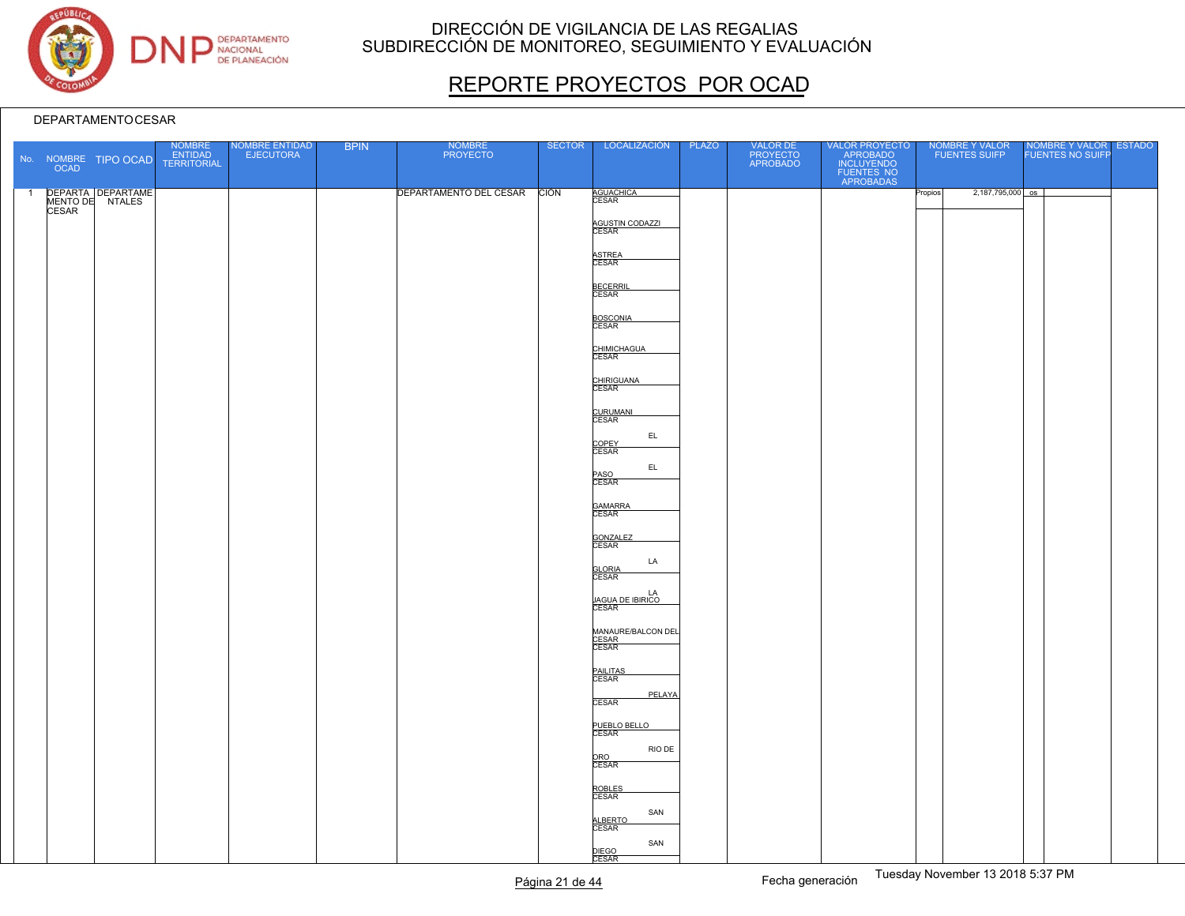

# REPORTE PROYECTOS POR OCAD

|                | <b>OCAD</b>  | No. NOMBRE TIPO OCAD | NOMBRE<br>ENTIDAD<br>TERRITORIAL | NOMBRE ENTIDAD<br>EJECUTORA | <b>BPIN</b> | NOMBRE<br>PROYECTO          | <b>SECTOR</b> | LOCALIZACIÓN                           | PLAZO | VALOR DE<br>PROYECTO<br>APROBADO | VALOR PROYECTO<br>APROBADO<br>INCLUYENDO<br>FUENTES NO<br>APROBADAS |         | NOMBRE Y VALOR<br>FUENTES SUIFP | NOMBRE Y VALOR ESTADO |  |
|----------------|--------------|----------------------|----------------------------------|-----------------------------|-------------|-----------------------------|---------------|----------------------------------------|-------|----------------------------------|---------------------------------------------------------------------|---------|---------------------------------|-----------------------|--|
| $\overline{1}$ |              | DEPARTA DEPARTAME    |                                  |                             |             | DEPARTAMENTO DEL CESAR CIÓN |               | AGUACHICA<br>CESAR                     |       |                                  |                                                                     | Propios | $2,187,795,000$ os              |                       |  |
|                | <b>CESAR</b> |                      |                                  |                             |             |                             |               |                                        |       |                                  |                                                                     |         |                                 |                       |  |
|                |              |                      |                                  |                             |             |                             |               | AGUSTIN CODAZZI                        |       |                                  |                                                                     |         |                                 |                       |  |
|                |              |                      |                                  |                             |             |                             |               |                                        |       |                                  |                                                                     |         |                                 |                       |  |
|                |              |                      |                                  |                             |             |                             |               | ASTREA<br>CESAR                        |       |                                  |                                                                     |         |                                 |                       |  |
|                |              |                      |                                  |                             |             |                             |               | BECERRIL<br>CESAR                      |       |                                  |                                                                     |         |                                 |                       |  |
|                |              |                      |                                  |                             |             |                             |               |                                        |       |                                  |                                                                     |         |                                 |                       |  |
|                |              |                      |                                  |                             |             |                             |               | BOSCONIA                               |       |                                  |                                                                     |         |                                 |                       |  |
|                |              |                      |                                  |                             |             |                             |               |                                        |       |                                  |                                                                     |         |                                 |                       |  |
|                |              |                      |                                  |                             |             |                             |               | CHIMICHAGUA<br>CESAR                   |       |                                  |                                                                     |         |                                 |                       |  |
|                |              |                      |                                  |                             |             |                             |               |                                        |       |                                  |                                                                     |         |                                 |                       |  |
|                |              |                      |                                  |                             |             |                             |               | CHIRIGUANA<br>CESAR                    |       |                                  |                                                                     |         |                                 |                       |  |
|                |              |                      |                                  |                             |             |                             |               | CURUMANI<br>CESAR                      |       |                                  |                                                                     |         |                                 |                       |  |
|                |              |                      |                                  |                             |             |                             |               | EL                                     |       |                                  |                                                                     |         |                                 |                       |  |
|                |              |                      |                                  |                             |             |                             |               | COPEY<br>CESAR                         |       |                                  |                                                                     |         |                                 |                       |  |
|                |              |                      |                                  |                             |             |                             |               | EL.                                    |       |                                  |                                                                     |         |                                 |                       |  |
|                |              |                      |                                  |                             |             |                             |               | PASO<br>CESAR                          |       |                                  |                                                                     |         |                                 |                       |  |
|                |              |                      |                                  |                             |             |                             |               | GAMARRA<br>CESAR                       |       |                                  |                                                                     |         |                                 |                       |  |
|                |              |                      |                                  |                             |             |                             |               |                                        |       |                                  |                                                                     |         |                                 |                       |  |
|                |              |                      |                                  |                             |             |                             |               | GONZALEZ<br>CESAR                      |       |                                  |                                                                     |         |                                 |                       |  |
|                |              |                      |                                  |                             |             |                             |               | LA                                     |       |                                  |                                                                     |         |                                 |                       |  |
|                |              |                      |                                  |                             |             |                             |               | <b>GLORIA</b><br>CESAR                 |       |                                  |                                                                     |         |                                 |                       |  |
|                |              |                      |                                  |                             |             |                             |               | LA<br><u>JAGUA DE IBIRICO</u><br>CESAR |       |                                  |                                                                     |         |                                 |                       |  |
|                |              |                      |                                  |                             |             |                             |               |                                        |       |                                  |                                                                     |         |                                 |                       |  |
|                |              |                      |                                  |                             |             |                             |               | MANAURE/BALCON DEL                     |       |                                  |                                                                     |         |                                 |                       |  |
|                |              |                      |                                  |                             |             |                             |               | CESAR<br>CESAR                         |       |                                  |                                                                     |         |                                 |                       |  |
|                |              |                      |                                  |                             |             |                             |               | PAILITAS<br>CESAR                      |       |                                  |                                                                     |         |                                 |                       |  |
|                |              |                      |                                  |                             |             |                             |               |                                        |       |                                  |                                                                     |         |                                 |                       |  |
|                |              |                      |                                  |                             |             |                             |               | PELAYA<br><b>CESAR</b>                 |       |                                  |                                                                     |         |                                 |                       |  |
|                |              |                      |                                  |                             |             |                             |               | PUEBLO BELLO                           |       |                                  |                                                                     |         |                                 |                       |  |
|                |              |                      |                                  |                             |             |                             |               |                                        |       |                                  |                                                                     |         |                                 |                       |  |
|                |              |                      |                                  |                             |             |                             |               | RIO DE<br>ORO<br>CESAR                 |       |                                  |                                                                     |         |                                 |                       |  |
|                |              |                      |                                  |                             |             |                             |               |                                        |       |                                  |                                                                     |         |                                 |                       |  |
|                |              |                      |                                  |                             |             |                             |               | ROBLES<br>CESAR                        |       |                                  |                                                                     |         |                                 |                       |  |
|                |              |                      |                                  |                             |             |                             |               | SAN                                    |       |                                  |                                                                     |         |                                 |                       |  |
|                |              |                      |                                  |                             |             |                             |               | ALBERTO<br>CESAR                       |       |                                  |                                                                     |         |                                 |                       |  |
|                |              |                      |                                  |                             |             |                             |               | SAN<br>DIEGO<br>CESAR                  |       |                                  |                                                                     |         |                                 |                       |  |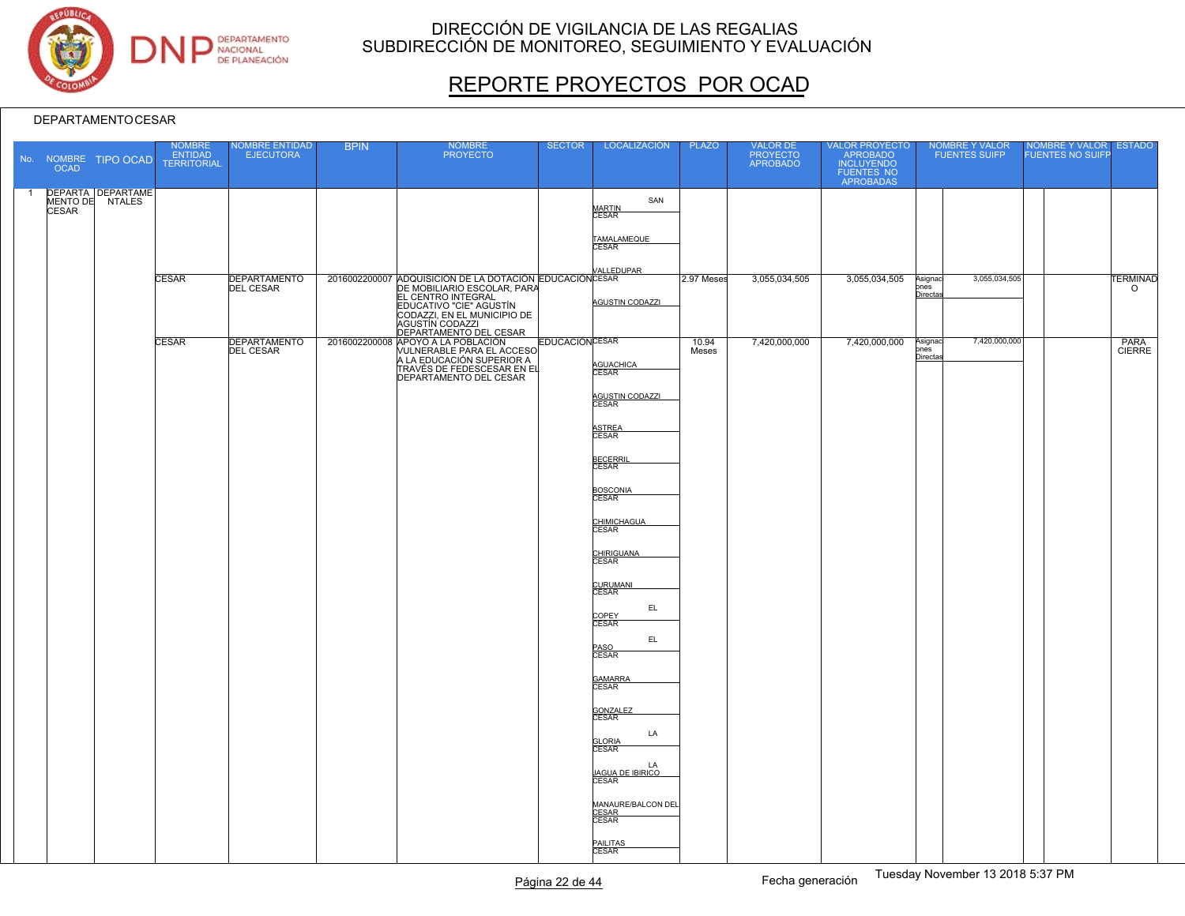

# REPORTE PROYECTOS POR OCAD

|                | <b>OCAD</b>  | No. NOMBRE TIPO OCAD                 | <b>NOMBRE</b><br>ENTIDAD<br><b>TERRITORIAL</b> | <b>VOMBRE ENTIDAD</b><br><b>EJECUTORA</b> | <b>BPIN</b> | <b>NOMBRE</b><br><b>PROYECTO</b>                                                                                                                                                                                                                           | <b>SECTOR</b>          | LOCALIZACIÓN                                                        | <b>PLAZO</b>   | VALOR DE<br>PROYECTO<br>APROBADO | VALOR PROYECTO<br>APROBADO<br>INCLUYENDO<br>FUENTES NO<br>APROBADAS | NOMBRE Y VALOR<br><b>FUENTES SUIFP</b>             | NOMBRE Y VALOR ESTADO<br>FUENTES NO SUIFP |                            |
|----------------|--------------|--------------------------------------|------------------------------------------------|-------------------------------------------|-------------|------------------------------------------------------------------------------------------------------------------------------------------------------------------------------------------------------------------------------------------------------------|------------------------|---------------------------------------------------------------------|----------------|----------------------------------|---------------------------------------------------------------------|----------------------------------------------------|-------------------------------------------|----------------------------|
| $\overline{1}$ | <b>CESAR</b> | DEPARTA DEPARTAME<br>MENTO DE NTALES |                                                |                                           |             |                                                                                                                                                                                                                                                            |                        | SAN<br><b>MARTIN</b><br>CESAR<br>TAMALAMEQUE<br>CESAR<br>VALLEDUPAR |                |                                  |                                                                     |                                                    |                                           |                            |
|                |              |                                      | <b>CESAR</b>                                   | <b>DEPARTAMENTO</b><br><b>DEL CESAR</b>   |             | 2016002200007 ADQUISICIÓN DE LA DOTACIÓN EDUCACIÓN CESAR<br>DE MOBILIARIO ESCOLAR, PARA<br>EL CENTRO INTEGRAL<br>EDUCATIVO "CIE" AGUSTÍN<br>CODAZZI, EN EL MUNICIPIO DE<br>AGUSTIN CODAZZI<br>DEPARTAMENTO DEL CESAR<br>2016002200008 APOYO A LA POBLACIÓN |                        | <b>AGUSTIN CODAZZI</b>                                              | 2.97 Meses     | 3,055,034,505                    | 3,055,034,505                                                       | 3,055,034,505<br>Asignad<br>pnes<br><b>Directa</b> |                                           | <b>TERMINAD</b><br>$\circ$ |
|                |              |                                      | <b>CESAR</b>                                   | <b>DEPARTAMENTO</b><br><b>DEL CESAR</b>   |             | VULNERABLE PARA EL ACCESO<br>TRAVÉS DE FEDESCESAR EN EL<br>DEPARTAMENTO DEL CESAR                                                                                                                                                                          | <b>EDUCACIÓN CESAR</b> | AGUACHICA<br>AGUSTIN CODAZZI                                        | 10.94<br>Meses | 7,420,000,000                    | 7,420,000,000                                                       | 7,420,000,000<br>Asignad<br>pnes<br>Directa        |                                           | PARA<br>CIERRE             |
|                |              |                                      |                                                |                                           |             |                                                                                                                                                                                                                                                            |                        | ASTREA<br>CESAR<br><b>BECERRIL</b>                                  |                |                                  |                                                                     |                                                    |                                           |                            |
|                |              |                                      |                                                |                                           |             |                                                                                                                                                                                                                                                            |                        | <b>CESAR</b><br>BOSCONIA<br>CESAR<br>CHIMICHAGUA<br>CESAR           |                |                                  |                                                                     |                                                    |                                           |                            |
|                |              |                                      |                                                |                                           |             |                                                                                                                                                                                                                                                            |                        | CHIRIGUANA<br>CESAR<br>CURUMANI<br>CESAR                            |                |                                  |                                                                     |                                                    |                                           |                            |
|                |              |                                      |                                                |                                           |             |                                                                                                                                                                                                                                                            |                        | EL.<br>COPEY<br>CESAR<br>$\mathsf{EL}$<br>PASO<br>CESAR             |                |                                  |                                                                     |                                                    |                                           |                            |
|                |              |                                      |                                                |                                           |             |                                                                                                                                                                                                                                                            |                        | GAMARRA<br>CESAR<br>GONZALEZ<br>CESAR                               |                |                                  |                                                                     |                                                    |                                           |                            |
|                |              |                                      |                                                |                                           |             |                                                                                                                                                                                                                                                            |                        | LA<br><b>GLORIA</b><br>CESAR<br>LA<br>JAGUA DE IBIRICO<br>CESAR     |                |                                  |                                                                     |                                                    |                                           |                            |
|                |              |                                      |                                                |                                           |             |                                                                                                                                                                                                                                                            |                        | MANAURE/BALCON DEL<br>CESAR<br>CESAR<br>PAILITAS<br>CESAR           |                |                                  |                                                                     |                                                    |                                           |                            |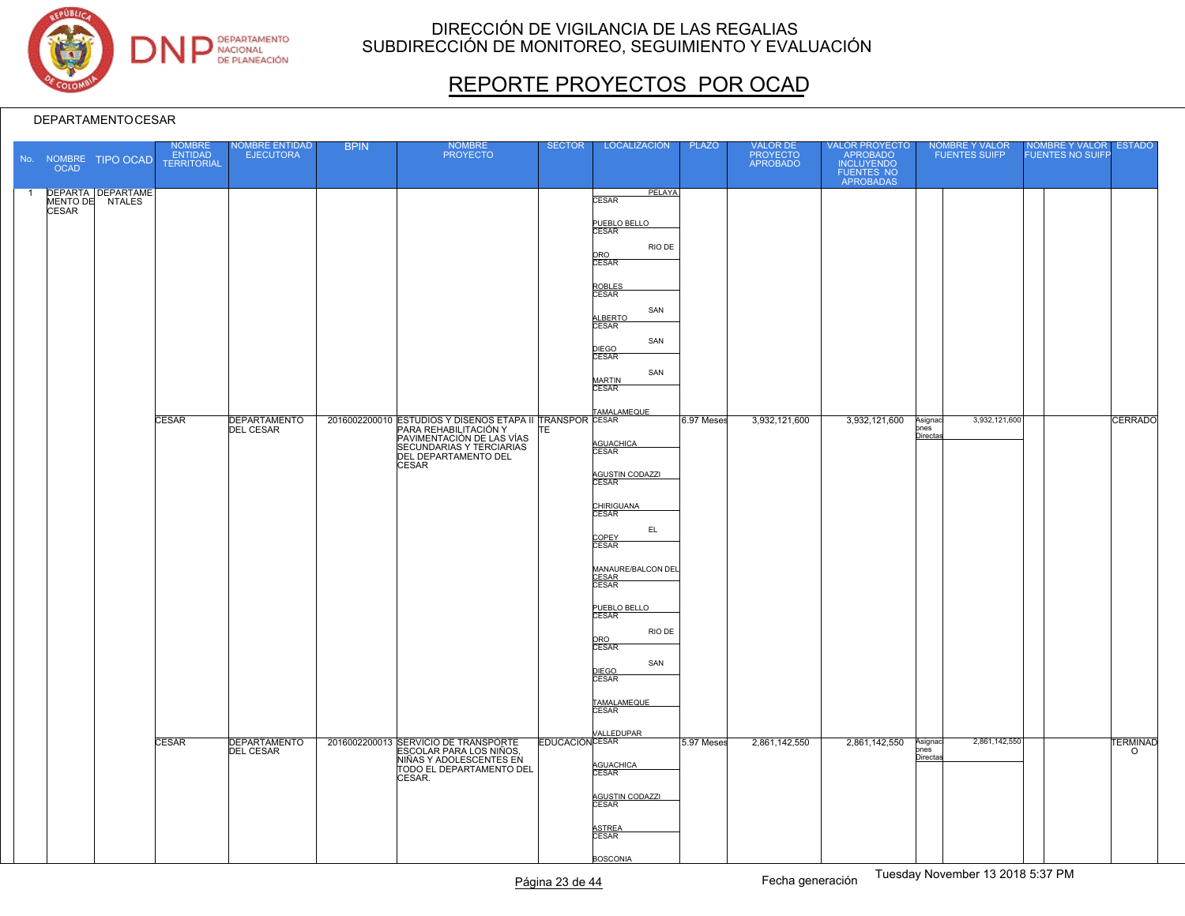

# REPORTE PROYECTOS POR OCAD

|                | <b>OCAD</b>  | No. NOMBRE TIPO OCAD                        | NOMBRE<br>ENTIDAD<br>TERRITORIAL | <b>VOMBRE ENTIDAD</b><br><b>EJECUTORA</b> | <b>BPIN</b> | <b>NOMBRE</b><br><b>PROYECTO</b>                                                                                                                                                                                                                               | <b>SECTOR</b> | LOCALIZACIÓN                                                                                                                                                                                                                                                                                                                                                                                                                  | <b>PLAZO</b> | VALOR DE<br>PROYECTO<br>APROBADO | VALOR PROYECTO<br>APROBADO<br>INCLUYENDO<br>FUENTES NO<br>APROBADAS | NOMBRE Y VALOR<br><b>FUENTES SUIFP</b>                        | NOMBRE Y VALOR<br>FUENTES NO SUIFF | <b>ESTADO</b>                     |
|----------------|--------------|---------------------------------------------|----------------------------------|-------------------------------------------|-------------|----------------------------------------------------------------------------------------------------------------------------------------------------------------------------------------------------------------------------------------------------------------|---------------|-------------------------------------------------------------------------------------------------------------------------------------------------------------------------------------------------------------------------------------------------------------------------------------------------------------------------------------------------------------------------------------------------------------------------------|--------------|----------------------------------|---------------------------------------------------------------------|---------------------------------------------------------------|------------------------------------|-----------------------------------|
| $\overline{1}$ | <b>CESAR</b> | <b>DEPARTA DEPARTAME</b><br>MENTO DE NTALES | <b>CESAR</b><br><b>CESAR</b>     | <b>DEPARTAMENTO</b><br><b>DEL CESAR</b>   |             | 2016002200010 ESTUDIOS Y DISEÑOS ETAPA II TRANSPOR CESAR<br>PARA REHABILITACIÓN Y<br>PARIMENTACIÓN DE LAS VÍAS<br>EFCLINDADIAS Y TEDOLECIÓN<br><b>SECUNDARIAS Y TERCIARIAS</b><br>DEL DEPARTAMENTO DEL<br><b>CESAR</b><br>2016002200013 SERVICIO DE TRANSPORTE |               | PELAYA<br><b>CESAR</b><br>PUEBLO BELLO<br>CESAR<br>RIO DE<br>ORO<br>CESAR<br>ROBLES<br>CESAR<br>SAN<br>ALBERTO<br>CESAR<br>SAN<br>DIEGO<br>CESAR<br>SAN<br>MARTIN<br>CESAR<br>AGUACHICA<br>AGUSTIN CODAZZI<br>CHIRIGUANA<br>CESAR<br>EL.<br>COPEY<br>CESAR<br>MANAURE/BALCON DEL<br><b>CESAR</b><br>CESAR<br>PUEBLO BELLO<br>RIO DE<br>ORO<br>CESAR<br>SAN<br>DIEGO<br>CESAR<br>TAMALAMEQUE<br>CESAR<br><b>EDUCACIÓNCESAR</b> | 6.97 Meses   | 3,932,121,600                    | 3,932,121,600<br>2,861,142,550                                      | 3,932,121,600<br>Asignaci<br>ones<br>Directa<br>2,861,142,550 |                                    | CERRADO<br><b><i>TERMINAD</i></b> |
|                |              |                                             |                                  | <b>DEPARTAMENTO</b><br><b>DEL CESAR</b>   |             | ESCOLAR PARA LOS NIÑOS,<br>NIÑAS Y ADOLESCENTES EN<br>TODO EL DEPARTAMENTO DEL<br>CESAR.                                                                                                                                                                       |               | AGUACHICA<br>CESAR<br>AGUSTIN CODAZZI<br>CESAR<br>ASTREA<br>CESAR<br><b>BOSCONIA</b>                                                                                                                                                                                                                                                                                                                                          | 5.97 Meses   | 2,861,142,550                    |                                                                     | Asignad<br>ones<br>Directas                                   |                                    | $\circ$                           |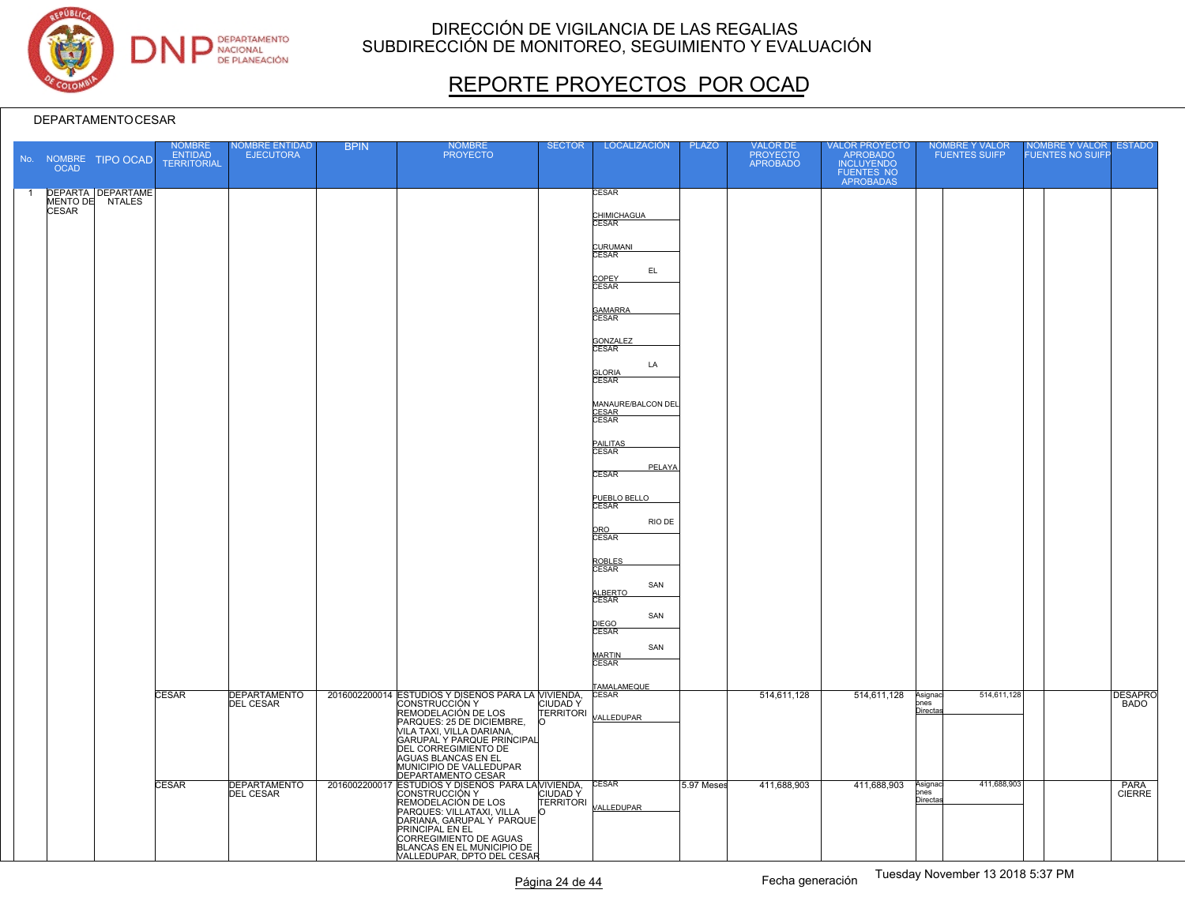

# REPORTE PROYECTOS POR OCAD

|                | <b>OCAD</b>  | No. NOMBRE TIPO OCAD                        | NOMBRE<br>ENTIDAD<br><b>TERRITORIAL</b> | NOMBRE ENTIDAD<br><b>EJECUTORA</b>      | <b>BPIN</b> | <b>NOMBRE</b><br><b>PROYECTO</b>                                                                                                                                      | <b>SECTOR</b>                      | LOCALIZACIÓN                                | <b>PLAZO</b> | <b>VALOR DE</b><br>PROYECTO<br>APROBADO | VALOR PROYECTO<br>APROBADO<br>INCLUYENDO<br>FUENTES NO<br>APROBADAS | NOMBRE Y VALOR<br><b>FUENTES SUIFP</b>            | NOMBRE Y VALOR<br>FUENTES NO SUIFP<br><b>ESTADO</b> |
|----------------|--------------|---------------------------------------------|-----------------------------------------|-----------------------------------------|-------------|-----------------------------------------------------------------------------------------------------------------------------------------------------------------------|------------------------------------|---------------------------------------------|--------------|-----------------------------------------|---------------------------------------------------------------------|---------------------------------------------------|-----------------------------------------------------|
| $\overline{1}$ |              | <b>DEPARTA DEPARTAME</b><br>MENTO DE NTALES |                                         |                                         |             |                                                                                                                                                                       |                                    | <b>CESAR</b>                                |              |                                         |                                                                     |                                                   |                                                     |
|                | <b>CESAR</b> |                                             |                                         |                                         |             |                                                                                                                                                                       |                                    | CHIMICHAGUA<br>CESAR                        |              |                                         |                                                                     |                                                   |                                                     |
|                |              |                                             |                                         |                                         |             |                                                                                                                                                                       |                                    | CURUMANI<br>CESAR<br>EL.                    |              |                                         |                                                                     |                                                   |                                                     |
|                |              |                                             |                                         |                                         |             |                                                                                                                                                                       |                                    | COPEY<br>CESAR                              |              |                                         |                                                                     |                                                   |                                                     |
|                |              |                                             |                                         |                                         |             |                                                                                                                                                                       |                                    | GAMARRA<br>CESAR                            |              |                                         |                                                                     |                                                   |                                                     |
|                |              |                                             |                                         |                                         |             |                                                                                                                                                                       |                                    | GONZALEZ<br>CESAR<br>LA<br><b>GLORIA</b>    |              |                                         |                                                                     |                                                   |                                                     |
|                |              |                                             |                                         |                                         |             |                                                                                                                                                                       |                                    | <b>CESAR</b><br>MANAURE/BALCON DEL          |              |                                         |                                                                     |                                                   |                                                     |
|                |              |                                             |                                         |                                         |             |                                                                                                                                                                       |                                    | CESAR<br>CESAR                              |              |                                         |                                                                     |                                                   |                                                     |
|                |              |                                             |                                         |                                         |             |                                                                                                                                                                       |                                    | PAILITAS<br>CESAR<br>PELAYA<br><b>CESAR</b> |              |                                         |                                                                     |                                                   |                                                     |
|                |              |                                             |                                         |                                         |             |                                                                                                                                                                       |                                    | PUEBLO BELLO<br>CESAR                       |              |                                         |                                                                     |                                                   |                                                     |
|                |              |                                             |                                         |                                         |             |                                                                                                                                                                       |                                    | RIO DE<br>ORO<br>CESAR                      |              |                                         |                                                                     |                                                   |                                                     |
|                |              |                                             |                                         |                                         |             |                                                                                                                                                                       |                                    | ROBLES<br>CESAR                             |              |                                         |                                                                     |                                                   |                                                     |
|                |              |                                             |                                         |                                         |             |                                                                                                                                                                       |                                    | SAN<br>ALBERTO                              |              |                                         |                                                                     |                                                   |                                                     |
|                |              |                                             |                                         |                                         |             |                                                                                                                                                                       |                                    | SAN<br>DIEGO<br>CESAR<br>SAN                |              |                                         |                                                                     |                                                   |                                                     |
|                |              |                                             |                                         |                                         |             |                                                                                                                                                                       |                                    | MARTIN<br>CESAR                             |              |                                         |                                                                     |                                                   |                                                     |
|                |              |                                             | CESAR                                   | <b>DEPARTAMENTO</b><br><b>DEL CESAR</b> |             | 2016002200014 ESTUDIOS Y DISEÑOS PARA LA VIVIENDA,<br>CONSTRUCCIÓN Y<br>REMODELACIÓN DE LOS                                                                           | <b>CIUDADY</b><br><b>TERRITORI</b> | TAMALAMEQUE<br>CESAR<br>VALLEDUPAR          |              | 514,611,128                             | 514,611,128                                                         | 514,611,128<br>Asignaci<br>pnes<br>Directas       | <b>DESAPRO</b><br><b>BADO</b>                       |
|                |              |                                             |                                         |                                         |             | PARQUES: 25 DE DICIEMBRE,<br>VILA TAXI, VILLA DARIANA,<br>GARUPAL Y PARQUE PRINCIPAL<br><b>DEL CORREGIMIENTO DE</b><br>AGUAS BLANCAS EN EL<br>MUNICIPIO DE VALLEDUPAR | $\circ$                            |                                             |              |                                         |                                                                     |                                                   |                                                     |
|                |              |                                             | <b>CESAR</b>                            | <b>DEPARTAMENTO</b><br><b>DEL CESAR</b> |             | DEPARTAMENTO CESAR<br>2016002200017 ESTUDIOS Y DISEÑOS PARA LAMIVIENDA,<br>CONSTRUCCIÓN Y<br>REMODELACIÓN DE LOS                                                      | <b>TERRITORI</b>                   | <b>CESAR</b>                                | 5.97 Meses   | 411,688,903                             | 411,688,903                                                         | 411,688,903<br>Asignaci<br>ones<br><b>Directa</b> | PARA<br><b>CIERRE</b>                               |
|                |              |                                             |                                         |                                         |             | PARQUES: VILLATAXI, VILLA<br>DARIANA, GARUPAL Y PARQUE<br>PRINCIPAL EN EL<br>CORREGIMIENTO DE AGUAS<br>BLANCAS EN EL MUNICIPIO DE<br>VALLEDUPAR, DPTO DEL CESAR       |                                    | VALLEDUPAR                                  |              |                                         |                                                                     |                                                   |                                                     |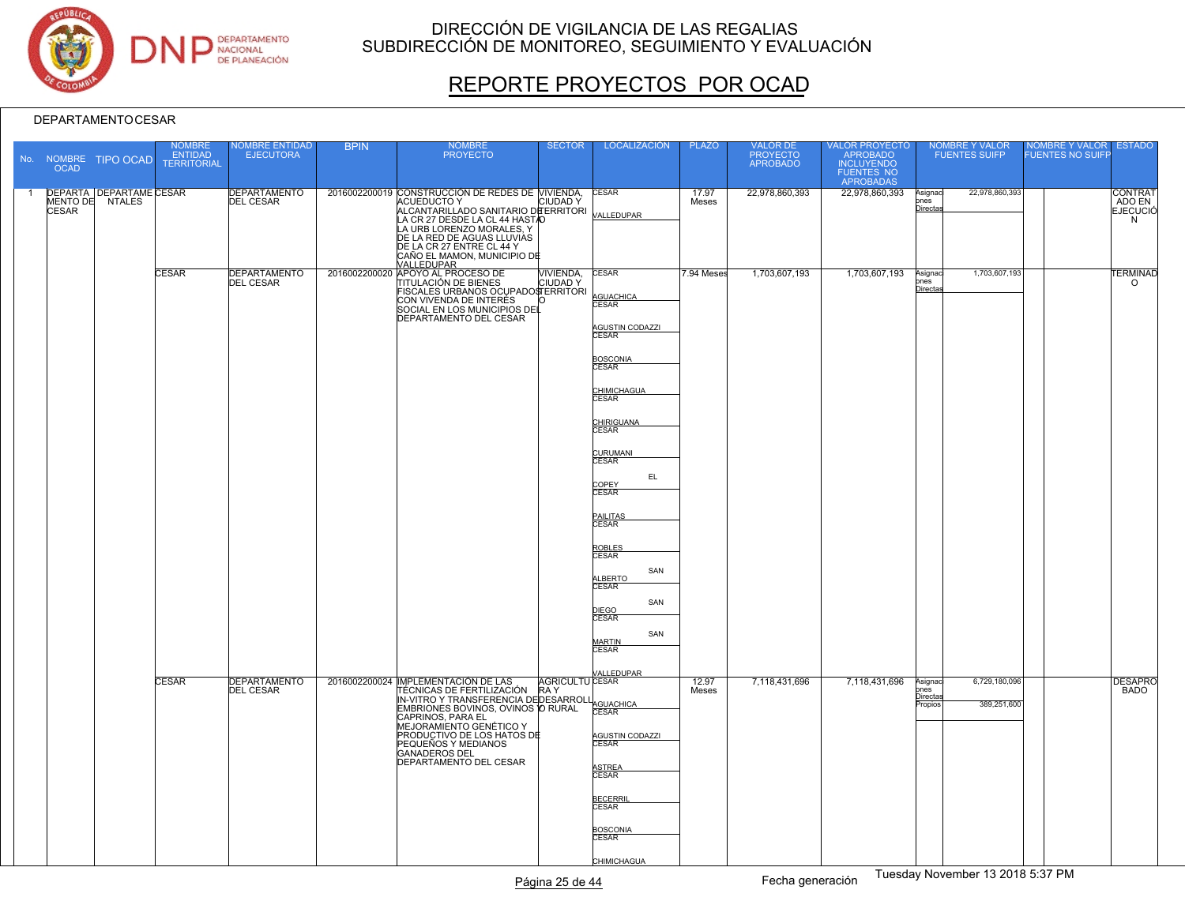

# REPORTE PROYECTOS POR OCAD

|                | <b>OCAD</b>  | No. NOMBRE TIPO OCAD                              | <b>NOMBRE</b><br><b>ENTIDAD</b><br><b>TERRITORIAL</b> | <b>NOMBRE ENTIDAD</b><br><b>EJECUTORA</b>                      | <b>BPIN</b> | <b>NOMBRE</b><br><b>PROYECTO</b>                                                                                                                                                                                                                                               | <b>SECTOR</b>                                              | <b>LOCALIZACIÓN</b>                                                                                                                                                                                                                                                                                                     | <b>PLAZO</b>        | VALOR DE<br>PROYECTO<br>APROBADO | VALOR PROYECTO<br>APROBADO<br>INCLUYENDO<br>FUENTES NO<br>APROBADAS |                                       | <b>NOMBRE Y VALOR</b><br><b>FUENTES SUIFP</b> | <b>NOMBRE Y VALOR</b><br><b>FUENTES NO SUIFF</b> | <b>ESTADO</b>                                    |
|----------------|--------------|---------------------------------------------------|-------------------------------------------------------|----------------------------------------------------------------|-------------|--------------------------------------------------------------------------------------------------------------------------------------------------------------------------------------------------------------------------------------------------------------------------------|------------------------------------------------------------|-------------------------------------------------------------------------------------------------------------------------------------------------------------------------------------------------------------------------------------------------------------------------------------------------------------------------|---------------------|----------------------------------|---------------------------------------------------------------------|---------------------------------------|-----------------------------------------------|--------------------------------------------------|--------------------------------------------------|
| $\overline{1}$ | <b>CESAR</b> | <b>DEPARTA DEPARTAME CESAR</b><br>MENTO DE NTALES |                                                       | <b>DEPARTAMENTO</b><br><b>DEL CESAR</b>                        |             | 2016002200019 CONSTRUCCIÓN DE REDES DE MIVIENDA,<br>ACUEDUCTO Y<br>ALCANTARILLADO SANITARIO DE ERRITORI<br>LA CR 27 DESDE LA CL 44 HASTAO<br>LA URB LORENZO MORALES, Y<br>DE LA RED DE AGUAS LLUVIAS<br>DE LA CR 27 ENTRE CL 44 Y<br>CAÑO EL MAMON, MUNICIPIO DE<br>VALLEDUPAR |                                                            | <b>CESAR</b><br>VALLEDUPAR                                                                                                                                                                                                                                                                                              | 17.97<br>Meses      | 22,978,860,393                   | 22,978,860,393                                                      | Asignac<br>ones<br>Directa            | 22,978,860,393                                |                                                  | <b>CONTRAT</b><br>ADO EN<br><b>EJECUCIÓ</b><br>N |
|                |              |                                                   | <b>CESAR</b><br>CESAR                                 | <b>DEPARTAMENTO</b><br><b>DEL CESAR</b><br><b>DEPARTAMENTO</b> |             | 2016002200020 APOYO AL PROCESO DE<br>FISCALES URBANOS OCUPADOSTERRITORI<br>CON VIVENDA DE INTERÉS<br>SOCIAL EN LOS MUNICIPIOS DEL<br>DEPARTAMENTO DEL CESAR<br>2016002200024 MPLEMENTACIÓN DE LAS                                                                              | VIVIENDA,<br><b>CIUDADY</b><br>n<br><b>AGRICULTU CESAR</b> | <b>CESAR</b><br>AGUACHICA<br>CESAR<br>AGUSTIN CODAZZI<br><u>BOSCONIA</u><br>CESAR<br>CHIMICHAGUA<br>CESAR<br>CHIRIGUANA<br>CESAR<br>CURUMANI<br>EL.<br>COPEY<br>CESAR<br>PAILITAS<br>CESAR<br>ROBLES<br>CESAR<br>SAN<br>ALBERTO<br>CESAR<br>SAN<br>DIEGO<br>CESAR<br>SAN<br><b>MARTIN</b><br><b>CESAR</b><br>/ALLEDUPAR | 7.94 Meses<br>12.97 | 1,703,607,193<br>7,118,431,696   | 1,703,607,193<br>7,118,431,696                                      | Asignac<br>pnes<br>Directa<br>Asignac | 1,703,607,193<br>6,729,180,096                |                                                  | <b>TERMINAD</b><br>$\circ$<br><b>DESAPRO</b>     |
|                |              |                                                   |                                                       | <b>DEL CESAR</b>                                               |             | TÉCNICAS DE FERTILIZACIÓN RAY<br>IN-VITRO Y TRANSFERENCIA DEDESARROLI<br>EMBRIONES BOVINOS, OVINOS O RURAL<br>CAPRINOS, PARA EL<br>MEJORAMIENTO GENÉTICO Y<br>PRODUCTIVO DE LOS HATOS DE<br>PEQUEÑOS Y MEDIANOS<br><b>GANADEROS DEL</b><br>DEPARTAMENTO DEL CESAR              |                                                            | AGUACHICA<br>CESAR<br>AGUSTIN CODAZZI<br>CESAR<br>ASTREA<br>CESAR<br>BECERRI<br>CESAR<br><b>BOSCONIA</b><br>CESAR<br>CHIMICHAGUA                                                                                                                                                                                        | Meses               |                                  |                                                                     | nes<br><u>Directa</u><br>ropios       | 389,251,600                                   |                                                  | <b>BADO</b>                                      |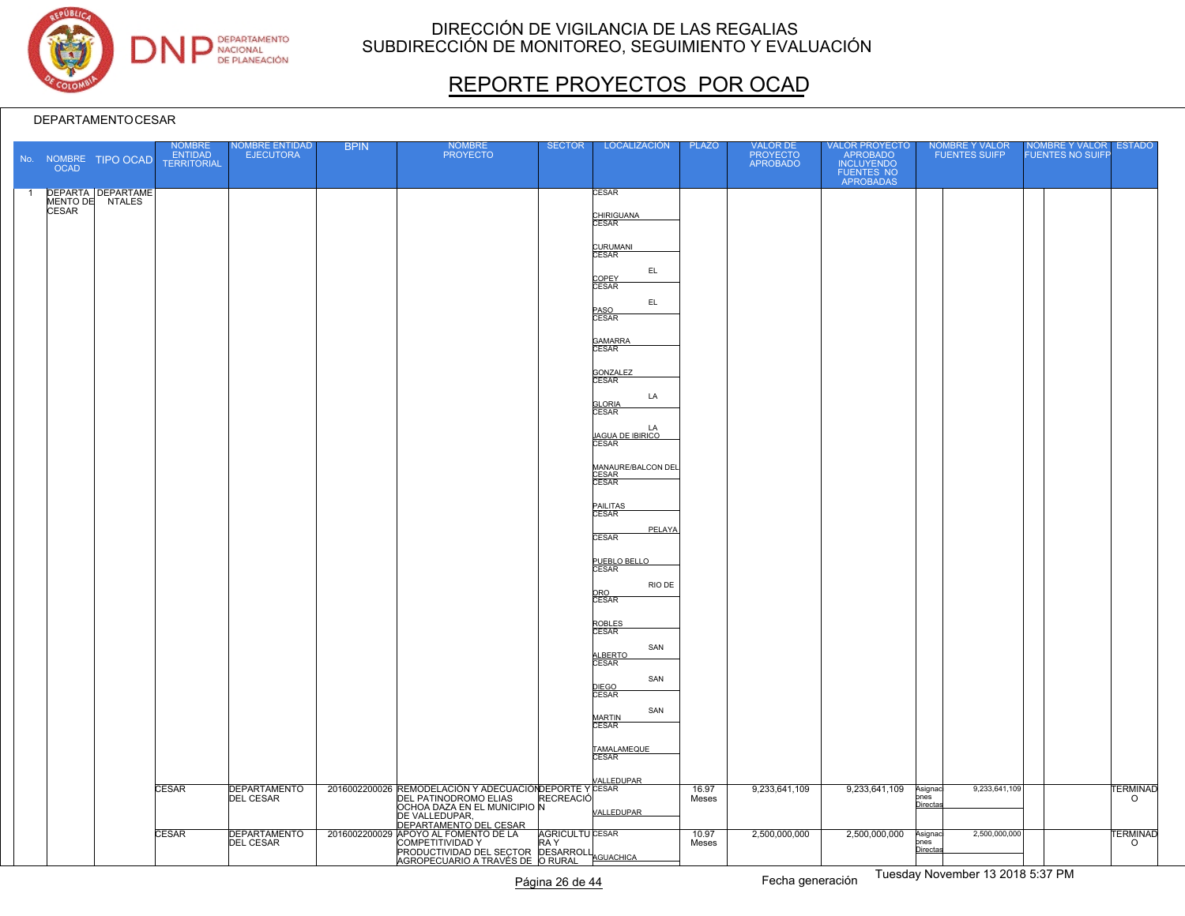

# REPORTE PROYECTOS POR OCAD

|                | <b>OCAD</b>  | No. NOMBRE TIPO OCAD                 | <b>NOMBRE</b><br>ENTIDAD<br><b>TERRITORIAL</b> | <b>VOMBRE ENTIDAD</b><br><b>EJECUTORA</b> | <b>BPIN</b> | <b>NOMBRE</b><br><b>PROYECTO</b>                                                      | <b>SECTOR</b>          | LOCALIZACIÓN                           | <b>PLAZO</b> | VALOR DE<br>PROYECTO<br>APROBADO | VALOR PROYECTO<br>APROBADO<br>INCLUYENDO<br>FUENTES NO<br>APROBADAS | NOMBRE Y VALOR<br>FUENTES SUIFP  | <b>NOMBRE Y VALOR</b><br><b>FUENTES NO SUIFF</b> | <b>ESTADO</b>   |
|----------------|--------------|--------------------------------------|------------------------------------------------|-------------------------------------------|-------------|---------------------------------------------------------------------------------------|------------------------|----------------------------------------|--------------|----------------------------------|---------------------------------------------------------------------|----------------------------------|--------------------------------------------------|-----------------|
| $\overline{1}$ |              | DEPARTA DEPARTAME<br>MENTO DE NTALES |                                                |                                           |             |                                                                                       |                        | <b>CESAR</b>                           |              |                                  |                                                                     |                                  |                                                  |                 |
|                | <b>CESAR</b> |                                      |                                                |                                           |             |                                                                                       |                        | CHIRIGUANA<br>CESAR                    |              |                                  |                                                                     |                                  |                                                  |                 |
|                |              |                                      |                                                |                                           |             |                                                                                       |                        | CURUMANI<br>CESAR                      |              |                                  |                                                                     |                                  |                                                  |                 |
|                |              |                                      |                                                |                                           |             |                                                                                       |                        | EL.<br>COPEY<br>CESAR                  |              |                                  |                                                                     |                                  |                                                  |                 |
|                |              |                                      |                                                |                                           |             |                                                                                       |                        | EL                                     |              |                                  |                                                                     |                                  |                                                  |                 |
|                |              |                                      |                                                |                                           |             |                                                                                       |                        | PASO<br>CESAR                          |              |                                  |                                                                     |                                  |                                                  |                 |
|                |              |                                      |                                                |                                           |             |                                                                                       |                        | GAMARRA<br>CESAR                       |              |                                  |                                                                     |                                  |                                                  |                 |
|                |              |                                      |                                                |                                           |             |                                                                                       |                        | GONZALEZ                               |              |                                  |                                                                     |                                  |                                                  |                 |
|                |              |                                      |                                                |                                           |             |                                                                                       |                        | LA                                     |              |                                  |                                                                     |                                  |                                                  |                 |
|                |              |                                      |                                                |                                           |             |                                                                                       |                        | <b>GLORIA</b><br>CESAR                 |              |                                  |                                                                     |                                  |                                                  |                 |
|                |              |                                      |                                                |                                           |             |                                                                                       |                        | LA<br><u>JAGUA DE IBIRICO</u><br>CESAR |              |                                  |                                                                     |                                  |                                                  |                 |
|                |              |                                      |                                                |                                           |             |                                                                                       |                        | MANAURE/BALCON DEL<br>CESAR<br>CESAR   |              |                                  |                                                                     |                                  |                                                  |                 |
|                |              |                                      |                                                |                                           |             |                                                                                       |                        | PAILITAS<br>CESAR                      |              |                                  |                                                                     |                                  |                                                  |                 |
|                |              |                                      |                                                |                                           |             |                                                                                       |                        | PELAYA<br><b>CESAR</b>                 |              |                                  |                                                                     |                                  |                                                  |                 |
|                |              |                                      |                                                |                                           |             |                                                                                       |                        | PUEBLO BELLO                           |              |                                  |                                                                     |                                  |                                                  |                 |
|                |              |                                      |                                                |                                           |             |                                                                                       |                        | RIO DE<br>ORO<br>CESAR                 |              |                                  |                                                                     |                                  |                                                  |                 |
|                |              |                                      |                                                |                                           |             |                                                                                       |                        |                                        |              |                                  |                                                                     |                                  |                                                  |                 |
|                |              |                                      |                                                |                                           |             |                                                                                       |                        | ROBLES<br>CESAR<br>SAN                 |              |                                  |                                                                     |                                  |                                                  |                 |
|                |              |                                      |                                                |                                           |             |                                                                                       |                        | ALBERTO<br>CESAR                       |              |                                  |                                                                     |                                  |                                                  |                 |
|                |              |                                      |                                                |                                           |             |                                                                                       |                        | SAN<br>DIEGO<br>CESAR                  |              |                                  |                                                                     |                                  |                                                  |                 |
|                |              |                                      |                                                |                                           |             |                                                                                       |                        | SAN<br><b>MARTIN</b>                   |              |                                  |                                                                     |                                  |                                                  |                 |
|                |              |                                      |                                                |                                           |             |                                                                                       |                        | <b>CESAR</b>                           |              |                                  |                                                                     |                                  |                                                  |                 |
|                |              |                                      |                                                |                                           |             |                                                                                       |                        | TAMALAMEQUE<br>CESAR                   |              |                                  |                                                                     |                                  |                                                  |                 |
|                |              |                                      | CESAR                                          | <b>DEPARTAMENTO</b>                       |             | 2016002200026 REMODELACIÓN Y ADECUACIÓN DEPORTE Y CESAR                               |                        | <b>VALLEDUPAR</b>                      | 16.97        | 9,233,641,109                    | 9,233,641,109                                                       | 9,233,641,109<br>Asignad<br>pnes |                                                  | <b>TERMINAD</b> |
|                |              |                                      |                                                | <b>DEL CESAR</b>                          |             | OCHOA DAZA EN EL MUNICIPIO N                                                          |                        | VALLEDUPAR                             | Meses        |                                  |                                                                     | Directas                         |                                                  | $\circ$         |
|                |              |                                      | <b>CESAR</b>                                   | <b>DEPARTAMENTO</b>                       |             | DE VALLEDUPAR,<br>DEPARTAMENTO DEL CESAR<br>2016002200029 APOYO AL FOMENTO DE LA      | <b>AGRICULTU CESAR</b> |                                        | 10.97        | 2,500,000,000                    | 2,500,000,000                                                       | 2,500,000,000<br>Asignaci        |                                                  | <b>TERMINAD</b> |
|                |              |                                      |                                                | DEL CESAR                                 |             | COMPETITIVIDAD Y<br>PRODUCTIVIDAD Y RAY<br>AGROPECUARIO A TRAVÉS DE O RURAL AGUACHICA |                        |                                        | Meses        |                                  |                                                                     | ones<br>Directas                 |                                                  | $\circ$         |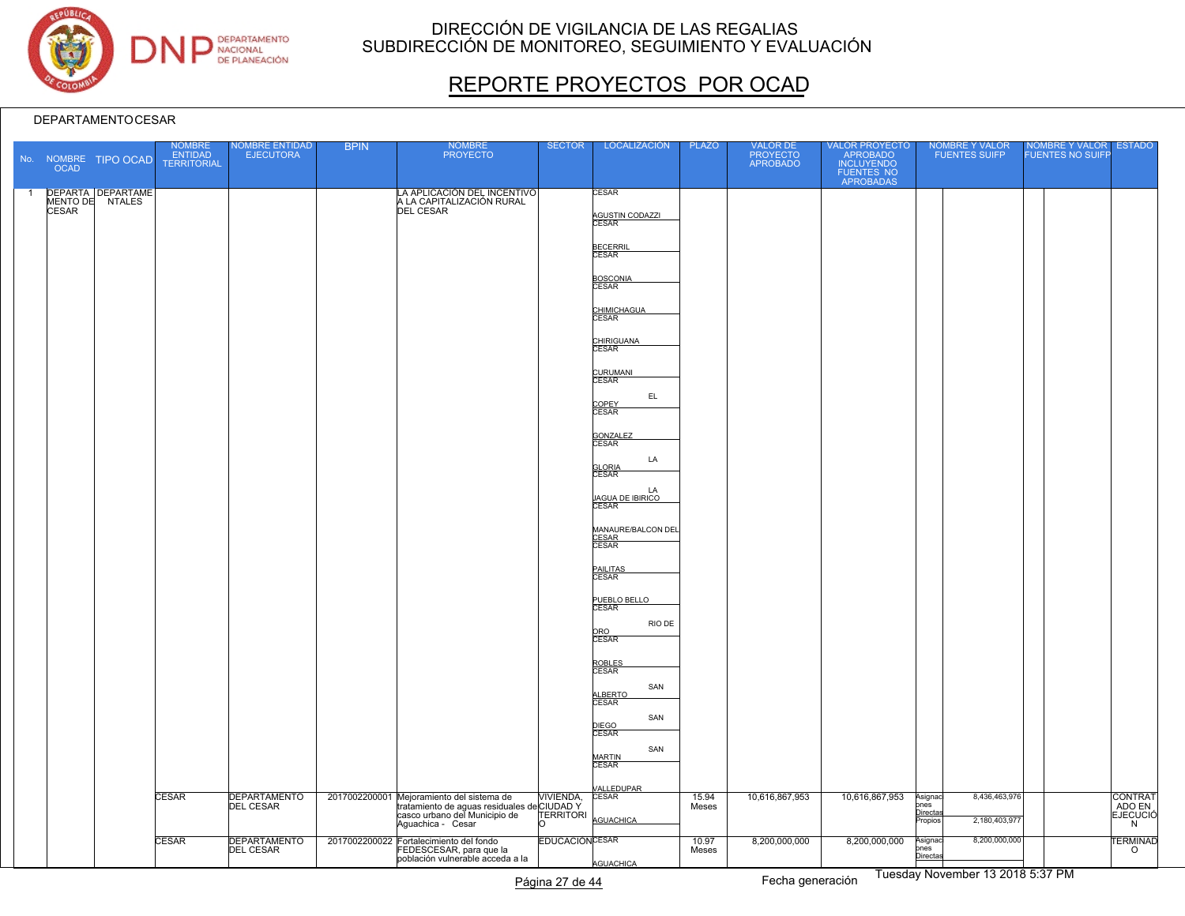

# REPORTE PROYECTOS POR OCAD

|                | <b>OCAD</b>  | No. NOMBRE TIPO OCAD                 | NOMBRE<br>ENTIDAD<br><b>TERRITORIAL</b> | <b>IOMBRE ENTIDAD</b><br><b>EJECUTORA</b> | <b>BPIN</b> | NOMBRE<br>PROYECTO                                                                                                                                       | <b>SECTOR</b>                 | <b>LOCALIZACIÓN</b>                    | <b>PLAZO</b>   | VALOR DE<br>PROYECTO<br>APROBADO | VALOR PROYECTO<br>APROBADO<br>INCLUYENDO<br>FUENTES NO<br>APROBADAS | NOMBRE Y VALOR<br>FUENTES SUIFP                                          | NOMBRE Y VALOR<br>FUENTES NO SUIFP | <b>ESTADO</b>                   |
|----------------|--------------|--------------------------------------|-----------------------------------------|-------------------------------------------|-------------|----------------------------------------------------------------------------------------------------------------------------------------------------------|-------------------------------|----------------------------------------|----------------|----------------------------------|---------------------------------------------------------------------|--------------------------------------------------------------------------|------------------------------------|---------------------------------|
| $\overline{1}$ |              | DEPARTA DEPARTAME<br>MENTO DE NTALES |                                         |                                           |             | LA APLICACIÓN DEL INCENTIVO                                                                                                                              |                               | CESAR                                  |                |                                  |                                                                     |                                                                          |                                    |                                 |
|                | <b>CESAR</b> |                                      |                                         |                                           |             | <b>DEL CESAR</b>                                                                                                                                         |                               | AGUSTIN CODAZZI<br>CESAR               |                |                                  |                                                                     |                                                                          |                                    |                                 |
|                |              |                                      |                                         |                                           |             |                                                                                                                                                          |                               | BECERRIL<br>CESAR                      |                |                                  |                                                                     |                                                                          |                                    |                                 |
|                |              |                                      |                                         |                                           |             |                                                                                                                                                          |                               | <b>BOSCONIA</b><br>CESAR               |                |                                  |                                                                     |                                                                          |                                    |                                 |
|                |              |                                      |                                         |                                           |             |                                                                                                                                                          |                               | CHIMICHAGUA                            |                |                                  |                                                                     |                                                                          |                                    |                                 |
|                |              |                                      |                                         |                                           |             |                                                                                                                                                          |                               | CHIRIGUANA<br>CESAR                    |                |                                  |                                                                     |                                                                          |                                    |                                 |
|                |              |                                      |                                         |                                           |             |                                                                                                                                                          |                               | CURUMANI<br>CESAR                      |                |                                  |                                                                     |                                                                          |                                    |                                 |
|                |              |                                      |                                         |                                           |             |                                                                                                                                                          |                               | EL.<br>COPEY<br>CESAR                  |                |                                  |                                                                     |                                                                          |                                    |                                 |
|                |              |                                      |                                         |                                           |             |                                                                                                                                                          |                               | GONZALEZ<br>CESAR                      |                |                                  |                                                                     |                                                                          |                                    |                                 |
|                |              |                                      |                                         |                                           |             |                                                                                                                                                          |                               | LA<br><b>GLORIA</b><br>CESAR           |                |                                  |                                                                     |                                                                          |                                    |                                 |
|                |              |                                      |                                         |                                           |             |                                                                                                                                                          |                               | LA<br><u>JAGUA DE IBIRICO</u><br>CESAR |                |                                  |                                                                     |                                                                          |                                    |                                 |
|                |              |                                      |                                         |                                           |             |                                                                                                                                                          |                               | MANAURE/BALCON DEL<br>CESAR<br>CESAR   |                |                                  |                                                                     |                                                                          |                                    |                                 |
|                |              |                                      |                                         |                                           |             |                                                                                                                                                          |                               | PAILITAS<br>CESAR                      |                |                                  |                                                                     |                                                                          |                                    |                                 |
|                |              |                                      |                                         |                                           |             |                                                                                                                                                          |                               | PUEBLO BELLO                           |                |                                  |                                                                     |                                                                          |                                    |                                 |
|                |              |                                      |                                         |                                           |             |                                                                                                                                                          |                               | RIO DE<br>ORO<br>CESAR                 |                |                                  |                                                                     |                                                                          |                                    |                                 |
|                |              |                                      |                                         |                                           |             |                                                                                                                                                          |                               | ROBLES<br>CESAR<br>SAN                 |                |                                  |                                                                     |                                                                          |                                    |                                 |
|                |              |                                      |                                         |                                           |             |                                                                                                                                                          |                               | ALBERTO<br>CESAR<br>SAN                |                |                                  |                                                                     |                                                                          |                                    |                                 |
|                |              |                                      |                                         |                                           |             |                                                                                                                                                          |                               | DIEGO<br>CESAR<br>SAN                  |                |                                  |                                                                     |                                                                          |                                    |                                 |
|                |              |                                      |                                         |                                           |             |                                                                                                                                                          |                               | MARTIN<br>CESAR                        |                |                                  |                                                                     |                                                                          |                                    |                                 |
|                |              |                                      | CESAR                                   | DEPARTAMENTO                              |             | 2017002200001 Mejoramiento del sistema de<br>tratamiento de aguas residuales del CIUDAD Y<br>casco urbano del Municipio de TERRITOR<br>Aguachica - Cesar | <b>VIVIENDA,</b><br>TERRITORI | VALLEDUPAR<br>AGUACHICA                | 15.94<br>Meses | 10,616,867,953                   | 10,616,867,953                                                      | 8,436,463,976<br>Asignad<br>ones<br>Directas<br>2,180,403,977<br>Propios |                                    | CONTRAT<br><b>EJECUCIÓ</b><br>N |
|                |              |                                      | CESAR                                   | DEPARTAMENTO                              |             | 2017002200022 Fortalecimiento del fondo<br>FEDESCESAR, para que la<br>población vulnerable acceda a la                                                   | <b>EDUCACIÓN CESAR</b>        | <b>AGUACHICA</b>                       | 10.97<br>Meses | 8,200,000,000                    | 8,200,000,000                                                       | 8,200,000,000<br>Asignad<br>ones<br>Directas                             |                                    | TERMINAD<br>O                   |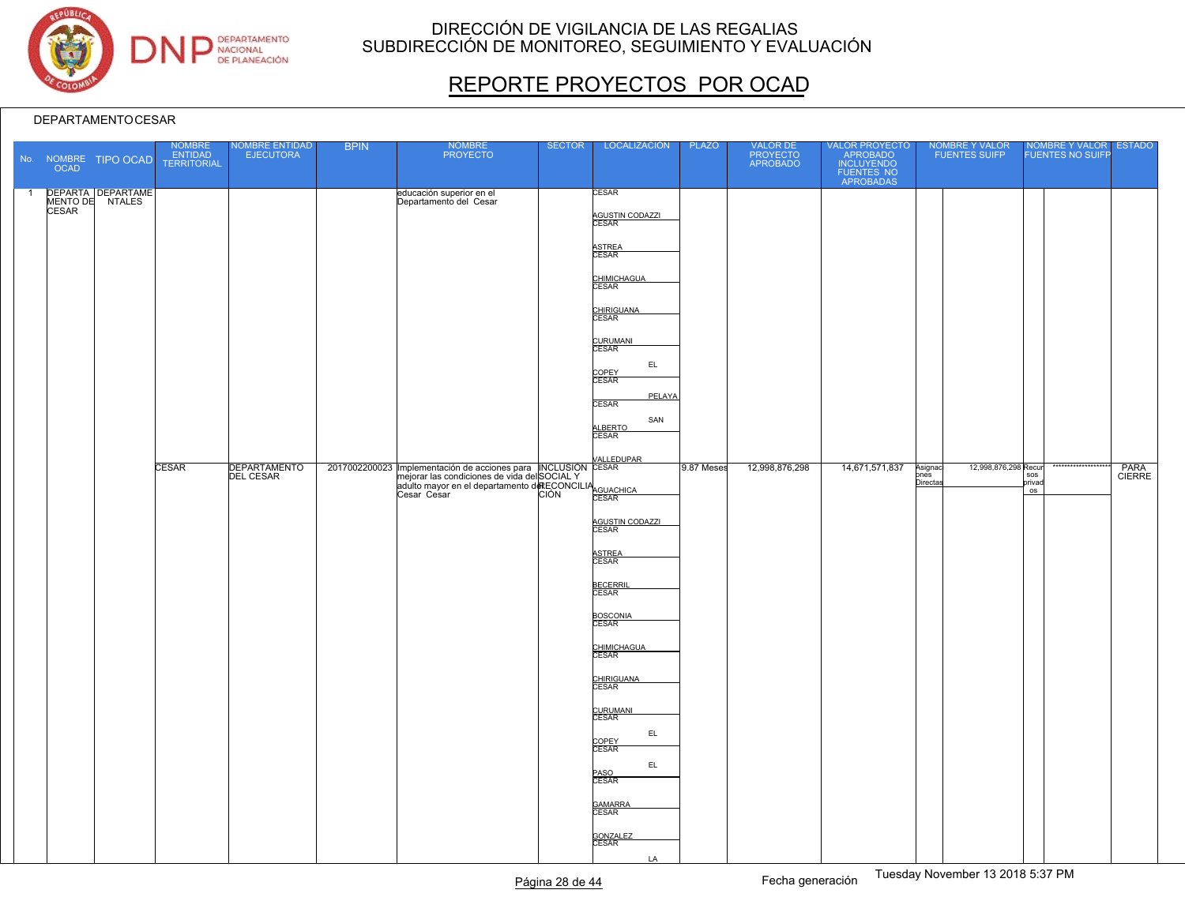

# REPORTE PROYECTOS POR OCAD

| DEPARTA DEPARTAME<br>MENTO DE NTALES<br><b>CESAR</b><br>$\overline{1}$<br>educación superior en el<br>Departamento del Cesar<br><b>CESAR</b><br>AGUSTIN CODAZZI<br>ASTREA<br>CESAR<br>CHIMICHAGUA<br>CESAR<br>CHIRIGUANA<br>CURUMANI<br>CESAR<br>EL<br>COPEY<br>CESAR<br>PELAYA<br><b>CESAR</b><br>SAN<br>ALBERTO<br><b>VALLEDUPAR</b><br><b>DEPARTAMENTO</b><br>2017002200023 Implementación de acciones para INCLUSIÓN CESAR<br>14,671,571,837<br>12,998,876,298 Recur<br><b>CESAR</b><br>9.87 Meses<br>12,998,876,298<br>PARA<br>CIERRE<br>Asignad<br>ones<br>Directas<br><b>DEL CESAR</b><br>Implementación de acciones para procesor a la condiciones de vida del SOCIAL Y<br>mejorar las condiciones de vida del SOCIAL Y<br>adulto mayor en el departamento de ECONCILIA<br>CIÓN CESAR<br>sos<br>privad<br>OS<br>AGUSTIN CODAZZI<br>CESAR<br>ASTREA<br>CESAR<br>BECERRIL<br>CESAR<br>BOSCONIA<br>CHIMICHAGUA<br>CESAR<br>CHIRIGUANA<br>CESAR<br>CURUMANI<br>CESAR<br>EL<br>COPEY<br>CESAR<br>EL.<br>PASO<br>CESAR<br>GAMARRA<br>CESAR<br>GONZALEZ<br>CESAR<br><b>LA</b> | <b>OCAD</b> | No. NOMBRE TIPO OCAD | NOMBRE<br>ENTIDAD<br>TERRITORIAL | <b>NOMBRE ENTIDAD</b><br><b>EJECUTORA</b> | <b>BPIN</b> | NOMBRE<br>PROYECTO | <b>SECTOR</b> | LOCALIZACIÓN | <b>PLAZO</b> | VALOR DE<br>PROYECTO<br>APROBADO | VALOR PROYECTO<br>APROBADO<br>INCLUYENDO<br>FUENTES NO<br>APROBADAS | NOMBRE Y VALOR<br>FUENTES SUIFP | NOMBRE Y VALOR<br><b>FUENTES NO SUIFF</b> | <b>ESTADO</b> |
|--------------------------------------------------------------------------------------------------------------------------------------------------------------------------------------------------------------------------------------------------------------------------------------------------------------------------------------------------------------------------------------------------------------------------------------------------------------------------------------------------------------------------------------------------------------------------------------------------------------------------------------------------------------------------------------------------------------------------------------------------------------------------------------------------------------------------------------------------------------------------------------------------------------------------------------------------------------------------------------------------------------------------------------------------------------------------------|-------------|----------------------|----------------------------------|-------------------------------------------|-------------|--------------------|---------------|--------------|--------------|----------------------------------|---------------------------------------------------------------------|---------------------------------|-------------------------------------------|---------------|
|                                                                                                                                                                                                                                                                                                                                                                                                                                                                                                                                                                                                                                                                                                                                                                                                                                                                                                                                                                                                                                                                                |             |                      |                                  |                                           |             |                    |               |              |              |                                  |                                                                     |                                 |                                           |               |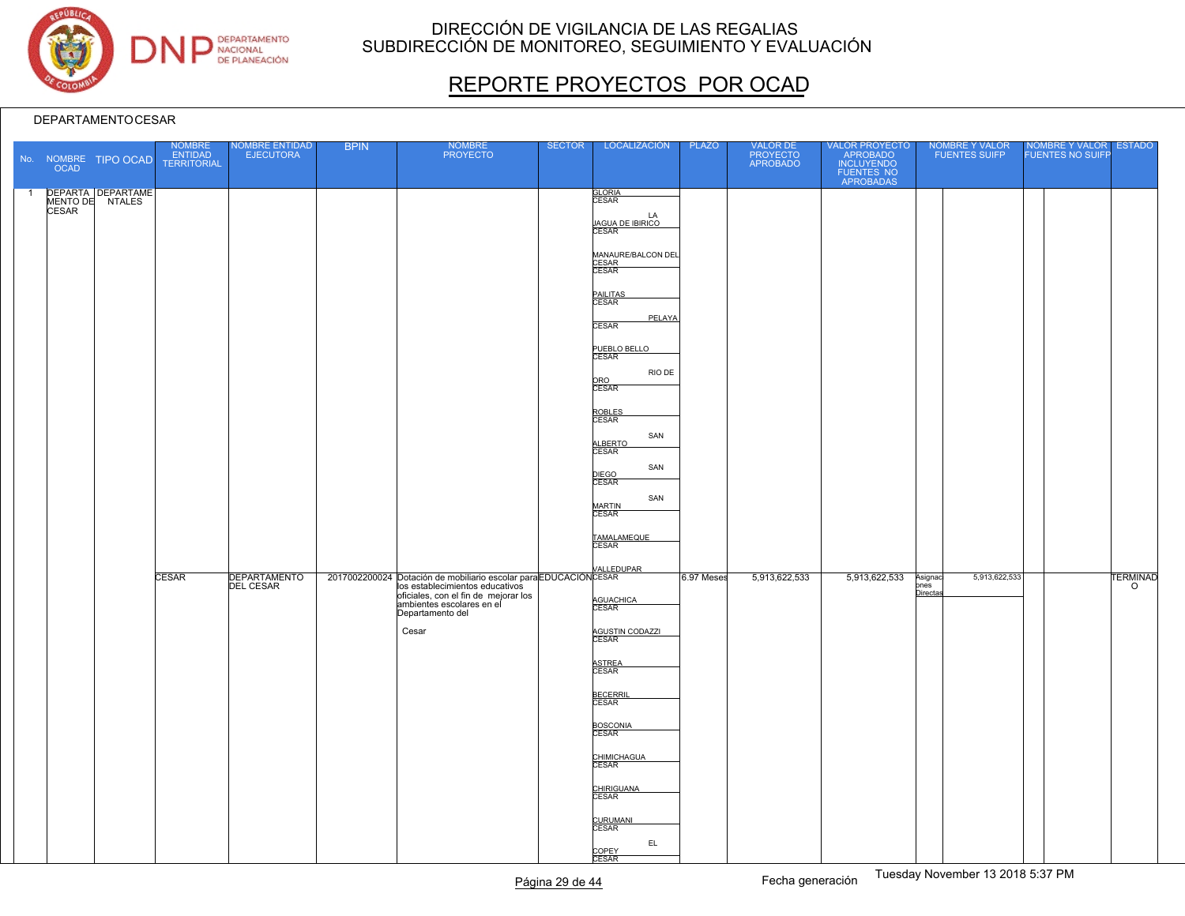

# REPORTE PROYECTOS POR OCAD

|                | <b>OCAD</b>  | No. NOMBRE TIPO OCAD                 | NOMBRE<br>ENTIDAD<br>TERRITORIAL | <b>NOMBRE ENTIDAD</b><br><b>EJECUTORA</b> | <b>BPIN</b> | NOMBRE<br>PROYECTO                                                                                                                             | <b>SECTOR</b> | LOCALIZACIÓN                                                                                                                                                                                                                                                                                     | <b>PLAZO</b> | VALOR DE<br>PROYECTO<br>APROBADO | VALOR PROYECTO<br>APROBADO<br>INCLUYENDO<br>FUENTES NO<br>APROBADAS | NOMBRE Y VALOR<br>FUENTES SUIFP             | NOMBRE Y VALOR<br>FUENTES NO SUIFP | <b>ESTADO</b>              |
|----------------|--------------|--------------------------------------|----------------------------------|-------------------------------------------|-------------|------------------------------------------------------------------------------------------------------------------------------------------------|---------------|--------------------------------------------------------------------------------------------------------------------------------------------------------------------------------------------------------------------------------------------------------------------------------------------------|--------------|----------------------------------|---------------------------------------------------------------------|---------------------------------------------|------------------------------------|----------------------------|
| $\overline{1}$ | <b>CESAR</b> | DEPARTA DEPARTAME<br>MENTO DE NTALES |                                  |                                           |             |                                                                                                                                                |               | <b>GLORIA</b><br>CESAR<br>LA<br><u>JAGUA DE IBIRICO</u><br>CESAR<br>MANAURE/BALCON DEL<br>CESAR<br>CESAR<br>PAILITAS<br>CESAR<br>PELAYA<br><b>CESAR</b><br>PUEBLO BELLO<br>RIO DE<br>ORO<br>CESAR<br>ROBLES<br>CESAR<br>SAN<br>ALBERTO<br>SAN<br>DIEGO<br>CESAR<br>SAN<br><b>MARTIN</b><br>CESAR |              |                                  |                                                                     |                                             |                                    |                            |
|                |              |                                      | <b>CESAR</b>                     | DEPARTAMENTO                              |             | VALLEDUPAR<br>ba establecimientos educativos<br>oficiales, con el fin de mejorar los<br>ambientes escolares en el<br>Departamento del<br>Cesar |               | TAMALAMEQUE<br>CESAR<br>AGUACHICA<br>CESAR<br>AGUSTIN CODAZZI<br>ASTREA<br>CESAR<br><b>BECERRI</b><br>CESAR<br>BOSCONIA<br>CHIMICHAGUA<br>CHIRIGUANA<br>CESAR<br>CURUMANI<br>CESAR<br>EL.<br>COPEY<br>CESAR                                                                                      | 6.97 Meses   | 5,913,622,533                    | 5,913,622,533                                                       | 5,913,622,533<br>Asignad<br>pnes<br>Directa |                                    | <b>TERMINAD</b><br>$\circ$ |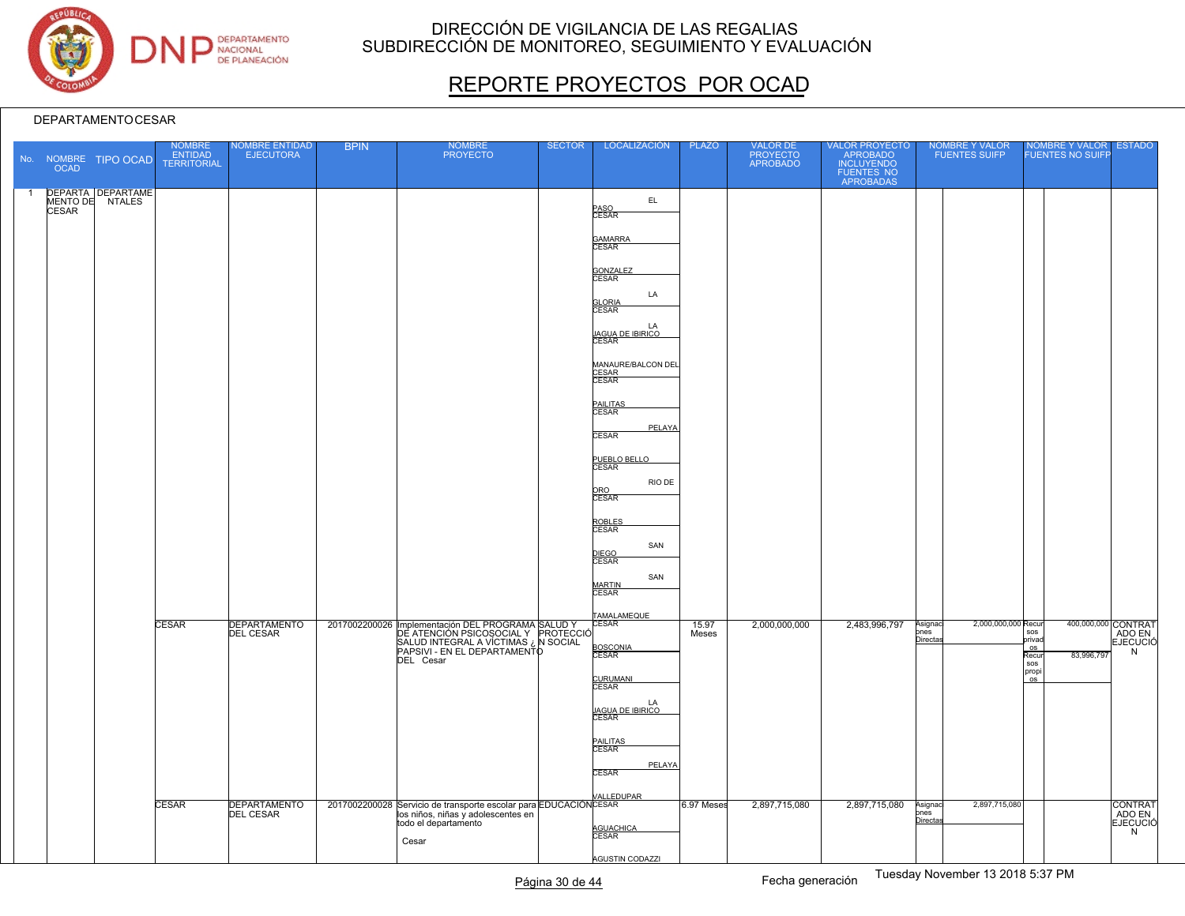

# REPORTE PROYECTOS POR OCAD

| <b>OCAD</b>  | No. NOMBRE TIPO OCAD                 | <b>NOMBRE</b><br>ENTIDAD<br><b>TERRITORIAL</b> | <b>NOMBRE ENTIDAD</b><br><b>EJECUTORA</b> | <b>BPIN</b> | <b>NOMBRE</b><br><b>PROYECTO</b>                                                                                               | <b>SECTOR</b> | LOCALIZACIÓN                           | PLAZO      | VALOR DE<br>PROYECTO<br>APROBADO | VALOR PROYECTO<br>APROBADO<br>INCLUYENDO<br>FUENTES NO<br>APROBADAS | <b>NOMBRE Y VALOR</b><br><b>FUENTES SUIFP</b> | NOMBRE Y VALOR<br><b>ESTADO</b><br><b>FUENTES NO SUIFF</b>                   |
|--------------|--------------------------------------|------------------------------------------------|-------------------------------------------|-------------|--------------------------------------------------------------------------------------------------------------------------------|---------------|----------------------------------------|------------|----------------------------------|---------------------------------------------------------------------|-----------------------------------------------|------------------------------------------------------------------------------|
| <b>CESAR</b> | DEPARTA DEPARTAME<br>MENTO DE NTALES |                                                |                                           |             |                                                                                                                                |               | EL<br>PASO<br>CESAR                    |            |                                  |                                                                     |                                               |                                                                              |
|              |                                      |                                                |                                           |             |                                                                                                                                |               | GAMARRA                                |            |                                  |                                                                     |                                               |                                                                              |
|              |                                      |                                                |                                           |             |                                                                                                                                |               |                                        |            |                                  |                                                                     |                                               |                                                                              |
|              |                                      |                                                |                                           |             |                                                                                                                                |               | GONZALEZ<br>CESAR<br>LA                |            |                                  |                                                                     |                                               |                                                                              |
|              |                                      |                                                |                                           |             |                                                                                                                                |               | <b>GLORIA</b><br>CESAR                 |            |                                  |                                                                     |                                               |                                                                              |
|              |                                      |                                                |                                           |             |                                                                                                                                |               | LA<br><u>JAGUA DE IBIRICO</u><br>CESAR |            |                                  |                                                                     |                                               |                                                                              |
|              |                                      |                                                |                                           |             |                                                                                                                                |               | MANAURE/BALCON DEL<br>CESAR<br>CESAR   |            |                                  |                                                                     |                                               |                                                                              |
|              |                                      |                                                |                                           |             |                                                                                                                                |               | PAILITAS<br>CESAR                      |            |                                  |                                                                     |                                               |                                                                              |
|              |                                      |                                                |                                           |             |                                                                                                                                |               | PELAYA<br><b>CESAR</b>                 |            |                                  |                                                                     |                                               |                                                                              |
|              |                                      |                                                |                                           |             |                                                                                                                                |               | PUEBLO BELLO<br>CESAR                  |            |                                  |                                                                     |                                               |                                                                              |
|              |                                      |                                                |                                           |             |                                                                                                                                |               | RIO DE<br>ORO<br>CESAR                 |            |                                  |                                                                     |                                               |                                                                              |
|              |                                      |                                                |                                           |             |                                                                                                                                |               | ROBLES<br>CESAR                        |            |                                  |                                                                     |                                               |                                                                              |
|              |                                      |                                                |                                           |             |                                                                                                                                |               | SAN<br>DIEGO<br>CESAR                  |            |                                  |                                                                     |                                               |                                                                              |
|              |                                      |                                                |                                           |             |                                                                                                                                |               | SAN<br>MARTIN<br>CESAR                 |            |                                  |                                                                     |                                               |                                                                              |
|              |                                      | <b>CESAR</b>                                   | DEPARTAMENTO                              |             | 2017002200026 Implementación DEL PROGRAMA SALUD Y                                                                              |               | TAMALAMEQUE<br>CESAR                   | 15.97      | 2,000,000,000                    | 2,483,996,797                                                       | 2,000,000,000 Recur<br>Asignac                | 400,000,000 CONTRAT                                                          |
|              |                                      |                                                | <b>DEL CESAR</b>                          |             | DE ATENCIÓN PSICOSOCIAL Y PROTECCIÓ<br>SALUD INTEGRAL A VÍCTIMAS ¿N SOCIAL<br>PAPSIVI - EN EL DEPARTAMENTO<br>DEL Cesar        |               | BOSCONIA                               | Meses      |                                  |                                                                     | ones<br><b>Directa</b>                        | sos<br>ADO EN<br>privad<br><b>EJECUCIÓ</b><br>OS<br>N<br>83,996,797<br>Recur |
|              |                                      |                                                |                                           |             |                                                                                                                                |               | <b>CURUMANI</b><br>CESAR               |            |                                  |                                                                     |                                               | sos<br>propi<br>os                                                           |
|              |                                      |                                                |                                           |             |                                                                                                                                |               | LA<br><u>JAGUA DE IBIRICO</u><br>CESAR |            |                                  |                                                                     |                                               |                                                                              |
|              |                                      |                                                |                                           |             |                                                                                                                                |               | PAILITAS<br>CESAR                      |            |                                  |                                                                     |                                               |                                                                              |
|              |                                      |                                                |                                           |             |                                                                                                                                |               | PELAYA<br><b>CESAR</b>                 |            |                                  |                                                                     |                                               |                                                                              |
|              |                                      |                                                |                                           |             |                                                                                                                                |               | <b>VALLEDUPAR</b>                      |            |                                  |                                                                     |                                               |                                                                              |
|              |                                      | CESAR                                          | <b>DEPARTAMENTO</b><br><b>DEL CESAR</b>   |             | 2017002200028 Servicio de transporte escolar para EDUCACIÓNCESAR<br>los niños, niñas y adolescentes en<br>todo el departamento |               |                                        | 6.97 Meses | 2,897,715,080                    | 2,897,715,080                                                       | 2,897,715,080<br>Asignac<br>pnes<br>Directa   | <b>CONTRAT</b><br>ADO EN<br><b>EJECUCIÓ</b>                                  |
|              |                                      |                                                |                                           |             | Cesar                                                                                                                          |               | AGUACHICA<br>CESAR                     |            |                                  |                                                                     |                                               | N                                                                            |
|              |                                      |                                                |                                           |             |                                                                                                                                |               | <b>AGUSTIN CODAZZI</b>                 |            |                                  |                                                                     |                                               |                                                                              |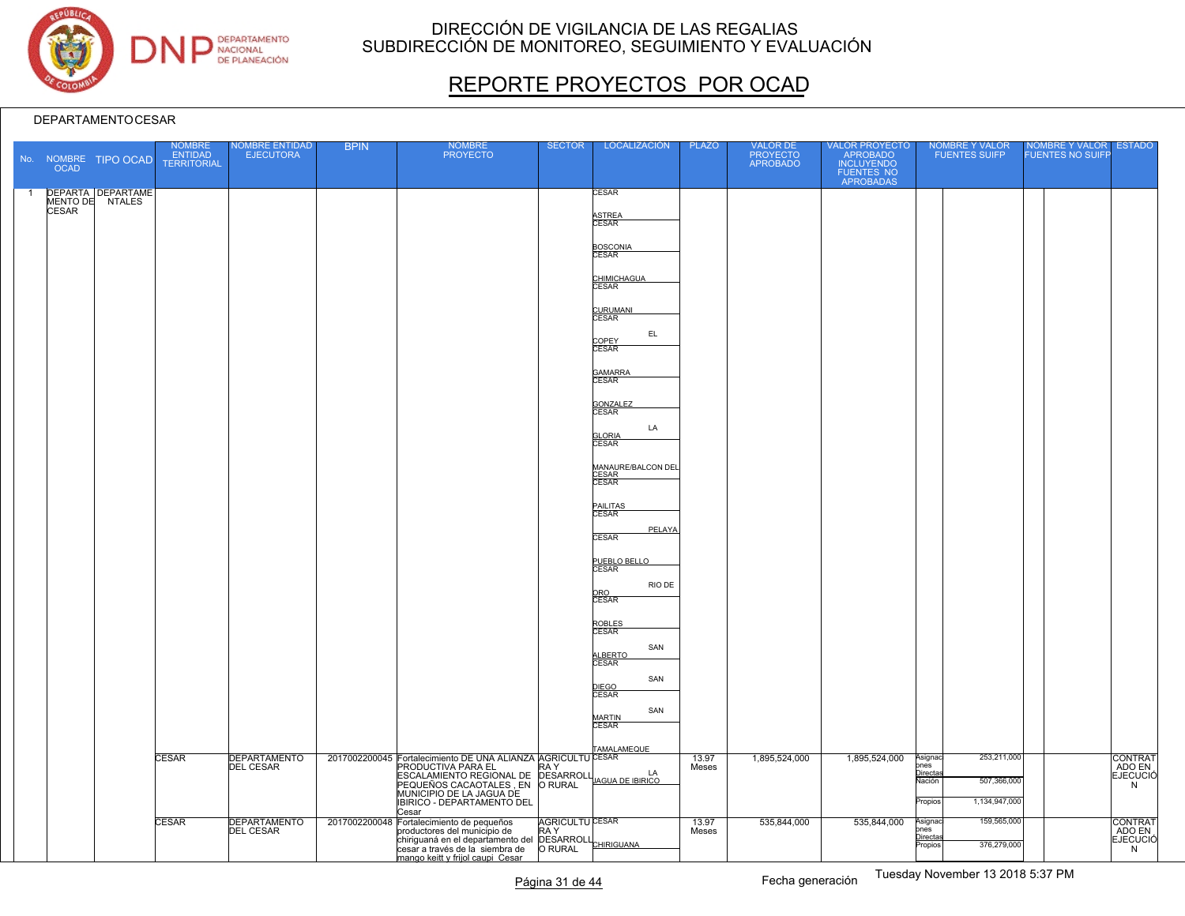

# REPORTE PROYECTOS POR OCAD

|                | OCAD         | No. NOMBRE TIPO OCAD                 | <b>NOMBRE</b><br><b>ENTIDAD</b><br><b>TERRITORIAL</b> | <b>NOMBRE ENTIDAD</b><br><b>EJECUTORA</b> | <b>BPIN</b> | <b>NOMBRE</b><br><b>PROYECTO</b>                                                                                                                                                                       | <b>SECTOR</b>                  | LOCALIZACIÓN                         | <b>PLAZO</b>   | VALOR DE<br>PROYECTO<br>APROBADO | VALOR PROYECTO<br>APROBADO<br>INCLUYENDO<br>FUENTES NO<br>APROBADAS | NOMBRE Y VALOR<br><b>FUENTES SUIFP</b>                                                   | NOMBRE Y VALOR<br><b>FUENTES NO SUIFF</b> | <b>ESTADO</b>                                    |
|----------------|--------------|--------------------------------------|-------------------------------------------------------|-------------------------------------------|-------------|--------------------------------------------------------------------------------------------------------------------------------------------------------------------------------------------------------|--------------------------------|--------------------------------------|----------------|----------------------------------|---------------------------------------------------------------------|------------------------------------------------------------------------------------------|-------------------------------------------|--------------------------------------------------|
| $\overline{1}$ | <b>CESAR</b> | DEPARTA DEPARTAME<br>MENTO DE NTALES |                                                       |                                           |             |                                                                                                                                                                                                        |                                | CESAR                                |                |                                  |                                                                     |                                                                                          |                                           |                                                  |
|                |              |                                      |                                                       |                                           |             |                                                                                                                                                                                                        |                                | ASTREA<br>CESAR                      |                |                                  |                                                                     |                                                                                          |                                           |                                                  |
|                |              |                                      |                                                       |                                           |             |                                                                                                                                                                                                        |                                | BOSCONIA<br>CESAR                    |                |                                  |                                                                     |                                                                                          |                                           |                                                  |
|                |              |                                      |                                                       |                                           |             |                                                                                                                                                                                                        |                                | CHIMICHAGUA<br>CESAR                 |                |                                  |                                                                     |                                                                                          |                                           |                                                  |
|                |              |                                      |                                                       |                                           |             |                                                                                                                                                                                                        |                                | CURUMANI<br>CESAR<br>EL.             |                |                                  |                                                                     |                                                                                          |                                           |                                                  |
|                |              |                                      |                                                       |                                           |             |                                                                                                                                                                                                        |                                | COPEY<br>CESAR                       |                |                                  |                                                                     |                                                                                          |                                           |                                                  |
|                |              |                                      |                                                       |                                           |             |                                                                                                                                                                                                        |                                | GAMARRA<br>CESAR                     |                |                                  |                                                                     |                                                                                          |                                           |                                                  |
|                |              |                                      |                                                       |                                           |             |                                                                                                                                                                                                        |                                | GONZALEZ<br>CESAR                    |                |                                  |                                                                     |                                                                                          |                                           |                                                  |
|                |              |                                      |                                                       |                                           |             |                                                                                                                                                                                                        |                                | LA<br><b>GLORIA</b><br>CESAR         |                |                                  |                                                                     |                                                                                          |                                           |                                                  |
|                |              |                                      |                                                       |                                           |             |                                                                                                                                                                                                        |                                | MANAURE/BALCON DEL<br>CESAR<br>CESAR |                |                                  |                                                                     |                                                                                          |                                           |                                                  |
|                |              |                                      |                                                       |                                           |             |                                                                                                                                                                                                        |                                | PAILITAS<br>CESAR                    |                |                                  |                                                                     |                                                                                          |                                           |                                                  |
|                |              |                                      |                                                       |                                           |             |                                                                                                                                                                                                        |                                | PELAYA<br><b>CESAR</b>               |                |                                  |                                                                     |                                                                                          |                                           |                                                  |
|                |              |                                      |                                                       |                                           |             |                                                                                                                                                                                                        |                                | PUEBLO BELLO                         |                |                                  |                                                                     |                                                                                          |                                           |                                                  |
|                |              |                                      |                                                       |                                           |             |                                                                                                                                                                                                        |                                | RIO DE<br>ORO<br>CESAR               |                |                                  |                                                                     |                                                                                          |                                           |                                                  |
|                |              |                                      |                                                       |                                           |             |                                                                                                                                                                                                        |                                | ROBLES<br>CESAR                      |                |                                  |                                                                     |                                                                                          |                                           |                                                  |
|                |              |                                      |                                                       |                                           |             |                                                                                                                                                                                                        |                                | SAN<br>ALBERTO<br>CESAR              |                |                                  |                                                                     |                                                                                          |                                           |                                                  |
|                |              |                                      |                                                       |                                           |             |                                                                                                                                                                                                        |                                | SAN<br>DIEGO<br>CESAR                |                |                                  |                                                                     |                                                                                          |                                           |                                                  |
|                |              |                                      |                                                       |                                           |             |                                                                                                                                                                                                        |                                | SAN<br>MARTIN<br><b>CESAR</b>        |                |                                  |                                                                     |                                                                                          |                                           |                                                  |
|                |              |                                      | CESAR                                                 | <b>DEPARTAMENTO</b>                       |             | 2017002200045 Fortalecimiento DE UNA ALIANZA AGRICULTU CESAR                                                                                                                                           |                                | TAMALAMEQUE                          | 13.97          | 1,895,524,000                    | 1,895,524,000                                                       | 253,211,000<br>Asignac                                                                   |                                           | <b>CONTRAT</b>                                   |
|                |              |                                      |                                                       | <b>DEL CESAR</b>                          |             | PRODUCTIVA PARA EL<br>ESCALAMIENTO REGIONAL DE DESARROLL<br>ESCALAMIENTO REGIONAL DE DESARROLLUAGUA DE IBIRICO<br>PEQUEÑOS CACAOTALES, EN O RURAL                                                      | RA Y                           |                                      | Meses          |                                  |                                                                     | ones<br>Directas<br>507,366,000<br>Vación                                                |                                           | ADO EN<br>N                                      |
|                |              |                                      |                                                       |                                           |             | MUNICIPIO DE LA JAGUA DE<br>IBIRICO - DEPARTAMENTO DEL<br>Cesar                                                                                                                                        |                                |                                      |                |                                  |                                                                     | 1,134,947,000<br>Propios                                                                 |                                           |                                                  |
|                |              |                                      | CESAR                                                 | <b>DEPARTAMENTO</b><br><b>DEL CESAR</b>   |             | 2017002200048 Fortalecimiento de pequeños<br>productores del municipio de<br>chiriguana en el departamento del DESARROLL<br>cesar a través de la siembra de ORURAL<br>mango keitt y frijol caupi Cesar | <b>AGRICULTU CESAR</b><br>RA Y |                                      | 13.97<br>Meses | 535,844,000                      | 535,844,000                                                         | 159,565,000<br>Asignac<br>ones<br>Directas<br>376,279,000<br>$\overline{\text{Propios}}$ |                                           | <b>CONTRAT</b><br>ADO EN<br><b>EJECUCIÓ</b><br>N |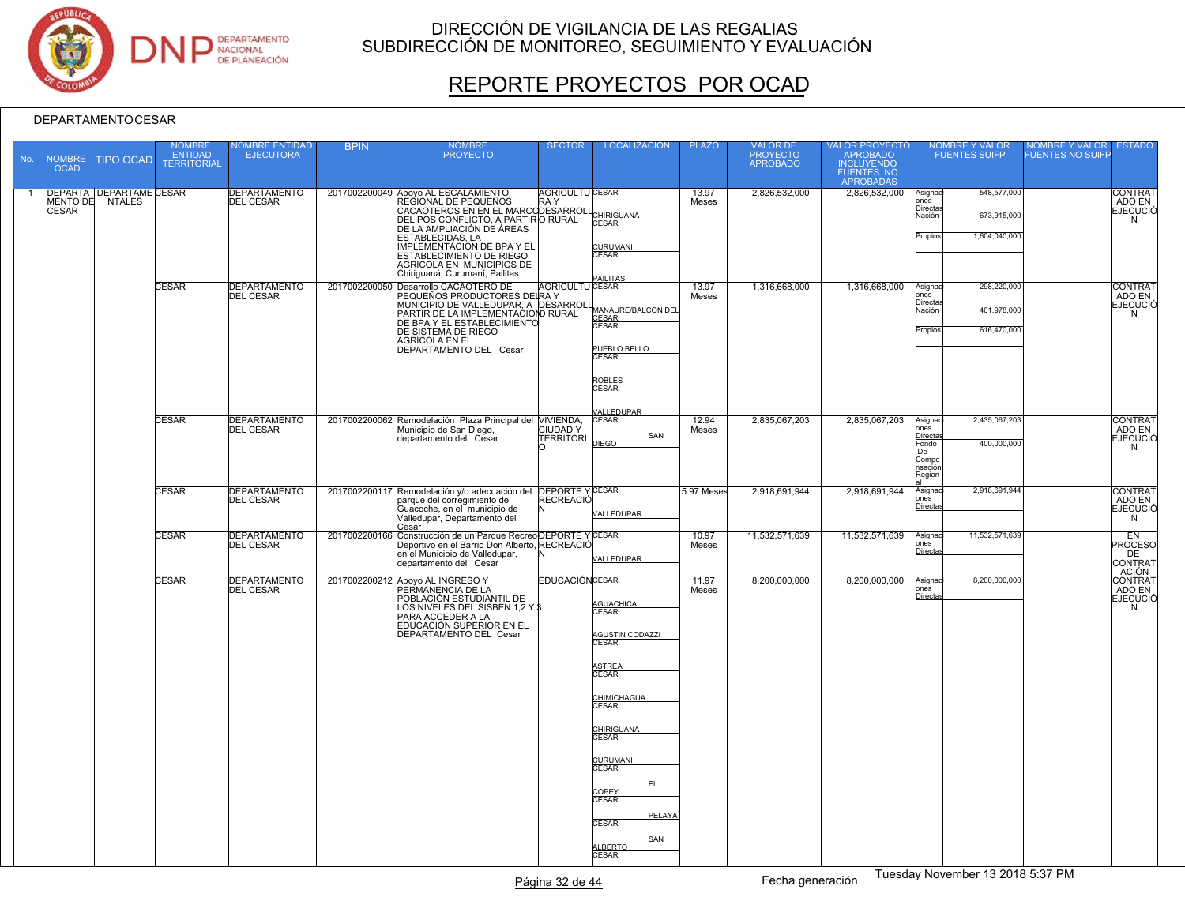

# REPORTE PROYECTOS POR OCAD

|                | <b>OCAD</b>  | No. NOMBRE TIPO OCAD                              | <b>NOMBRE</b><br><b>ENTIDAD</b><br><b>TERRITORIAL</b> | <b>VOMBRE ENTIDAD</b><br><b>EJECUTORA</b> | <b>BPIN</b> | <b>NOMBRE</b><br><b>PROYECTO</b>                                                                                                                                                                                                                                                                                         | <b>SECTOR</b>                      | <b>LOCALIZACIÓN</b>                                                                                                                                                                                                                                           | <b>PLAZO</b>   | VALOR DE<br>PROYECTO<br>APROBADO | VALOR PROYECTO<br>APROBADO<br>INCLUYENDO<br>FUENTES NO<br>APROBADAS |                                                                                 | <b>NOMBRE Y VALOR</b><br><b>FUENTES SUIFP</b> | <b>NOMBRE Y VALOR</b><br><b>UENTES NO SUIFF</b> | <b>ESTADO</b>                                    |
|----------------|--------------|---------------------------------------------------|-------------------------------------------------------|-------------------------------------------|-------------|--------------------------------------------------------------------------------------------------------------------------------------------------------------------------------------------------------------------------------------------------------------------------------------------------------------------------|------------------------------------|---------------------------------------------------------------------------------------------------------------------------------------------------------------------------------------------------------------------------------------------------------------|----------------|----------------------------------|---------------------------------------------------------------------|---------------------------------------------------------------------------------|-----------------------------------------------|-------------------------------------------------|--------------------------------------------------|
| $\overline{1}$ | <b>CESAR</b> | <b>DEPARTA DEPARTAME CESAR</b><br>MENTO DE NTALES |                                                       | <b>DEPARTAMENTO</b><br><b>DEL CESAR</b>   |             | 2017002200049 Apoyo AL ESCALAMIENTO<br>REGIONAL DE PEQUEÑOS<br>CACAOTEROS EN EN EL MARCODESARROLL<br>DEL POS CONFLICTO, A PARTIRO RURAL<br>DE LA AMPLIACIÓN DE ÁREAS<br><b>ESTABLECIDAS, LA</b><br>IMPLEMENTACIÓN DE BPA Y EL<br>ESTABLECIMIENTO DE RIEGO<br>AGRICOLA EN MUNICIPIOS DE<br>Chiriquaná, Curumaní, Pailitas | <b>AGRICULTU CESAR</b><br>RA Y     | CHIRIGUANA<br><b>CURUMANI</b><br>CESAR<br><b>AILITAS</b>                                                                                                                                                                                                      | 13.97<br>Meses | 2,826,532,000                    | 2,826,532,000                                                       | Asignac<br>nes<br>Directas<br>Nación<br>Propios                                 | 548,577,000<br>673,915,000<br>1.604.040.000   |                                                 | CONTRAT<br>ADO EN<br><b>EJECUCIÓ</b><br>N        |
|                |              |                                                   | <b>CESAR</b>                                          | DEPARTAMENTO                              |             | 2017002200050 Desarrollo CACAOTERO DE<br>PEQUEÑOS PRODUCTORES DELRA Y<br>MUNICIPIO DE VALLEDUPAR, A DESARROL<br>PARTIR DE LA IMPLEMENTACIÓNO RURAL<br>DE BPA Y EL ESTABLECIMIENTO<br>DE SISTEMA DE RIEGO<br>AGRÍCOLA EN EL<br>DEPARTAMENTO DEL Cesar                                                                     | <b>AGRICULTU CESAR</b>             | MANAURE/BALCON DEL<br>CESAR<br>CESAR<br>PUEBLO BELLO<br><b>CESAR</b><br>ROBLES<br>CESAR                                                                                                                                                                       | 13.97<br>Meses | 1,316,668,000                    | 1,316,668,000                                                       | Asignac<br>ones<br>Directas<br>Nación<br>Propios                                | 298,220,000<br>401,978,000<br>616,470,000     |                                                 | <b>CONTRAT</b><br>ADO EN<br><b>EJECUCIÓ</b><br>N |
|                |              |                                                   | <b>CESAR</b>                                          | <b>DEPARTAMENTO</b><br><b>DEL CESAR</b>   |             | 2017002200062 Remodelación Plaza Principal del VIVIENDA,<br>Municipio de San Diego,<br>departamento del Cesar                                                                                                                                                                                                            | <b>CIUDADY</b><br><b>TERRITORI</b> | <b>ALLEDUPAR</b><br><b>CESAR</b><br>SAN<br><b>DIEGO</b>                                                                                                                                                                                                       | 12.94<br>Meses | 2,835,067,203                    | 2,835,067,203                                                       | Asignac<br>ones<br><u>Directas</u><br>Fondo<br>De<br>Compe<br>nsación<br>Region | 2,435,067,203<br>400,000,000                  |                                                 | <b>CONTRAT</b><br>ADO EN<br><b>EJECUCIÓ</b><br>N |
|                |              |                                                   | CESAR                                                 | <b>DEPARTAMENTO</b><br><b>DEL CESAR</b>   |             | 2017002200117 Remodelación y/o adecuación del DEPORTE Y CESAR<br>parque del corregimiento de<br>Guacoche, en el municipio de<br>Valledupar, Departamento del<br>Cesar                                                                                                                                                    | <b>RECREACIÓ</b>                   | <b>ALLEDUPAR</b>                                                                                                                                                                                                                                              | 5.97 Meses     | 2,918,691,944                    | 2,918,691,944                                                       | Asignac<br>ones<br>Directa                                                      | 2,918,691,944                                 |                                                 | <b>CONTRAT</b><br>ADO EN<br><b>EJECUCIÓ</b><br>N |
|                |              |                                                   | CESAR                                                 | <b>DEPARTAMENTO</b><br><b>DEL CESAR</b>   |             | 2017002200166 Construcción de un Parque Recreo DEPORTE Y CESAR<br>Deportivo en el Barrio Don Alberto, RECREACIÓ<br>en el Municipio de Valledupar,<br>departamento del Cesar                                                                                                                                              |                                    | VALLEDUPAR                                                                                                                                                                                                                                                    | 10.97<br>Meses | 11,532,571,639                   | 11,532,571,639                                                      | Asignac<br>ones<br>Directas                                                     | 11,532,571,639                                |                                                 | EN<br><b>PROCESO</b><br>DE<br>CONTRAT            |
|                |              |                                                   | CESAR                                                 | <b>DEPARTAMENTO</b><br><b>DEL CESAR</b>   |             | 2017002200212 Apovo AL INGRESO Y<br>PERMANENCIA DE LA<br>POBLACIÓN ESTUDIANTIL DE<br>LOS NIVELES DEL SISBEN 1.2 Y 3<br>PARA ACCEDER A LA<br>EDUCACIÓN SUPERIOR EN EL<br>DEPARTAMENTO DEL Cesar                                                                                                                           | <b>EDUCACIÓNCESAR</b>              | <b>AGUACHICA</b><br>CESAR<br><b>AGUSTIN CODAZZI</b><br><b>CESAR</b><br>ASTREA<br>CESAR<br><b>CHIMICHAGUA</b><br><b>CESAR</b><br><b>CHIRIGUANA</b><br>CESAR<br>CURUMANI<br>CESAR<br>EL.<br>COPEY<br>CESAR<br>PELAYA<br><b>CESAR</b><br>SAN<br>ALBERTO<br>CESAR | 11.97<br>Meses | 8.200.000.000                    | 8.200.000.000                                                       | Asignac<br>ones<br>Directas                                                     | 8,200,000,000                                 |                                                 | ACIÓN<br>ADO EN<br><b>EJECUCIÓ</b><br>N          |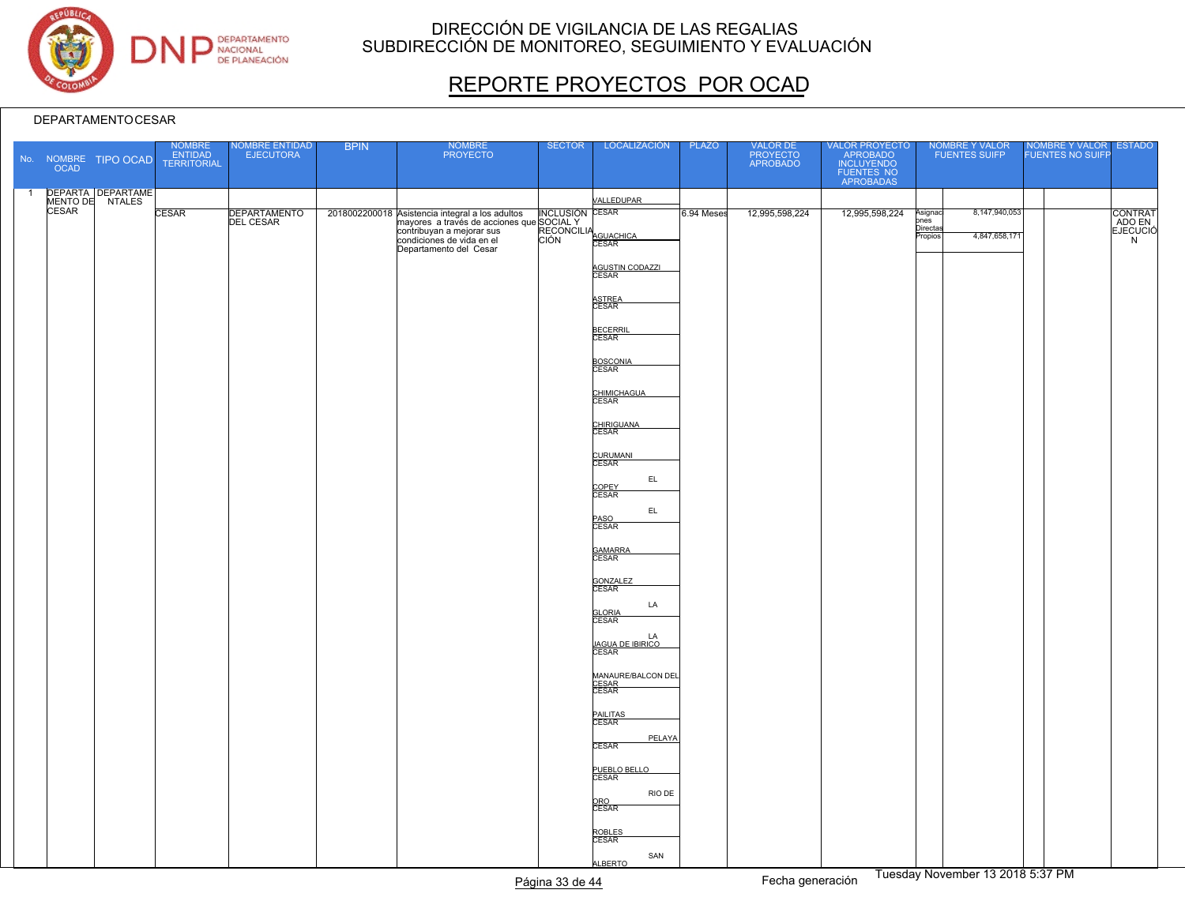

# REPORTE PROYECTOS POR OCAD

|                | <b>OCAD</b> | No. NOMBRE TIPO OCAD                          | NOMBRE<br>ENTIDAD<br>TERRITORIAL | NOMBRE ENTIDAD<br>EJECUTORA | <b>BPIN</b> | NOMBRE<br>PROYECTO                                                                                                                                                                 | <b>SECTOR</b> | LOCALIZACIÓN                           | <b>PLAZO</b> | VALOR DE<br>PROYECTO<br>APROBADO | VALOR PROYECTO<br>APROBADO<br>INCLUYENDO<br>FUENTES NO<br>APROBADAS |                                    | NOMBRE Y VALOR<br>FUENTES SUIFP | NOMBRE Y VALOR ESTADO<br>FUENTES NO SUIFP |                    |
|----------------|-------------|-----------------------------------------------|----------------------------------|-----------------------------|-------------|------------------------------------------------------------------------------------------------------------------------------------------------------------------------------------|---------------|----------------------------------------|--------------|----------------------------------|---------------------------------------------------------------------|------------------------------------|---------------------------------|-------------------------------------------|--------------------|
| $\overline{1}$ |             | DEPARTA DEPARTAME<br>MENTO DE NTALES<br>CESAR |                                  |                             |             |                                                                                                                                                                                    |               | <b>VALLEDUPAR</b>                      |              |                                  |                                                                     |                                    |                                 |                                           |                    |
|                |             |                                               | <b>CESAR</b>                     | DEPARTAMENTO                |             | 2018002200018<br>Asistencia integral a los adultos MCLUSIÓN CESAR<br>mayores a través de acciones que SOCIAL Y<br>contribuyan a mejorar sus<br>Andiciones de vida en el CIÓN CESAR |               |                                        | 6.94 Meses   | 12,995,598,224                   | 12,995,598,224                                                      | Asignad<br>pnes<br><u>Directas</u> | 8,147,940,053                   |                                           | <b>CONTRAT</b>     |
|                |             |                                               |                                  |                             |             | Departamento del Cesar                                                                                                                                                             |               |                                        |              |                                  |                                                                     | Propios                            | 4,847,658,171                   |                                           | ADO EN<br>EJECUCIÓ |
|                |             |                                               |                                  |                             |             |                                                                                                                                                                                    |               | AGUSTIN CODAZZI                        |              |                                  |                                                                     |                                    |                                 |                                           |                    |
|                |             |                                               |                                  |                             |             |                                                                                                                                                                                    |               | ASTREA<br>CESAR                        |              |                                  |                                                                     |                                    |                                 |                                           |                    |
|                |             |                                               |                                  |                             |             |                                                                                                                                                                                    |               | <b>BECERRIL</b><br>CESAR               |              |                                  |                                                                     |                                    |                                 |                                           |                    |
|                |             |                                               |                                  |                             |             |                                                                                                                                                                                    |               | <b>BOSCONIA</b><br>CESAR               |              |                                  |                                                                     |                                    |                                 |                                           |                    |
|                |             |                                               |                                  |                             |             |                                                                                                                                                                                    |               | CHIMICHAGUA                            |              |                                  |                                                                     |                                    |                                 |                                           |                    |
|                |             |                                               |                                  |                             |             |                                                                                                                                                                                    |               | CHIRIGUANA<br>CESAR                    |              |                                  |                                                                     |                                    |                                 |                                           |                    |
|                |             |                                               |                                  |                             |             |                                                                                                                                                                                    |               | CURUMANI<br>CESAR                      |              |                                  |                                                                     |                                    |                                 |                                           |                    |
|                |             |                                               |                                  |                             |             |                                                                                                                                                                                    |               | EL                                     |              |                                  |                                                                     |                                    |                                 |                                           |                    |
|                |             |                                               |                                  |                             |             |                                                                                                                                                                                    |               | COPEY<br>CESAR<br>EL                   |              |                                  |                                                                     |                                    |                                 |                                           |                    |
|                |             |                                               |                                  |                             |             |                                                                                                                                                                                    |               | PASO<br>CESAR                          |              |                                  |                                                                     |                                    |                                 |                                           |                    |
|                |             |                                               |                                  |                             |             |                                                                                                                                                                                    |               | GAMARRA<br>CESAR                       |              |                                  |                                                                     |                                    |                                 |                                           |                    |
|                |             |                                               |                                  |                             |             |                                                                                                                                                                                    |               | GONZALEZ<br>LA                         |              |                                  |                                                                     |                                    |                                 |                                           |                    |
|                |             |                                               |                                  |                             |             |                                                                                                                                                                                    |               | <b>GLORIA</b><br>CESAR                 |              |                                  |                                                                     |                                    |                                 |                                           |                    |
|                |             |                                               |                                  |                             |             |                                                                                                                                                                                    |               | LA<br><u>JAGUA DE IBIRICO</u><br>CESAR |              |                                  |                                                                     |                                    |                                 |                                           |                    |
|                |             |                                               |                                  |                             |             |                                                                                                                                                                                    |               | MANAURE/BALCON DEL<br>CESAR<br>CESAR   |              |                                  |                                                                     |                                    |                                 |                                           |                    |
|                |             |                                               |                                  |                             |             |                                                                                                                                                                                    |               | PAILITAS<br>CESAR                      |              |                                  |                                                                     |                                    |                                 |                                           |                    |
|                |             |                                               |                                  |                             |             |                                                                                                                                                                                    |               | PELAYA<br><b>CESAR</b>                 |              |                                  |                                                                     |                                    |                                 |                                           |                    |
|                |             |                                               |                                  |                             |             |                                                                                                                                                                                    |               | PUEBLO BELLO<br>CESAR                  |              |                                  |                                                                     |                                    |                                 |                                           |                    |
|                |             |                                               |                                  |                             |             |                                                                                                                                                                                    |               | RIO DE<br>ORO<br>CESAR                 |              |                                  |                                                                     |                                    |                                 |                                           |                    |
|                |             |                                               |                                  |                             |             |                                                                                                                                                                                    |               | ROBLES<br>CESAR                        |              |                                  |                                                                     |                                    |                                 |                                           |                    |
|                |             |                                               |                                  |                             |             |                                                                                                                                                                                    |               | SAN<br><b>ALBERTO</b>                  |              |                                  |                                                                     |                                    |                                 |                                           |                    |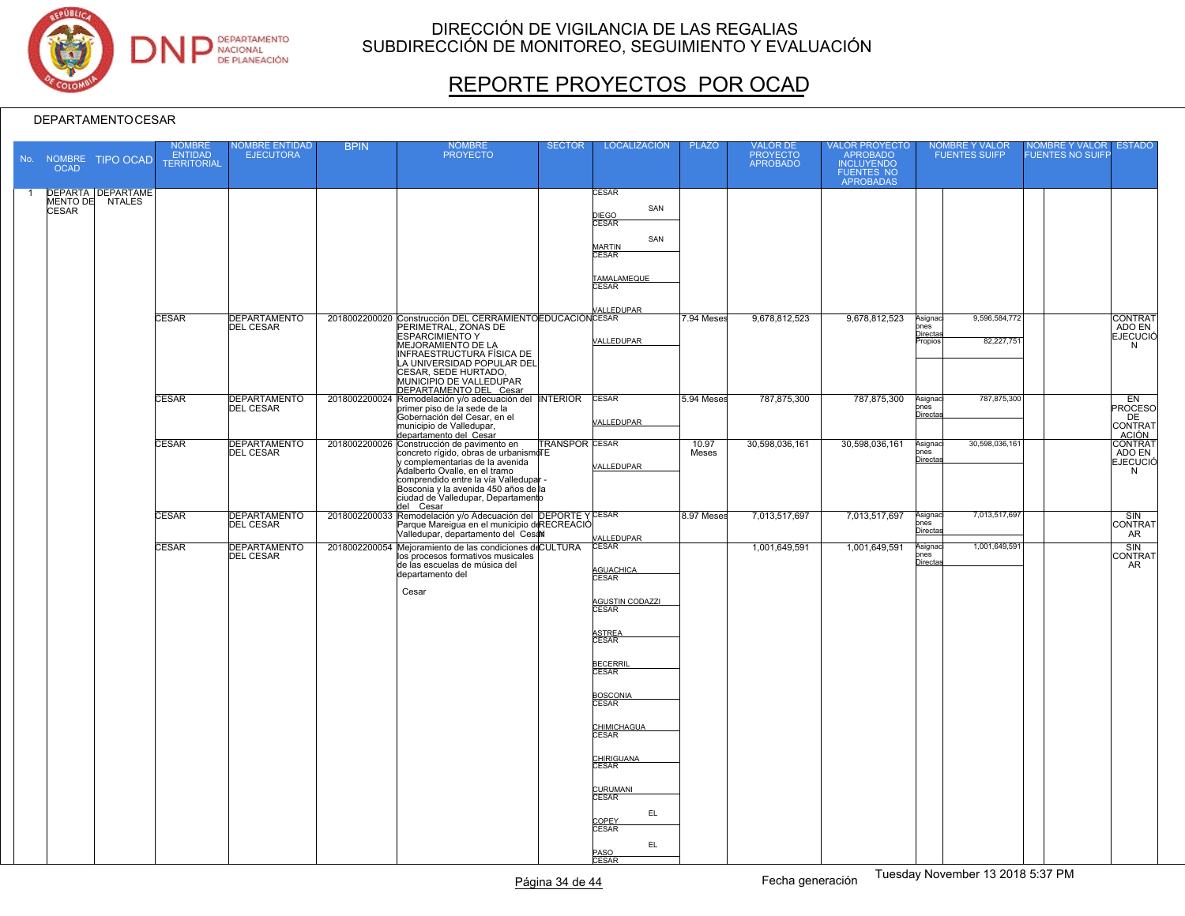

# REPORTE PROYECTOS POR OCAD

| <b>OCAD</b>  | No. NOMBRE TIPO OCAD                        | <b>NOMBRE</b><br><b>ENTIDAD</b><br><b>TERRITORIAL</b> | NOMBRE ENTIDAD<br>EJECUTORA             | <b>BPIN</b> | <b>NOMBRE</b><br><b>PROYECTO</b>                                                                                                                                                                                                                                                            | <b>SECTOR</b>         | <b>LOCALIZACIÓN</b>                                                                                                                                                                                                                                                             | <b>PLAZO</b>   | VALOR DE<br>PROYECTO<br>APROBADO | VALOR PROYECTO<br>APROBADO<br><b>INCLUYENDO</b><br>FUENTES NO<br>APROBADAS | NOMBRE Y VALOR<br>FUENTES SUIFP                                      | NOMBRE Y VALOR ESTADO<br>FUENTES NO SUIFP |                                           |
|--------------|---------------------------------------------|-------------------------------------------------------|-----------------------------------------|-------------|---------------------------------------------------------------------------------------------------------------------------------------------------------------------------------------------------------------------------------------------------------------------------------------------|-----------------------|---------------------------------------------------------------------------------------------------------------------------------------------------------------------------------------------------------------------------------------------------------------------------------|----------------|----------------------------------|----------------------------------------------------------------------------|----------------------------------------------------------------------|-------------------------------------------|-------------------------------------------|
| <b>CESAR</b> | <b>DEPARTA DEPARTAME</b><br>MENTO DE NTALES |                                                       |                                         |             |                                                                                                                                                                                                                                                                                             |                       | CESAR<br>SAN<br>DIEGO<br>CESAR<br>SAN<br><b>MARTIN</b><br>CESAR                                                                                                                                                                                                                 |                |                                  |                                                                            |                                                                      |                                           |                                           |
|              |                                             |                                                       |                                         |             |                                                                                                                                                                                                                                                                                             |                       | TAMALAMEQUE<br><b>CESAR</b><br><b>ALLEDUPAR</b>                                                                                                                                                                                                                                 |                |                                  |                                                                            |                                                                      |                                           |                                           |
|              |                                             | <b>CESAR</b>                                          | <b>DEPARTAMENTO</b><br><b>DEL CESAR</b> |             | 2018002200020 Construcción DEL CERRAMIENTO EDUCACIÓN CESAR<br><b>ESPARCIMIENTO Y</b><br>MEJORAMIENTO DE LA<br>INFRAESTRUCTURA FÍSICA DE<br>LA UNIVERSIDAD POPULAR DEL<br>CESAR, SEDE HURTADO,<br>MUNICIPIO DE VALLEDUPAR<br>DEPARTAMENTO DEL Cesar                                          |                       | VALLEDUPAR                                                                                                                                                                                                                                                                      | 7.94 Meses     | 9,678,812,523                    | 9,678,812,523                                                              | 9,596,584,772<br>Asignac<br>ones<br>Directas<br>82,227,751<br>ropios |                                           | CONTRAT<br>ADO EN<br><b>EJECUCIÓ</b><br>N |
|              |                                             | <b>CESAR</b>                                          | <b>DEPARTAMENTO</b><br><b>DEL CESAR</b> |             | 2018002200024 Remodelación y/o adecuación del INTERIOR<br>primer piso de la sede de la<br>Gobernación del Cesar, en el<br>municipio de Valledupar,<br>departamento del Cesar                                                                                                                |                       | <b>CESAR</b><br>VALLEDUPAR                                                                                                                                                                                                                                                      | 5.94 Meses     | 787,875,300                      | 787,875,300                                                                | 787.875.300<br>Asignac<br>ones<br><b>Directa</b>                     |                                           | EN<br><b>PROCESO</b><br>DE<br>CONTRAT     |
|              |                                             | <b>CESAR</b>                                          | <b>DEPARTAMENTO</b><br><b>DEL CESAR</b> |             | 2018002200026 Construcción de pavimento en<br>concreto rígido, obras de urbanismo E<br>y complementarias de la avenida<br>Adalberto Ovalle, en el tramo<br>comprendido entre la vía Valledupar -<br>Bosconia y la avenida 450 años de la<br>ciudad de Valledupar, Departamento<br>del Cesar | <b>TRANSPOR CESAR</b> | VALLEDUPAR                                                                                                                                                                                                                                                                      | 10.97<br>Meses | 30,598,036,161                   | 30,598,036,161                                                             | 30,598,036,161<br>Asignac<br>ones<br><b>Directa</b>                  |                                           | ADO EN<br><b>EJECUCIÓ</b><br>N            |
|              |                                             | <b>CESAR</b>                                          | <b>DEPARTAMENTO</b><br><b>DEL CESAR</b> |             | 2018002200033 Remodelación y/o Adecuación del DEPORTE Y CESAR<br>Parque Mareigua en el municipio de RECREACIÓ<br>Valledupar, departamento del Cesal                                                                                                                                         |                       |                                                                                                                                                                                                                                                                                 | 8.97 Meses     | 7,013,517,697                    | 7,013,517,697                                                              | 7,013,517,697<br>Asignac<br>ones<br>Directas                         |                                           | SIN<br>CONTRAT<br>AR                      |
|              |                                             | CESAR                                                 | <b>DEPARTAMENTO</b><br><b>DEL CESAR</b> |             | 2018002200054 Mejoramiento de las condiciones deCULTURA<br>los procesos formativos musicales<br>de las escuelas de música del<br>departamento del<br>Cesar                                                                                                                                  |                       | ALLEDUPAR<br><b>CESAR</b><br>AGUACHICA<br>CESAR<br>AGUSTIN CODAZZI<br>ASTREA<br>CESAR<br><b>BECERRIL</b><br>CESAR<br>BOSCONIA<br>CESAR<br><b>CHIMICHAGUA</b><br><b>CESAR</b><br>CHIRIGUANA<br><b>CESAR</b><br>CURUMANI<br>CESAR<br>EL.<br>COPEY<br>CESAR<br>EL<br>PASO<br>CESAR |                | 1,001,649,591                    | 1,001,649,591                                                              | 1,001,649,591<br>Asignac<br>ones<br><b>Directa</b>                   |                                           | SIN<br>CONTRAT<br><b>AR</b>               |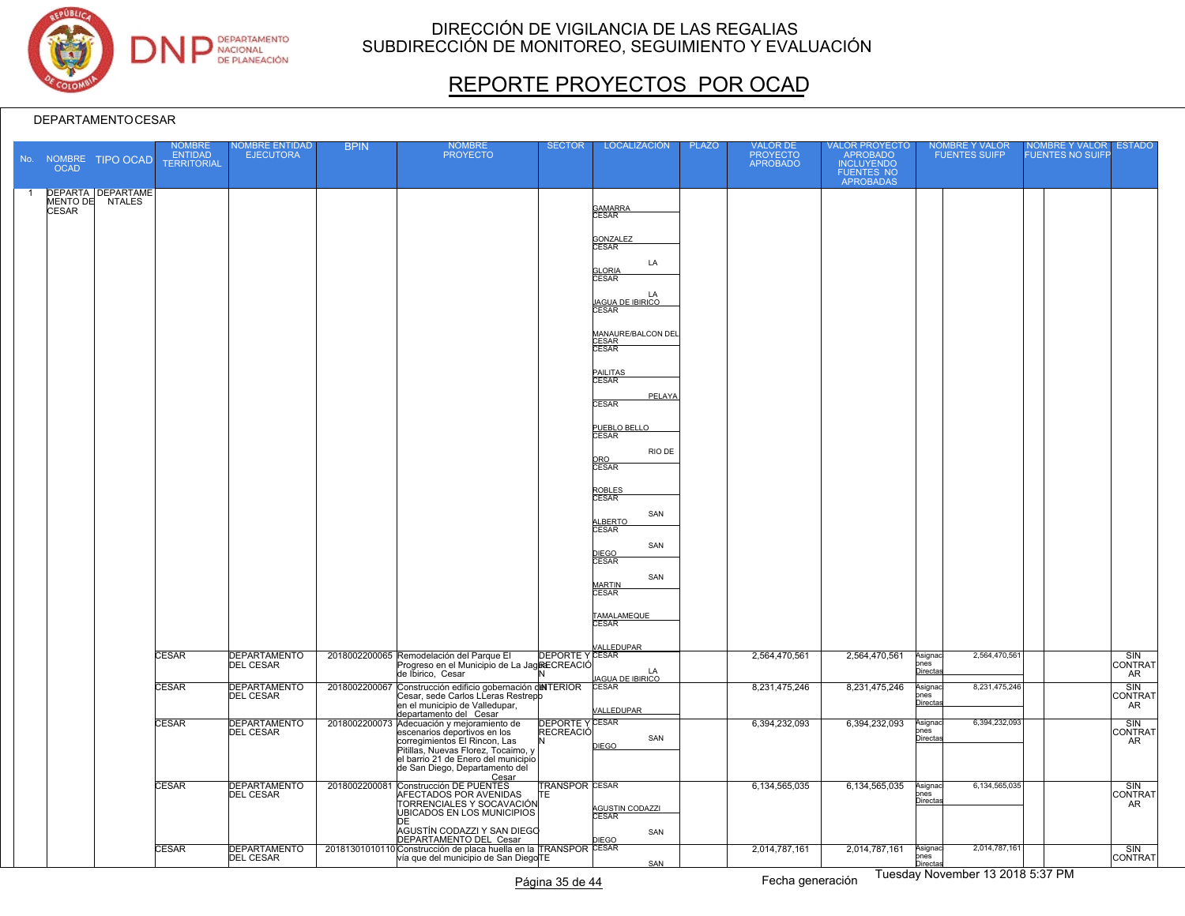

# REPORTE PROYECTOS POR OCAD

#### DEPARTAMENTOCESAR

|                | No. NOMBRE<br><b>OCAD</b> | <b>TIPO OCAD</b>                            | NOMBRE<br><b>ENTIDAD</b><br><b>TERRITORIAL</b> | <b>IOMBRE ENTIDAD</b><br><b>EJECUTORA</b> | <b>BPIN</b> | <b>NOMBRE</b><br><b>PROYECTO</b>                                                                                                                                             | <b>SECTOR</b>                             | LOCALIZACIÓN                                  | <b>PLAZO</b> | <b>VALOR DE</b><br>PROYECTO<br>APROBADO | VALOR PROYECTO<br>APROBADO<br><b>INCLUYENDO</b><br>FUENTES NO<br>APROBADAS | <b>NOMBRE Y VALOR</b><br><b>FUENTES SUIFP</b> | NOMBRE Y VALOR<br><b>FUENTES NO SUIFF</b> | <b>ESTADO</b>        |
|----------------|---------------------------|---------------------------------------------|------------------------------------------------|-------------------------------------------|-------------|------------------------------------------------------------------------------------------------------------------------------------------------------------------------------|-------------------------------------------|-----------------------------------------------|--------------|-----------------------------------------|----------------------------------------------------------------------------|-----------------------------------------------|-------------------------------------------|----------------------|
| $\overline{1}$ |                           | <b>DEPARTA DEPARTAME</b><br>MENTO DE NTALES |                                                |                                           |             |                                                                                                                                                                              |                                           | <b>GAMARRA</b>                                |              |                                         |                                                                            |                                               |                                           |                      |
|                | <b>CESAR</b>              |                                             |                                                |                                           |             |                                                                                                                                                                              |                                           | <b>CESAR</b>                                  |              |                                         |                                                                            |                                               |                                           |                      |
|                |                           |                                             |                                                |                                           |             |                                                                                                                                                                              |                                           | GONZALEZ<br>CESAR                             |              |                                         |                                                                            |                                               |                                           |                      |
|                |                           |                                             |                                                |                                           |             |                                                                                                                                                                              |                                           | LA<br><b>GLORIA</b><br>CESAR                  |              |                                         |                                                                            |                                               |                                           |                      |
|                |                           |                                             |                                                |                                           |             |                                                                                                                                                                              |                                           | LA<br><b>JAGUA DE IBIRICO</b><br><b>CESAR</b> |              |                                         |                                                                            |                                               |                                           |                      |
|                |                           |                                             |                                                |                                           |             |                                                                                                                                                                              |                                           | MANAURE/BALCON DEL<br>CESAR<br>CESAR          |              |                                         |                                                                            |                                               |                                           |                      |
|                |                           |                                             |                                                |                                           |             |                                                                                                                                                                              |                                           | PAILITAS<br>CESAR                             |              |                                         |                                                                            |                                               |                                           |                      |
|                |                           |                                             |                                                |                                           |             |                                                                                                                                                                              |                                           | PELAYA<br><b>CESAR</b>                        |              |                                         |                                                                            |                                               |                                           |                      |
|                |                           |                                             |                                                |                                           |             |                                                                                                                                                                              |                                           | PUEBLO BELLO<br>CESAR                         |              |                                         |                                                                            |                                               |                                           |                      |
|                |                           |                                             |                                                |                                           |             |                                                                                                                                                                              |                                           | RIO DE<br>ORO<br>CESAR                        |              |                                         |                                                                            |                                               |                                           |                      |
|                |                           |                                             |                                                |                                           |             |                                                                                                                                                                              |                                           | ROBLES<br>CESAR                               |              |                                         |                                                                            |                                               |                                           |                      |
|                |                           |                                             |                                                |                                           |             |                                                                                                                                                                              |                                           | SAN<br><b>LBERTO</b><br><b>CESAR</b>          |              |                                         |                                                                            |                                               |                                           |                      |
|                |                           |                                             |                                                |                                           |             |                                                                                                                                                                              |                                           | SAN<br>DIEGO<br>CESAR                         |              |                                         |                                                                            |                                               |                                           |                      |
|                |                           |                                             |                                                |                                           |             |                                                                                                                                                                              |                                           | SAN<br><b>MARTIN</b><br>CESAR                 |              |                                         |                                                                            |                                               |                                           |                      |
|                |                           |                                             |                                                |                                           |             |                                                                                                                                                                              |                                           | TAMALAMEQUE<br><b>CESAR</b>                   |              |                                         |                                                                            |                                               |                                           |                      |
|                |                           |                                             |                                                |                                           |             |                                                                                                                                                                              |                                           |                                               |              |                                         |                                                                            |                                               |                                           |                      |
|                |                           |                                             | <b>CESAR</b>                                   | DEPARTAMENTO                              |             | NALLEDUPAR<br>Progreso en el Municipio de La JagRECREACIÓ<br>de Librico, Cesar<br>Conctinuity de La JagRECREACIÓ<br>Conctinuity<br>2018002200065 Remodelación del Parque El  |                                           | LA<br><b>JAGUA DE IBIRICO</b>                 |              | 2,564,470,561                           | 2,564,470,561                                                              | 2,564,470,561<br>Asignac<br>ones<br>Directas  |                                           | SIN<br>CONTRAT<br>AR |
|                |                           |                                             | <b>CESAR</b>                                   | <b>DEPARTAMENTO</b><br><b>DEL CESAR</b>   |             | 2018002200067 Construcción edificio gobernación dellTERIOR<br>Cesar, sede Carlos LLeras Restrepp<br>en el municipio de Valledupar,                                           |                                           | <b>CESAR</b><br>VALLEDUPAR                    |              | 8,231,475,246                           | 8,231,475,246                                                              | 8,231,475,246<br>Asignac<br>ones<br>Directas  |                                           | SIN<br>CONTRAT<br>AR |
|                |                           |                                             | <b>CESAR</b>                                   | DEPARTAMENTO<br><b>DEL CESAR</b>          |             | departamento del Cesar<br>2018002200073 Adecuación y mejoramiento de<br>escenarios deportivos en los<br>corregimientos El Rincon, Las<br>Pitillas, Nuevas Florez, Tocaimo, y | <b>DEPORTE YCESAR</b><br><b>RECREACIÓ</b> | SAN<br><b>DIEGO</b>                           |              | 6,394,232,093                           | 6,394,232,093                                                              | 6,394,232,093<br>Asignac<br>ones<br>Directa   |                                           | SIN<br>CONTRAT<br>AR |
|                |                           |                                             |                                                |                                           |             | el barrio 21 de Enero del municipio<br>de San Diego, Departamento del<br>Cesar                                                                                               |                                           |                                               |              |                                         |                                                                            |                                               |                                           |                      |
|                |                           |                                             | <b>CESAR</b>                                   | <b>DEPARTAMENTO</b><br><b>DEL CESAR</b>   |             | 2018002200081 Construcción DE PUENTES<br>AFECTADOS POR AVENIDAS<br>TORRENCIALES Y SOCAVACIÓN<br>UBICADOS EN LOS MUNICIPIOS                                                   | <b>TRANSPOR CESAR</b><br>TE.              | AGUSTIN CODAZZI<br>CESAR                      |              | 6,134,565,035                           | 6,134,565,035                                                              | 6,134,565,035<br>Asignac<br>pnes<br>Directas  |                                           | SIN<br>CONTRAT<br>AR |
|                |                           |                                             |                                                |                                           |             | DЕ<br>AGUSTÍN CODAZZI Y SAN DIEGO<br>DEPARTAMENTO DEL Cesar                                                                                                                  |                                           | SAN                                           |              |                                         |                                                                            |                                               |                                           |                      |
|                |                           |                                             | <b>CESAR</b>                                   | <b>DEPARTAMENTO</b><br><b>DEL CESAR</b>   |             | 20181301010110 Construcción de placa huella en la TRANSPOR CESAR<br>vía que del municipio de San DiegoTE                                                                     |                                           | SAN                                           |              | 2,014,787,161                           | 2,014,787,161                                                              | 2,014,787,161<br>Asignac<br>ones<br>Directas  |                                           | SIN<br>CONTRAT       |

Página 35 de 44 Fecha generación Fuesday November 13 2018 5:37 PM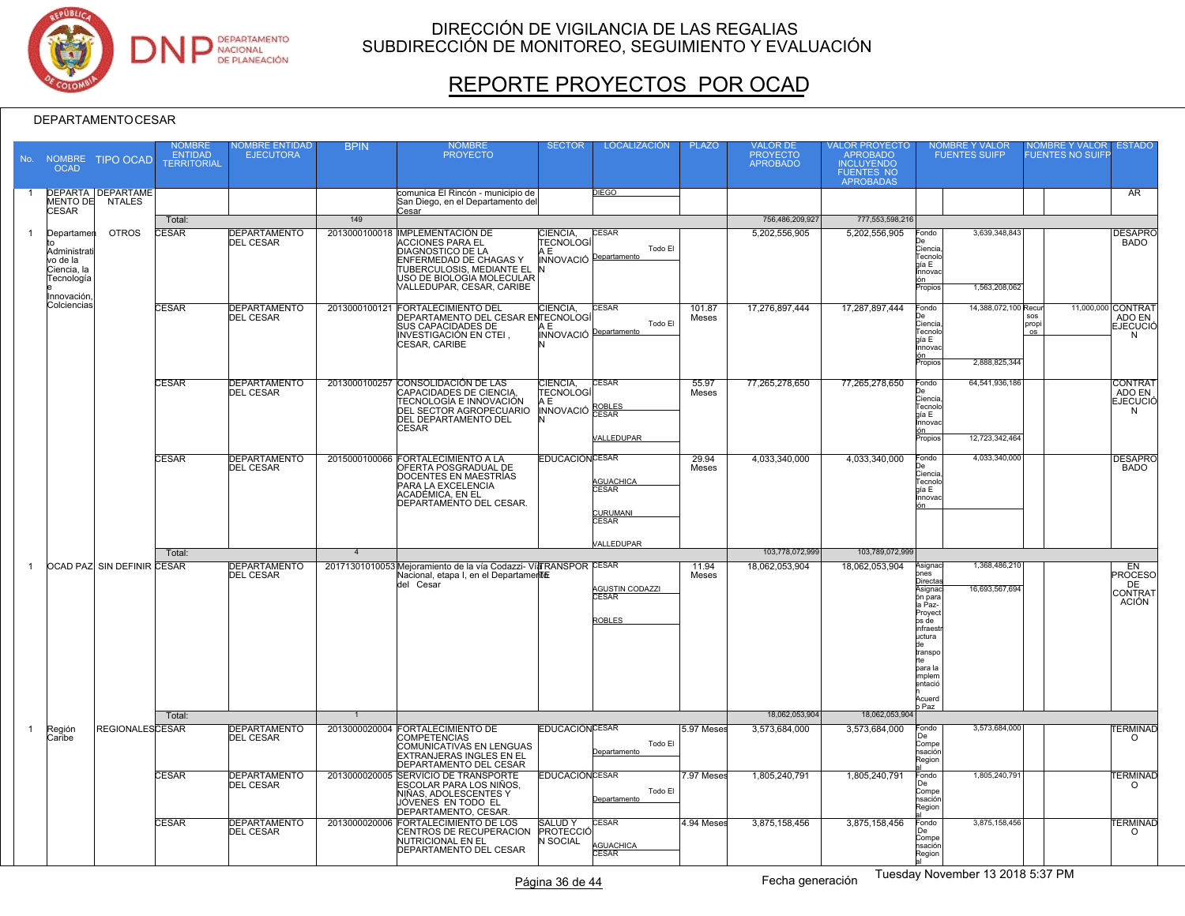

# REPORTE PROYECTOS POR OCAD

|              | <b>OCAD</b>                                                          | No. NOMBRE TIPO OCAD                        | NOMBRE<br><b>ENTIDAD</b><br><b>TERRITORIAL</b> | <b>IOMBRE ENTIDAD</b><br><b>EJECUTORA</b> | <b>BPIN</b>    | <b>NOMBRE</b><br><b>PROYECTO</b>                                                                                                                                     | <b>SECTOR</b>                                    | <b>LOCALIZACIÓN</b>                                 | <b>PLAZO</b>   | VALOR DE<br><b>PROYECTO</b><br><b>APROBADO</b> | VALOR PROYECTO<br>APROBADO<br><b>INCLUYENDO</b><br>FUENTES NO<br>APROBADAS | <b>NOMBRE Y VALOR</b><br><b>FUENTES SUIFP</b>                                                                                                                                                           | <b>ESTADO</b><br><b>VOMBRE Y VALOR</b><br><b>FUENTES NO SUIFF</b>        |
|--------------|----------------------------------------------------------------------|---------------------------------------------|------------------------------------------------|-------------------------------------------|----------------|----------------------------------------------------------------------------------------------------------------------------------------------------------------------|--------------------------------------------------|-----------------------------------------------------|----------------|------------------------------------------------|----------------------------------------------------------------------------|---------------------------------------------------------------------------------------------------------------------------------------------------------------------------------------------------------|--------------------------------------------------------------------------|
|              |                                                                      | <b>DEPARTA DEPARTAME</b><br>MENTO DE NTALES |                                                |                                           |                | comunica El Rincón - municipio de<br>San Diego, en el Departamento del                                                                                               |                                                  | DIEGO                                               |                |                                                |                                                                            |                                                                                                                                                                                                         | AR                                                                       |
|              | <b>CESAR</b>                                                         |                                             | Total:                                         |                                           | 149            | Cesar                                                                                                                                                                |                                                  |                                                     |                | 756,486,209,927                                | 777,553,598,216                                                            |                                                                                                                                                                                                         |                                                                          |
| 1            | Departamen                                                           | <b>OTROS</b>                                | <b>ESAR</b>                                    | <b>DEPARTAMENTO</b>                       |                | 2013000100018 IMPLEMENTACIÓN DE                                                                                                                                      | CIENCIA,                                         | <b>CESAR</b>                                        |                | 5,202,556,905                                  | 5,202,556,905                                                              | 3.639.348.843<br>Fondo                                                                                                                                                                                  | <b>DESAPRO</b>                                                           |
|              | Administrati<br>vo de la<br>Ciencia, la<br>Tecnología<br>Innovación. |                                             |                                                | <b>DEL CESAR</b>                          |                | <b>ACCIONES PARA EL</b><br><b>DIAGNOSTICO DE LA</b><br>ENFERMEDAD DE CHAGAS Y<br>TUBERCULOSIS, MEDIANTE EL<br>USO DE BIOLOGIA MOLECULAR<br>VALLEDUPAR, CESAR, CARIBE | <b>TECNOLOG</b><br>AЕ<br>INNOVACIÓ Departamento  | Todo El                                             |                |                                                |                                                                            | ≿iencia<br><b>Fecnolo</b><br>gía E<br>Innovac<br>1,563,208,062<br>Propios                                                                                                                               | <b>BADO</b>                                                              |
|              | Colciencias                                                          |                                             | <b>CESAR</b>                                   | <b>DEPARTAMENTO</b>                       |                | 2013000100121 FORTALECIMIENTO DEL                                                                                                                                    | CIENCIA,                                         | <b>CESAR</b>                                        | 101.87         | 17,276,897,444                                 | 17,287,897,444                                                             | 14,388,072,100 Recur<br>Fondo                                                                                                                                                                           | 11,000,000 CONTRAT                                                       |
|              |                                                                      |                                             |                                                | <b>DEL CESAR</b>                          |                | <b>DEPARTAMENTO DEL CESAR ENTECNOLOGÍ</b><br>SUS CAPACIDADES DE<br><b>INVESTIGACIÓN EN CTEI</b><br>CESAR, CARIBE                                                     | . F<br>INNOVACIÓ Departamento                    | Todo El                                             | Meses          |                                                |                                                                            | Ciencia<br><b>Fecnolo</b><br>gía E<br>Innovac<br>2,888,825,344<br>ropios                                                                                                                                | SOS<br>ADO EN<br>propi<br><b>EJECUCIÓ</b><br>$\overline{\text{os}}$<br>N |
|              |                                                                      |                                             | <b>CESAR</b>                                   | <b>DEPARTAMENTO</b>                       |                | 2013000100257 CONSOLIDACIÓN DE LAS                                                                                                                                   | CIENCIA.                                         | <b>CESAR</b>                                        | 55.97          | 77,265,278,650                                 | 77.265.278.650                                                             | Fondo<br>64,541,936,186                                                                                                                                                                                 | <b>CONTRAT</b>                                                           |
|              |                                                                      |                                             |                                                | <b>DEL CESAR</b>                          |                | CAPACIDADES DE CIENCIA<br>TECNOLOGÍA E INNOVACIÓN<br>DEL SECTOR AGROPECUARIO<br><b>DEL DEPARTAMENTO DEL</b><br><b>CESAR</b>                                          | <b>TECNOLOG</b><br>AΕ<br><b>INNOVACIÓ ROBLES</b> |                                                     | Meses          |                                                |                                                                            | Ciencia<br>Tecnolc<br>gía E<br>innovac                                                                                                                                                                  | ADO EN<br><b>EJECUCIÓ</b><br>N                                           |
|              |                                                                      |                                             |                                                |                                           |                |                                                                                                                                                                      |                                                  | VALLEDUPAR                                          |                |                                                |                                                                            | 12,723,342,464<br>Propios                                                                                                                                                                               |                                                                          |
|              |                                                                      |                                             | <b>CESAR</b>                                   | <b>DEPARTAMENTO</b><br><b>DEL CESAR</b>   |                | 2015000100066 FORTALECIMIENTO A LA<br>OFERTA POSGRADUAL DE<br>DOCENTES EN MAESTRÍAS<br>PARA LA EXCELENCIA<br>ACADÉMICA, EN EL<br>DEPARTAMENTO DEL CESAR.             | <b>EDUCACIÓNCESAR</b>                            | AGUACHICA<br>CESAR                                  | 29.94<br>Meses | 4,033,340,000                                  | 4,033,340,000                                                              | 4,033,340,000<br>Fondo<br>Ciencia<br>Tecnolo<br>gía E<br>innovac                                                                                                                                        | <b>DESAPRO</b><br><b>BADO</b>                                            |
|              |                                                                      |                                             |                                                |                                           |                |                                                                                                                                                                      |                                                  | <mark>CURUMANI</mark><br>CESAR<br><b>/ALLEDUPAR</b> |                |                                                |                                                                            | 'n                                                                                                                                                                                                      |                                                                          |
|              |                                                                      |                                             | Total:                                         |                                           | $\overline{4}$ |                                                                                                                                                                      |                                                  |                                                     |                | 103,778,072,999                                | 103.789.072.999                                                            |                                                                                                                                                                                                         |                                                                          |
|              |                                                                      | OCAD PAZ SIN DEFINIR CESAR                  | Total:                                         | <b>DEPARTAMENTO</b><br><b>DEL CESAR</b>   | $\mathbf{1}$   | 20171301010053 Mejoramiento de la vía Codazzi-Vía RANSPOR CESAR<br>Nacional, etapa I, en el Departamente<br>del Cesar                                                |                                                  | AGUSTIN CODAZZI<br><b>ROBLES</b>                    | 11.94<br>Meses | 18.062.053.904<br>18,062,053,904               | 18.062.053.904<br>18,062,053,904                                           | 1,368,486,210<br>Asignac<br>nes<br><u>Directa</u><br>16,693,567,694<br>Asignac<br>ón para<br>a Paz-<br>Provect<br>os de<br>nfraest<br>uctura<br>transpo<br>nara la<br>nplen<br>entació<br>Acuerd<br>Paz | <b>EN</b><br><b>PROCESO</b><br>DE<br><b>CONTRAT</b><br><b>ACIÓN</b>      |
| $\mathbf{1}$ | Región                                                               | <b>REGIONALESCESAR</b>                      |                                                | <b>DEPARTAMENTO</b>                       |                | 2013000020004 FORTALECIMIENTO DE                                                                                                                                     | <b>EDUCACIÓNCESAR</b>                            |                                                     | 5.97 Meses     | 3,573,684,000                                  | 3,573,684,000                                                              | 3,573,684,000<br>Fondo                                                                                                                                                                                  | <b><i>TERMINAD</i></b>                                                   |
|              | Caribe                                                               |                                             |                                                | <b>DEL CESAR</b>                          |                | <b>COMPETENCIAS</b><br>COMUNICATIVAS EN LENGUAS<br><b>EXTRANJERAS INGLES EN EL</b><br><b>DEPARTAMENTO DEL CESAR</b>                                                  |                                                  | Todo El<br>Departamento                             |                |                                                |                                                                            | Compe<br>าsaciór<br>Region                                                                                                                                                                              | $\Omega$                                                                 |
|              |                                                                      |                                             | CESAR                                          | <b>DEPARTAMENTO</b><br><b>DEL CESAR</b>   |                | 2013000020005 SERVICIO DE TRANSPORTE<br>ESCOLAR PARA LOS NIÑOS.<br>NIÑAS, ADOLESCENTES Y<br>JÓVENES EN TODO EL<br><b>DEPARTAMENTO, CESAR</b>                         | <b>EDUCACIÓNCESAR</b>                            | Todo El<br>Departamento                             | 7.97 Meses     | 1,805,240,791                                  | 1,805,240,791                                                              | 1,805,240,79<br>Fondo<br>Compe<br>ısación<br>Region                                                                                                                                                     | <b><i>TERMINAD</i></b><br>$\Omega$                                       |
|              |                                                                      |                                             | <b>CESAR</b>                                   | <b>DEPARTAMENTO</b><br><b>DEL CESAR</b>   |                | 2013000020006 FORTALECIMIENTO DE LOS<br>CENTROS DE RECUPERACION<br>NUTRICIONAL EN EL<br>DEPARTAMENTO DEL CESAR                                                       | <b>SALUDY</b><br>PROTECCIÓ<br>N SOCIAL           | <b>CESAR</b><br><b>AGUACHICA</b><br><b>CESAR</b>    | 4.94 Meses     | 3,875,158,456                                  | 3,875,158,456                                                              | 3,875,158,456<br>Fondo<br>De.<br>Compe<br>nsación<br>Region                                                                                                                                             | <b>ERMINAD</b><br>$\circ$                                                |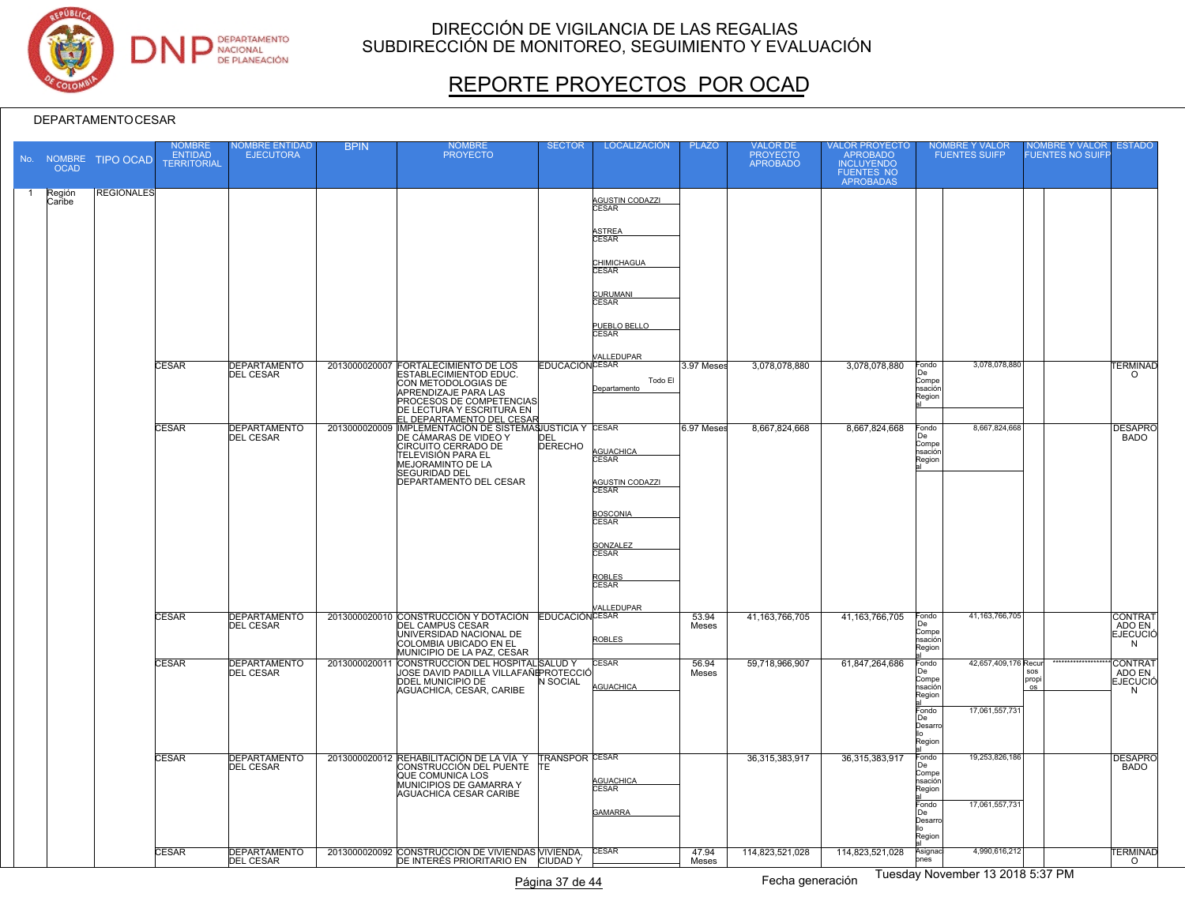

# REPORTE PROYECTOS POR OCAD

| <b>OCAD</b>      | No. NOMBRE TIPO OCAD | <b>OMBRE</b><br><b>ENTIDAD</b><br><b>TERRITORIAL</b> | <b>IOMBRE ENTIDAD</b><br><b>EJECUTORA</b> | <b>BPIN</b> | <b>NOMBRE</b><br><b>PROYECTO</b>                                                                               | <b>SECTOR</b>          | <b>LOCALIZACIÓN</b>                  | <b>PLAZO</b>   | <b>VALOR DE</b><br>PROYECTO<br>APROBADO | VALOR PROYECTC<br>ALONTROBADO<br>INCLUYENDO<br>FUENTES NO<br>APROBADAS |                                 | <b>VOMBRE Y VALOR</b><br><b>FUENTES SUIFP</b> | OMBRE Y VALOR<br><b>FUENTES NO SUIFF</b> | <b>ESTADO</b>                        |
|------------------|----------------------|------------------------------------------------------|-------------------------------------------|-------------|----------------------------------------------------------------------------------------------------------------|------------------------|--------------------------------------|----------------|-----------------------------------------|------------------------------------------------------------------------|---------------------------------|-----------------------------------------------|------------------------------------------|--------------------------------------|
| Región<br>Caribe | <b>REGIONALES</b>    |                                                      |                                           |             |                                                                                                                |                        | <b>AGUSTIN CODAZZI</b><br>CESAR      |                |                                         |                                                                        |                                 |                                               |                                          |                                      |
|                  |                      |                                                      |                                           |             |                                                                                                                |                        | ASTREA<br>CESAR                      |                |                                         |                                                                        |                                 |                                               |                                          |                                      |
|                  |                      |                                                      |                                           |             |                                                                                                                |                        | <b>CHIMICHAGUA</b><br>CESAR          |                |                                         |                                                                        |                                 |                                               |                                          |                                      |
|                  |                      |                                                      |                                           |             |                                                                                                                |                        | <b>CURUMANI</b><br>CESAR             |                |                                         |                                                                        |                                 |                                               |                                          |                                      |
|                  |                      |                                                      |                                           |             |                                                                                                                |                        | <u>PUEBLO BELLO<br/>CESAR</u>        |                |                                         |                                                                        |                                 |                                               |                                          |                                      |
|                  |                      | <b>CESAR</b>                                         | <b>DEPARTAMENTO</b><br><b>DEL CESAR</b>   |             | 2013000020007 FORTALECIMIENTO DE LOS<br><b>ESTABLECIMIENTOD EDUC.</b>                                          | <b>EDUCACIÓN CESAR</b> | <b>/ALLEDUPAR</b>                    | 3.97 Meses     | 3,078,078,880                           | 3,078,078,880                                                          | Fondo<br>De                     | 3,078,078,880                                 |                                          | <b>ERMINAD</b><br>$\circ$            |
|                  |                      |                                                      |                                           |             | CON METODOLOGIAS DE<br>APRENDIZAJE PARA LAS<br>PROCESOS DE COMPETENCIAS<br>DE LECTURA Y ESCRITURA EN           |                        | Todo El<br>Departamento              |                |                                         |                                                                        | Compe<br>hsación<br>Region      |                                               |                                          |                                      |
|                  |                      | <b>CESAR</b>                                         | <b>DEPARTAMENTO</b><br><b>DEL CESAR</b>   |             | EL DEPARTAMENTO DEL CESAR<br>2013000020009 IMPLEMENTACIÓN DE SISTEMASJUSTICIA Y CESAR<br>DE CÁMARAS DE VIDEO Y | DEL                    |                                      | 6.97 Meses     | 8,667,824,668                           | 8,667,824,668                                                          | Fondo<br>De                     | 8,667,824,668                                 |                                          | <b>DESAPRO</b><br><b>BADO</b>        |
|                  |                      |                                                      |                                           |             | CIRCUITO CERRADO DE<br>TELEVISIÓN PARA EL<br>MEJORAMINTO DE LA                                                 | <b>DERECHO</b>         | AGUACHICA<br>CESAR                   |                |                                         |                                                                        | Compe<br>nsaciónl<br>Region     |                                               |                                          |                                      |
|                  |                      |                                                      |                                           |             | SEGURIDAD DEL<br>DEPARTAMENTO DEL CESAR                                                                        |                        | AGUSTIN CODAZZI<br>CESAR             |                |                                         |                                                                        |                                 |                                               |                                          |                                      |
|                  |                      |                                                      |                                           |             |                                                                                                                |                        | BOSCONIA<br>CESAR                    |                |                                         |                                                                        |                                 |                                               |                                          |                                      |
|                  |                      |                                                      |                                           |             |                                                                                                                |                        | <b>GONZALEZ</b><br>CESAR             |                |                                         |                                                                        |                                 |                                               |                                          |                                      |
|                  |                      |                                                      |                                           |             |                                                                                                                |                        | ROBLES<br>CESAR                      |                |                                         |                                                                        |                                 |                                               |                                          |                                      |
|                  |                      | CESAR                                                | <b>DEPARTAMENTO</b>                       |             | 2013000020010 CONSTRUCCIÓN Y DOTACIÓN EDUCACIÓN CESAR                                                          |                        | VALLEDUPAR                           | 53.94          | 41, 163, 766, 705                       | 41, 163, 766, 705                                                      | Fondo<br>De                     | 41, 163, 766, 705                             |                                          | <b>CONTRAT</b>                       |
|                  |                      |                                                      | <b>DEL CESAR</b>                          |             | DEL CAMPUS CESAR<br>UNIVERSIDAD NACIONAL DE<br>COLOMBIA UBICADO EN EL<br>MUNICIPIO DE LA PAZ, CESAR            |                        | <b>ROBLES</b>                        | Meses          |                                         |                                                                        | Compe<br>nsación<br>Region      |                                               |                                          | ADO EN<br><b>EJECUCIÓ</b><br>N       |
|                  |                      | <b>CESAR</b>                                         | <b>DEPARTAMENTO</b><br><b>DEL CESAR</b>   |             | 2013000020011 CONSTRUCCIÓN DEL HOSPITAL SALUD Y<br>UOSE DAVID PADILLA VILLAFAÑं PROTECCIĆ<br>DDEL MUNICIPIO DE | N SOCIAL               | <b>CESAR</b><br>AGUACHICA            | 56.94<br>Meses | 59,718,966,907                          | 61,847,264,686                                                         | Fondo<br>De<br>Compe<br>nsación | 42,657,409,176 Recur                          | ${\tt SOS}$<br>propi<br>$\circ$          | CONTRAT<br>ADO EN<br><b>EJECUCIÓ</b> |
|                  |                      |                                                      |                                           |             | AGUACHICA, CESAR, CARIBE                                                                                       |                        |                                      |                |                                         |                                                                        | Region<br>Fondo<br>l De         | 17,061,557,731                                |                                          | N                                    |
|                  |                      |                                                      |                                           |             |                                                                                                                |                        |                                      |                |                                         |                                                                        | Desarr<br>Region                |                                               |                                          |                                      |
|                  |                      | <b>CESAR</b>                                         | <b>DEPARTAMENTO</b><br><b>DEL CESAR</b>   |             | 2013000020012 REHABILITACIÓN DE LA VÍA Y TRANSPOR CESAR<br>CONSTRUCCIÓN DEL PUENTE TE<br>QUE COMUNICA LOS      |                        |                                      |                | 36,315,383,917                          | 36,315,383,917                                                         | Fondo<br>De<br>Compe<br>hsación | 19,253,826,186                                |                                          | <b>DESAPRO</b><br><b>BADO</b>        |
|                  |                      |                                                      |                                           |             | MUNICIPIOS DE GAMARRA Y<br>AGUACHICA CESAR CARIBE                                                              |                        | AGUACHICA<br>CESAR<br><b>GAMARRA</b> |                |                                         |                                                                        | Region<br>Fondo<br>De           | 17,061,557,731                                |                                          |                                      |
|                  |                      |                                                      |                                           |             |                                                                                                                |                        |                                      |                |                                         |                                                                        | Desarro<br>Region               |                                               |                                          |                                      |
|                  |                      | <b>CESAR</b>                                         | <b>DEPARTAMENTO</b><br><b>DEL CESAR</b>   |             | 2013000020092 CONSTRUCCIÓN DE VIVIENDAS VIVIENDA,<br>DE INTERÉS PRIORITARIO EN CIUDAD Y                        |                        | <b>CESAR</b>                         | 47.94<br>Meses | 114,823,521,028                         | 114,823,521,028                                                        | Asignac<br>nes                  | 4,990,616,212                                 |                                          | <b>TERMINAD</b><br>$\circ$           |
|                  |                      |                                                      |                                           |             |                                                                                                                | Página 37 de 44        |                                      |                | Fecha generación                        |                                                                        |                                 | Tuesday November 13 2018 5:37 PM              |                                          |                                      |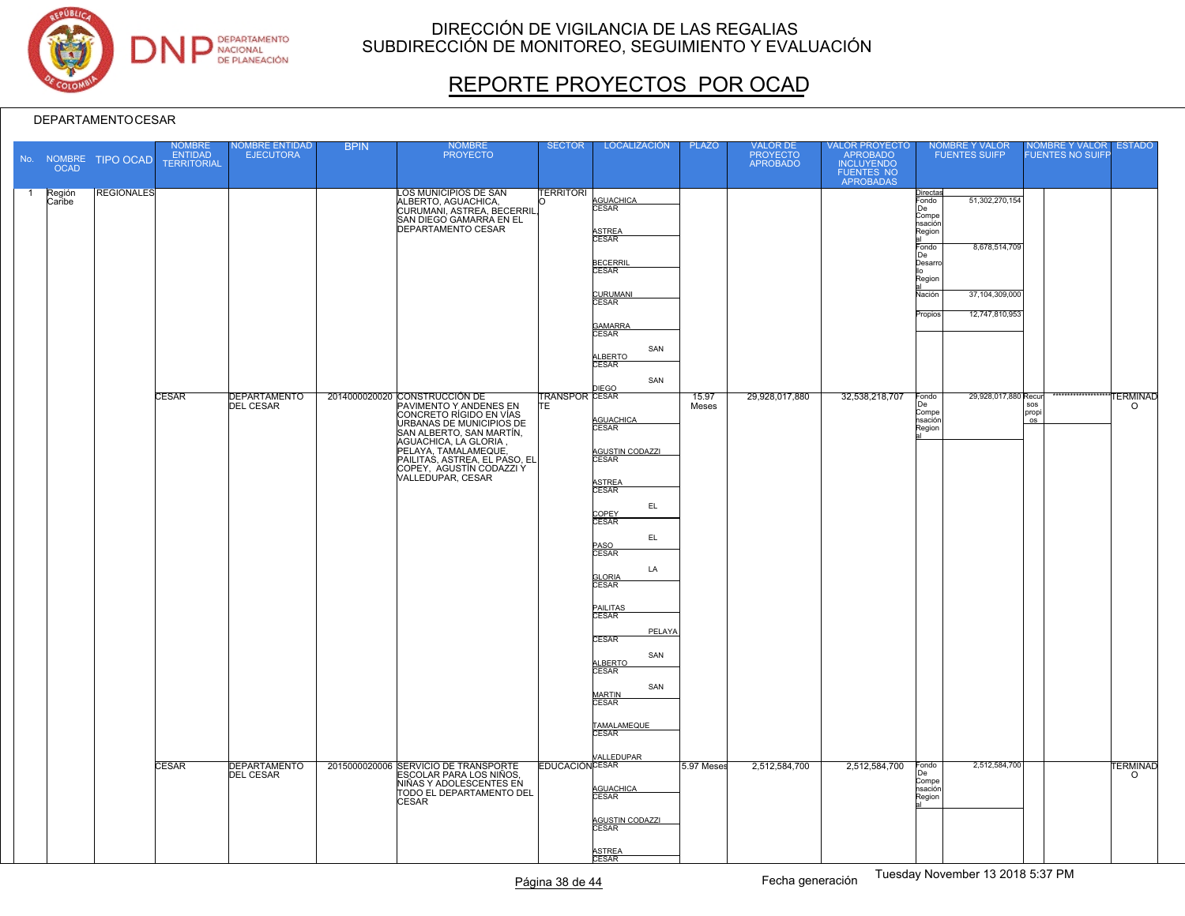

# REPORTE PROYECTOS POR OCAD

|              | <b>OCAD</b>      | No. NOMBRE TIPO OCAD | NOMBRE<br>ENTIDAD<br><b>TERRITORIAL</b> | NOMBRE ENTIDAD<br><b>EJECUTORA</b>      | <b>BPIN</b> | <b>NOMBRE</b><br><b>PROYECTO</b>                                                                                                                                                                                                                      | <b>SECTOR</b>                | <b>LOCALIZACIÓN</b>                                                                                                                                                                                                                                                                                             | <b>PLAZO</b>   | VALOR DE<br>PROYECTO<br>APROBADO | VALOR PROYECTO<br>APROBADO<br>INCLUYENDO<br>FUENTES NO<br>APROBADAS | NOMBRE Y VALOR<br>FUENTES SUIFP                                                                                                                                                        | NOMBRE Y VALOR<br>FUENTES NO SUIFP       | <b>ESTADO</b>              |
|--------------|------------------|----------------------|-----------------------------------------|-----------------------------------------|-------------|-------------------------------------------------------------------------------------------------------------------------------------------------------------------------------------------------------------------------------------------------------|------------------------------|-----------------------------------------------------------------------------------------------------------------------------------------------------------------------------------------------------------------------------------------------------------------------------------------------------------------|----------------|----------------------------------|---------------------------------------------------------------------|----------------------------------------------------------------------------------------------------------------------------------------------------------------------------------------|------------------------------------------|----------------------------|
| $\mathbf{1}$ | Región<br>Caribe | <b>REGIONALES</b>    |                                         |                                         |             | LOS MUNICIPIOS DE SAN<br>ALBERTO, AGUACHICA,<br>CURUMANI, ASTREA, BECERRIL,<br>SAN DIEGO GAMARRA EN EL<br><b>DEPARTAMENTO CESAR</b>                                                                                                                   | <b>TERRITORI</b>             | AGUACHICA<br>CESAR<br>ASTREA<br>CESAR<br><b>BECERRIL</b><br>CESAR<br>CURUMANI<br>CESAR<br>GAMARRA<br>CESAR<br>SAN<br>ALBERTO<br>CESAR<br>SAN                                                                                                                                                                    |                |                                  |                                                                     | Directas<br>Fondo<br>51,302,270,154<br>De<br>Compe<br>nsación∣<br>Region<br>8,678,514,709<br>Fondo<br>De<br>Desarro<br>Region<br>37,104,309,000<br>Nación<br>12,747,810,953<br>Propios |                                          |                            |
|              |                  |                      | <b>CESAR</b>                            | <b>DEPARTAMENTO</b><br><b>DEL CESAR</b> |             | 2014000020020 CONSTRUCCIÓN DE<br>PAVIMENTO Y ANDENES EN<br>CONCRETO RÍGIDO EN VÍAS<br>URBANAS DE MUNICIPIOS DE<br>SAN ALBERTO, SAN MARTÍN,<br>AGUACHICA, LA GLORIA,<br>PAILITAS, ASTREA, EL PASO, EL<br>COPEY, AGUSTÍN CODAZZI Y<br>VALLEDUPAR, CESAR | <b>TRANSPOR CESAR</b><br>ΙTΕ | <b>DIEGO</b><br>AGUACHICA<br>CESAR<br>AGUSTIN CODAZZI<br>CESAR<br>ASTREA<br>CESAR<br>EL.<br>COPEY<br>CESAR<br>EL<br>PASO<br>CESAR<br>LA<br><b>GLORIA</b><br>CESAR<br>PAILITAS<br>CESAR<br>PELAYA<br><b>CESAR</b><br>SAN<br>ALBERTO<br>SAN<br><b>MARTIN</b><br>CESAR<br>TAMALAMEQUE<br>CESAR<br><b>ALLEDUPAR</b> | 15.97<br>Meses | 29,928,017,880                   | 32,538,218,707                                                      | 29,928,017,880 Recur<br>Fondo<br>De<br>Compe<br>nsación<br>Region                                                                                                                      | *************<br>sos<br>propi<br>$\circ$ | <b>TERMINAD</b><br>$\circ$ |
|              |                  |                      | CESAR                                   | <b>DEPARTAMENTO</b><br><b>DEL CESAR</b> |             | 2015000020006 SERVICIO DE TRANSPORTE<br>ESCOLAR PARA LOS NIÑOS,<br>NIÑAS Y ADOLESCENTES EN<br>TODO EL DEPARTAMENTO DEL<br><b>CESAR</b>                                                                                                                | <b>EDUCACIÓN CESAR</b>       | AGUACHICA<br>AGUSTIN CODAZZI<br>CESAR<br>ASTREA<br>CESAR                                                                                                                                                                                                                                                        | 5.97 Meses     | 2,512,584,700                    | 2,512,584,700                                                       | 2,512,584,700<br>Fondo<br>De<br>Compe<br>nsación<br>Region                                                                                                                             |                                          | <b>TERMINAD</b><br>$\circ$ |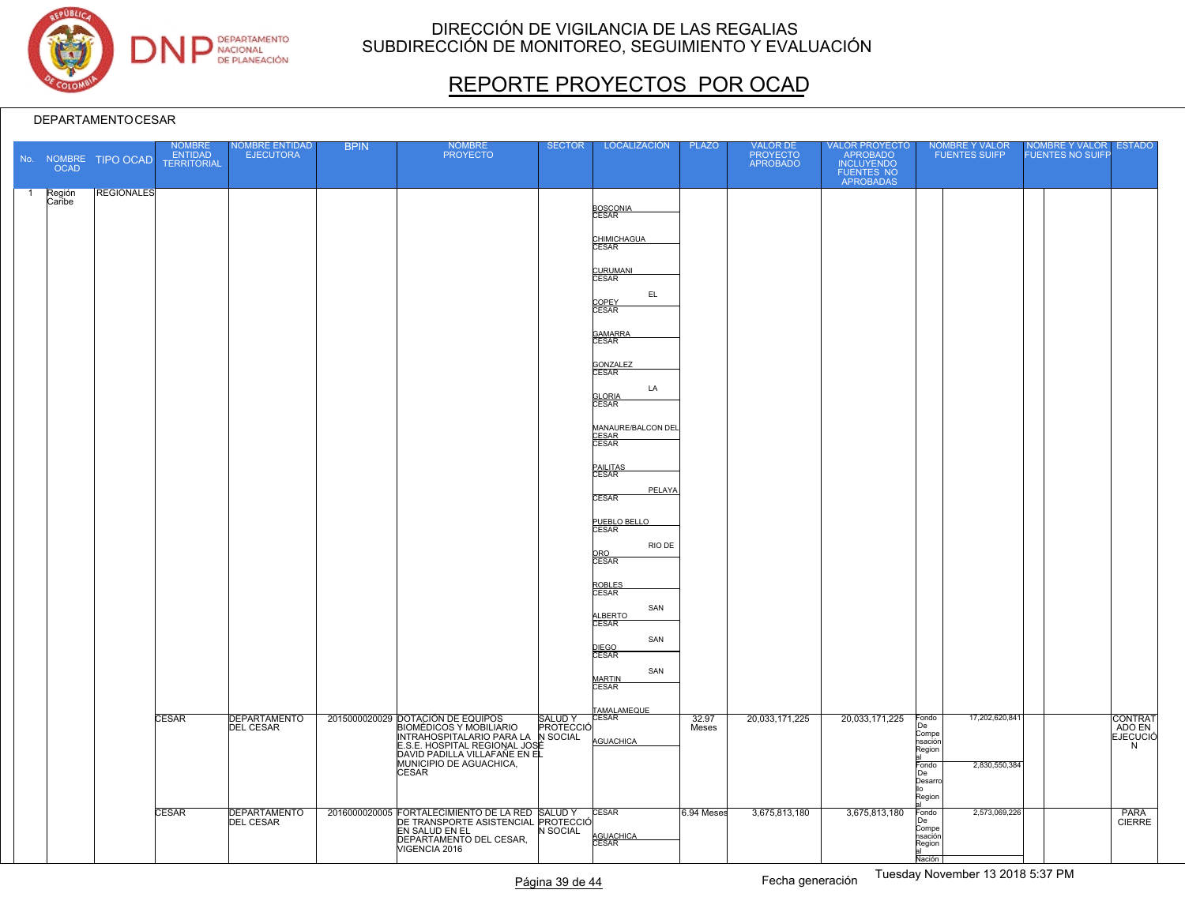

# REPORTE PROYECTOS POR OCAD

|                | <b>OCAD</b>      | No. NOMBRE TIPO OCAD | <b>NOMBRE</b><br><b>ENTIDAD</b><br><b>TERRITORIAL</b> | <b>NOMBRE ENTIDAD</b><br><b>EJECUTORA</b> | <b>BPIN</b> | <b>NOMBRE</b><br><b>PROYECTO</b>                                                                                                                                                                                       | <b>SECTOR</b>              | LOCALIZACIÓN                                                                                                                                                                                                                                                                                                                                                                                              | <b>PLAZO</b>   | VALOR DE<br>PROYECTO<br>APROBADO | VALOR PROYECTO<br>APROBADO<br>INCLUYENDO<br>FUENTES NO<br>APROBADAS | NOMBRE Y VALOR<br><b>FUENTES SUIFP</b>                                                                             | NOMBRE Y VALOR ESTADO<br><b>FUENTES NO SUIFF</b> |                                 |
|----------------|------------------|----------------------|-------------------------------------------------------|-------------------------------------------|-------------|------------------------------------------------------------------------------------------------------------------------------------------------------------------------------------------------------------------------|----------------------------|-----------------------------------------------------------------------------------------------------------------------------------------------------------------------------------------------------------------------------------------------------------------------------------------------------------------------------------------------------------------------------------------------------------|----------------|----------------------------------|---------------------------------------------------------------------|--------------------------------------------------------------------------------------------------------------------|--------------------------------------------------|---------------------------------|
| $\overline{1}$ | Región<br>Caribe | <b>REGIONALES</b>    |                                                       |                                           |             |                                                                                                                                                                                                                        |                            | BOSCONIA<br>CESAR<br>CHIMICHAGUA<br>CESAR<br>CURUMANI<br>EL.<br>COPEY<br>CESAR<br>GAMARRA<br>CESAR<br>GONZALEZ<br>CESAR<br>LA<br><b>GLORIA</b><br>CESAR<br>MANAURE/BALCON DEL<br>CESAR<br>CESAR<br>PAILITAS<br>CESAR<br>PELAYA<br><b>CESAR</b><br>PUEBLO BELLO<br>CESAR<br>RIO DE<br>ORO<br>CESAR<br>ROBLES<br>CESAR<br>SAN<br>ALBERTO<br>CESAR<br>SAN<br>DIEGO<br>CESAR<br>SAN<br>MARTIN<br><b>CESAR</b> |                |                                  |                                                                     |                                                                                                                    |                                                  |                                 |
|                |                  |                      | CESAR                                                 | <b>DEPARTAMENTO</b><br><b>DEL CESAR</b>   |             | 2015000020029 DOTACIÓN DE EQUIPOS<br><b>BIOMÉDICOS Y MOBILIARIO</b><br>INTRAHOSPITALARIO PARA LA N SOCIAL<br>E.S.E. HOSPITAL REGIONAL JOSÉ<br>DAVID PADILLA VILLAFAÑE EN EL<br>MUNICIPIO DE AGUACHICA,<br><b>CESAR</b> | <b>SALUDY</b><br>PROTECCIÓ | TAMALAMEQUE<br><b>CESAR</b><br>AGUACHICA                                                                                                                                                                                                                                                                                                                                                                  | 32.97<br>Meses | 20,033,171,225                   | 20,033,171,225                                                      | 17,202,620,841<br>Fondo<br> De<br>Compe<br>nsación<br>Region<br>Fondo<br>2,830,550,384<br> De<br>Desarro<br>Region |                                                  | CONTRAT<br><b>EJECUCIÓ</b><br>N |
|                |                  |                      | CESAR                                                 | <b>DEPARTAMENTO</b><br><b>DEL CESAR</b>   |             | 2016000020005 FORTALECIMIENTO DE LA RED SALUD Y<br>DE TRANSPORTE ASISTENCIAL PROTECCIÓ<br>EN SALUD EN EL<br>DEPARTAMENTO DEL CESAR,<br>VIGENCIA 2016                                                                   | N SOCIAL                   | CESAR<br>AGUACHICA<br>CESAR                                                                                                                                                                                                                                                                                                                                                                               | 6.94 Meses     | 3,675,813,180                    | 3,675,813,180                                                       | 2,573,069,226<br>Fondo<br>De<br>Compe<br>nsación<br>Region<br>Nación                                               |                                                  | PARA<br><b>CIERRE</b>           |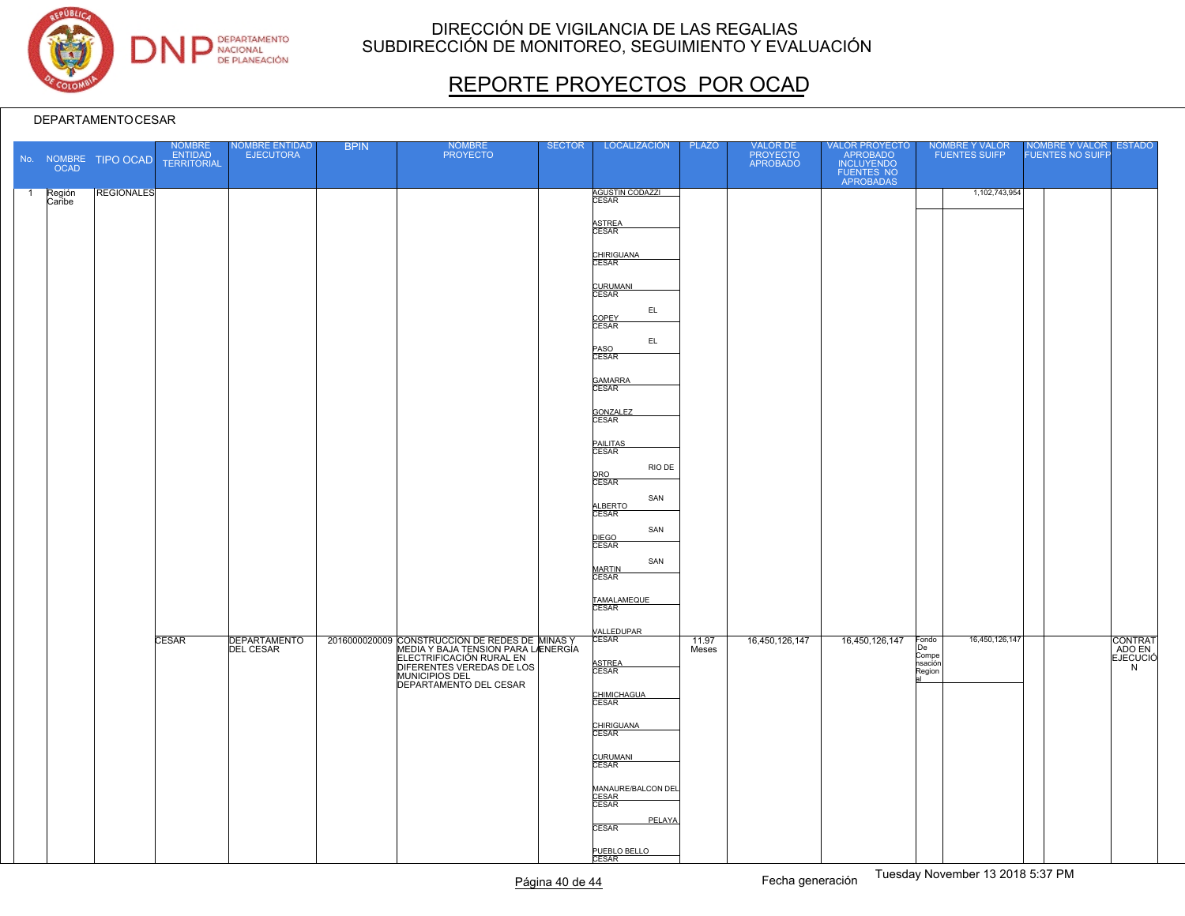

# REPORTE PROYECTOS POR OCAD

|                | <b>OCAD</b>      | No. NOMBRE TIPO OCAD | NOMBRE<br>ENTIDAD<br>TERRITORIAL | NOMBRE ENTIDAD<br>EJECUTORA | <b>BPIN</b> | NOMBRE<br>PROYECTO                                                                                                                                                                         | <b>SECTOR</b> | LOCALIZACIÓN                                                                                                                                                                                                                                                                                                                         | <b>PLAZO</b>   | VALOR DE<br>PROYECTO<br>APROBADO | VALOR PROYECTO<br>APROBADO<br>INCLUYENDO<br>FUENTES NO<br>APROBADAS | NOMBRE Y VALOR<br>FUENTES SUIFP                             | NOMBRE Y VALOR ESTADO |                                    |
|----------------|------------------|----------------------|----------------------------------|-----------------------------|-------------|--------------------------------------------------------------------------------------------------------------------------------------------------------------------------------------------|---------------|--------------------------------------------------------------------------------------------------------------------------------------------------------------------------------------------------------------------------------------------------------------------------------------------------------------------------------------|----------------|----------------------------------|---------------------------------------------------------------------|-------------------------------------------------------------|-----------------------|------------------------------------|
| $\overline{1}$ | Región<br>Caribe | <b>REGIONALES</b>    |                                  |                             |             |                                                                                                                                                                                            |               | <b>AGUSTIN CODAZZI</b><br>CESAR<br>ASTREA<br>CESAR<br>CHIRIGUANA<br>CURUMANI<br>CESAR<br>EL<br>COPEY<br>CESAR<br>$\mathsf{EL}$<br>PASO<br>CESAR<br>GAMARRA<br>CESAR<br>GONZALEZ<br>CESAR<br>PAILITAS<br>CESAR<br>RIO DE<br>ORO<br>CESAR<br>SAN<br>ALBERTO<br>CESAR<br>SAN<br>DIEGO<br>CESAR<br>SAN<br>MARTIN<br>CESAR<br>TAMALAMEQUE |                |                                  |                                                                     | 1,102,743,954                                               |                       |                                    |
|                |                  |                      | <b>CESAR</b>                     | DEPARTAMENTO                |             | 2016000020009 CONSTRUCCIÓN DE REDES DE MINAS Y<br>MEDIA Y BAJA TENSION PARA LAENERGÍA<br>ELECTRIFICACIÓN RURAL EN<br>DIFERENTES VEREDAS DE LOS<br>MUNICIPIOS DEL<br>DEPARTAMENTO DEL CESAR |               | VALLEDUPAR<br>CESAR<br><b>ASTREA</b><br>CESAR<br>CHIMICHAGUA<br>CESAR<br>CHIRIGUANA<br>CURUMANI<br>CESAR<br>MANAURE/BALCON DEL<br>CESAR<br>CESAR<br>PELAYA<br><b>CESAR</b><br>PUEBLO BELLO                                                                                                                                           | 11.97<br>Meses | 16,450,126,147                   | 16,450,126,147                                                      | 16,450,126,147<br>Fondo<br>De<br>Compe<br>hsación<br>Region |                       | CONTRAT<br>ADO EN<br>EJECUCIÓ<br>N |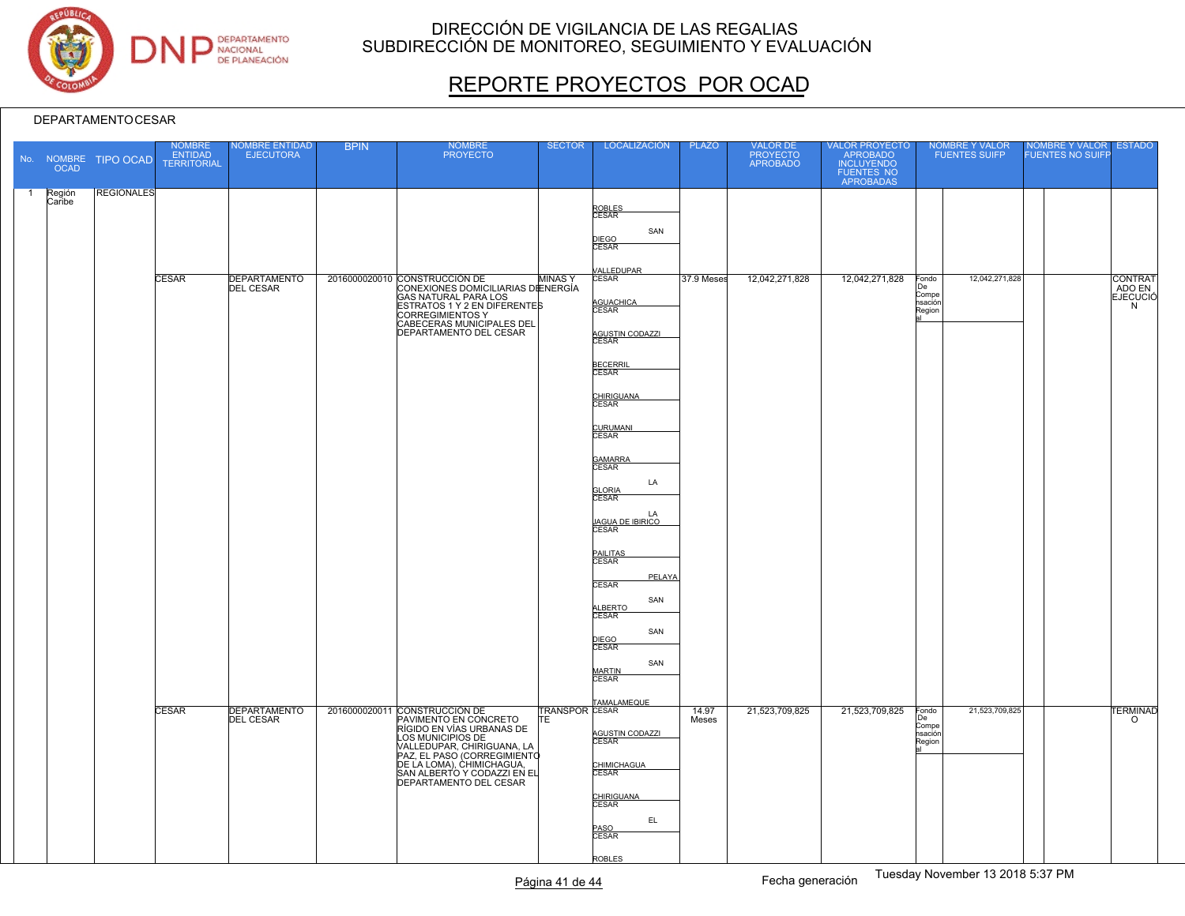

# REPORTE PROYECTOS POR OCAD

|    | <b>OCAD</b>      | No. NOMBRE TIPO OCAD | <b>NOMBRE</b><br>ENTIDAD<br><b>TERRITORIAL</b> | NOMBRE ENTIDAD<br>EJECUTORA             | <b>BPIN</b> | NOMBRE<br>PROYECTO                                                                                                                                                                                                                                          | <b>SECTOR</b>      | LOCALIZACIÓN                                                                          | <b>PLAZO</b>   | VALOR DE<br>PROYECTO<br>APROBADO | VALOR PROYECTO<br>APROBADO<br>INCLUYENDO<br>FUENTES NO<br>APROBADAS | NOMBRE Y VALOR<br>FUENTES SUIFP                             | NOMBRE Y VALOR<br>FUENTES NO SUIFP | <b>ESTADO</b>         |
|----|------------------|----------------------|------------------------------------------------|-----------------------------------------|-------------|-------------------------------------------------------------------------------------------------------------------------------------------------------------------------------------------------------------------------------------------------------------|--------------------|---------------------------------------------------------------------------------------|----------------|----------------------------------|---------------------------------------------------------------------|-------------------------------------------------------------|------------------------------------|-----------------------|
| -1 | Región<br>Caribe | <b>REGIONALES</b>    | <b>CESAR</b>                                   | <b>DEPARTAMENTO</b><br><b>DEL CESAR</b> |             | 2016000020010 CONSTRUCCIÓN DE<br>CONEXIONES DOMICILIARIAS DENERGÍA                                                                                                                                                                                          | MINAS <sup>'</sup> | ROBLES<br>CESAR<br>SAN<br>DIEGO<br>CESAR<br><b>/ALLEDUPAR</b><br>CESAR                | 37.9 Meses     | 12,042,271,828                   | 12,042,271,828                                                      | 12,042,271,828<br>Fondo<br>De                               |                                    | CONTRAT<br>ADO EN     |
|    |                  |                      |                                                |                                         |             | GAS NATURAL PARA LOS<br>ESTRATOS 1 Y 2 EN DIFERENTES<br><b>CORREGIMIENTOS Y</b><br>CABECERAS MUNICIPALES DEL<br>DEPARTAMENTO DEL CESAR                                                                                                                      |                    | AGUACHICA<br>AGUSTIN CODAZZI<br><b>BECERRIL</b><br>CESAR                              |                |                                  |                                                                     | Compe<br>nsación<br>Region                                  |                                    | <b>EJECUCIÓ</b><br>N  |
|    |                  |                      |                                                |                                         |             |                                                                                                                                                                                                                                                             |                    | CHIRIGUANA<br>CESAR<br>CURUMANI<br>GAMARRA<br>CESAR<br>LA<br><b>GLORIA</b><br>CESAR   |                |                                  |                                                                     |                                                             |                                    |                       |
|    |                  |                      |                                                |                                         |             |                                                                                                                                                                                                                                                             |                    | LA<br><u>JAGUA DE IBIRICO</u><br>CESAR<br>PAILITAS<br>CESAR<br>PELAYA<br><b>CESAR</b> |                |                                  |                                                                     |                                                             |                                    |                       |
|    |                  |                      |                                                |                                         |             |                                                                                                                                                                                                                                                             |                    | SAN<br>ALBERTO<br>SAN<br>DIEGO<br>CESAR<br>SAN<br>MARTIN<br>CESAR                     |                |                                  |                                                                     |                                                             |                                    |                       |
|    |                  |                      | <b>CESAR</b>                                   | <b>DEPARTAMENTO</b><br><b>DEL CESAR</b> |             | 2016000020011 CONSTRUCCIÓN DE<br>PAVIMENTO EN CONCRETO<br>RÍGIDO EN VÍAS URBANAS DE<br>LOS MUNICIPIOS DE<br>VALLEDUPAR, CHIRIGUANA, LA<br>PAZ, EL PASO (CORREGIMIENTO<br>DE LA LOMA), CHIMICHAGUA,<br>SAN ALBERTO Y CODAZZI EN EL<br>DEPARTAMENTO DEL CESAR | IΤE                | TRANSPOR CESAR<br>AGUSTIN CODAZZI<br>CHIMICHAGUA                                      | 14.97<br>Meses | 21,523,709,825                   | 21,523,709,825                                                      | 21,523,709,825<br>Fondo<br>De<br>Compe<br>nsación<br>Region |                                    | <b>TERMINAD</b><br>o. |
|    |                  |                      |                                                |                                         |             |                                                                                                                                                                                                                                                             |                    | CHIRIGUANA<br>EL.<br>PASO<br>CESAR<br>ROBLES                                          |                |                                  |                                                                     |                                                             |                                    |                       |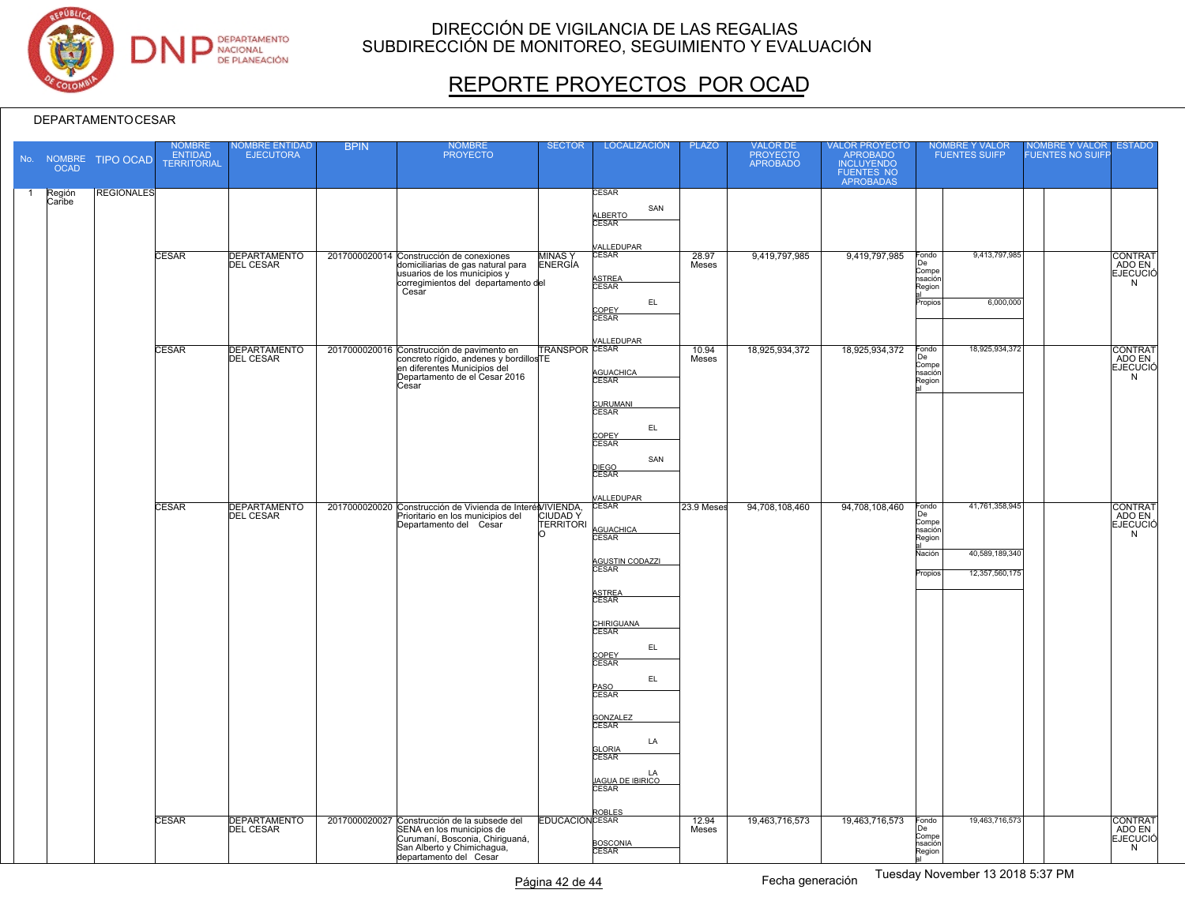

# REPORTE PROYECTOS POR OCAD

|                | <b>OCAD</b>      | No. NOMBRE TIPO OCAD | NOMBRE<br>ENTIDAD<br><b>TERRITORIAL</b> | <b>VOMBRE ENTIDAD</b><br><b>EJECUTORA</b> | <b>BPIN</b> | <b>NOMBRE</b><br><b>PROYECTO</b>                                                                                                                                     | <b>SECTOR</b>                    | <b>LOCALIZACIÓN</b>                                                                                                                                                                        | <b>PLAZO</b>   | VALOR DE<br>PROYECTO<br>APROBADO | VALOR PROYECTO<br>APROBADO<br>INCLUYENDO<br>FUENTES NO<br>APROBADAS | <b>NOMBRE Y VALOR</b><br><b>FUENTES SUIFP</b>                                                                        | NOMBRE Y VALOR<br><b>ESTADO</b><br><b>FUENTES NO SUIFF</b> |
|----------------|------------------|----------------------|-----------------------------------------|-------------------------------------------|-------------|----------------------------------------------------------------------------------------------------------------------------------------------------------------------|----------------------------------|--------------------------------------------------------------------------------------------------------------------------------------------------------------------------------------------|----------------|----------------------------------|---------------------------------------------------------------------|----------------------------------------------------------------------------------------------------------------------|------------------------------------------------------------|
| $\overline{1}$ | Región<br>Caribe | <b>REGIONALES</b>    |                                         |                                           |             |                                                                                                                                                                      |                                  | CESAR<br>SAN<br>ALBERTO<br>CESAR<br><b>/ALLEDUPAR</b>                                                                                                                                      |                |                                  |                                                                     |                                                                                                                      |                                                            |
|                |                  |                      | CESAR                                   | DEPARTAMENTO                              |             | 2017000020014 Construcción de conexiones<br>domiciliarias de gas natural para<br>usuarios de los municipios y<br>corregimientos del departamento del<br>Cesar        | <b>MINAS</b> Y<br><b>ENERGÍA</b> | CESAR<br>ASTREA<br>CESAR<br>EL<br>COPEY<br><b>CESAR</b>                                                                                                                                    | 28.97<br>Meses | 9,419,797,985                    | 9,419,797,985                                                       | 9,413,797,985<br>Fondo<br>De<br>Compe<br>nsación<br>Region<br>6,000,000<br>Propios                                   | CONTRAT<br>ADO EN<br>EJECUCIÓ<br>N                         |
|                |                  |                      | <b>CESAR</b>                            | DEPARTAMENTO<br>DEL CESAR                 |             | 2017000020016 Construcción de pavimento en<br>concreto rígido, andenes y bordillosTE<br>en diferentes Municipios del<br>Departamento de el Cesar 2016<br>Cesar       | <b>TRANSPOR CESAR</b>            | ALLEDUPAR<br>AGUACHICA<br>CESAR<br>CURUMANI<br>CESAR<br>EL.<br>COPEY<br><b>CESAR</b><br>SAN                                                                                                | 10.94<br>Meses | 18,925,934,372                   | 18,925,934,372                                                      | 18,925,934,372<br>Fondo<br>De<br>Compe<br>nsación<br>Region                                                          | CONTRAT<br><b>EJECUCIÓ</b><br>N                            |
|                |                  |                      | <b>CESAR</b>                            | <b>DEPARTAMENTO</b><br><b>DEL CESAR</b>   |             | 2017000020020 Construcción de Vivienda de Interés/IVIENDA,<br>Prioritario en los municipios del<br>Departamento del Cesar                                            | CIUDAD Y<br>TERRITORI            | <u>DIEGO</u><br>CESAR<br>/ALLEDUPAR<br>CESAR<br>AGUACHICA<br>AGUSTIN CODAZZI<br>CESAR<br>ASTREA<br>CESAR<br>CHIRIGUANA<br>EL<br>COPEY<br>CESAR<br>EL<br>PASO<br>CESAR<br>GONZALEZ<br>CESAR | 23.9 Meses     | 94,708,108,460                   | 94,708,108,460                                                      | 41,761,358,945<br>Fondo<br>De<br>Compe<br>hsación<br>Region<br>40,589,189,340<br>Nación<br>12,357,560,175<br>Propios | CONTRAT<br>ADO EN<br>EJECUCIÓ<br>N                         |
|                |                  |                      | <b>CESAR</b>                            | <b>DEPARTAMENTO</b><br><b>DEL CESAR</b>   |             | 2017000020027 Construcción de la subsede del<br>SENA en los municipios de<br>Curumaní, Bosconia, Chiriguaná,<br>San Alberto y Chimichagua,<br>departamento del Cesar | <b>EDUCACIÓNCESAR</b>            | LA<br><b>GLORIA</b><br>CESAR<br>LA<br>JAGUA DE IBIRICO<br>CESAR<br>ROBLES<br>BOSCONIA<br>CESAR                                                                                             | 12.94<br>Meses | 19,463,716,573                   | 19,463,716,573                                                      | 19,463,716,573<br>Fondo<br>De<br>Compe<br>psación<br>Region                                                          | CONTRAT<br><b>EJECUCIÓ</b><br>N                            |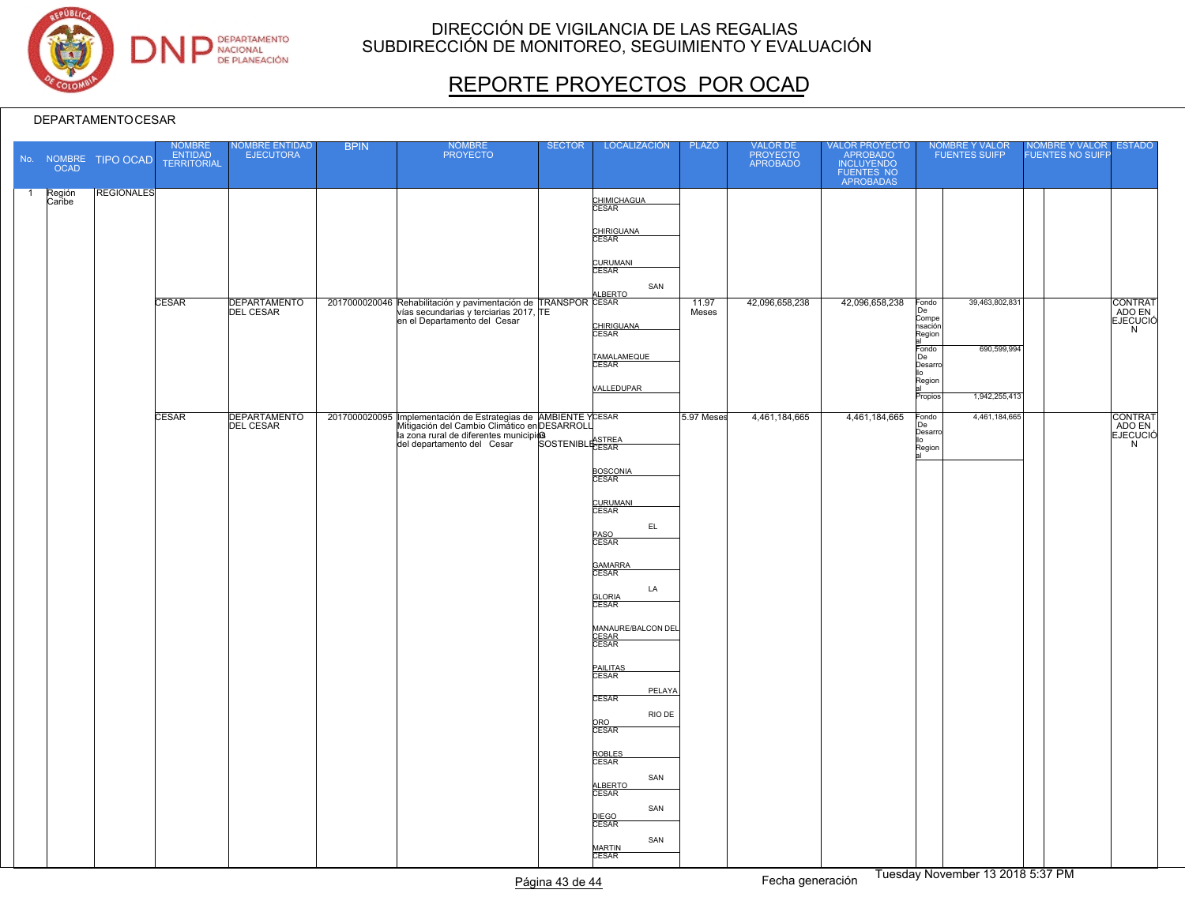

# REPORTE PROYECTOS POR OCAD

|                | <b>OCAD</b>      | No. NOMBRE TIPO OCAD | NOMBRE<br>ENTIDAD<br>TERRITORIAL | NOMBRE ENTIDAD<br>EJECUTORA      | <b>BPIN</b> | NOMBRE<br>PROYECTO                                                                                                                                                                                                                               | <b>SECTOR</b> | LOCALIZACIÓN                                                   | <b>PLAZO</b>   | VALOR DE<br>PROYECTO<br>APROBADO | VALOR PROYECTO<br>APROBADO<br>INCLUYENDO<br>FUENTES NO<br>APROBADAS | NOMBRE Y VALOR<br>FUENTES SUIFP                                     | NOMBRE Y VALOR ESTADO<br>FUENTES NO SUIFP |
|----------------|------------------|----------------------|----------------------------------|----------------------------------|-------------|--------------------------------------------------------------------------------------------------------------------------------------------------------------------------------------------------------------------------------------------------|---------------|----------------------------------------------------------------|----------------|----------------------------------|---------------------------------------------------------------------|---------------------------------------------------------------------|-------------------------------------------|
| $\overline{1}$ | Región<br>Caribe | <b>REGIONALES</b>    |                                  |                                  |             |                                                                                                                                                                                                                                                  |               | CHIMICHAGUA<br>CESAR<br>CHIRIGUANA                             |                |                                  |                                                                     |                                                                     |                                           |
|                |                  |                      |                                  |                                  |             |                                                                                                                                                                                                                                                  |               | <b>CURUMANI</b><br>CESAR<br>SAN                                |                |                                  |                                                                     |                                                                     |                                           |
|                |                  |                      | <b>CESAR</b>                     | <b>DEPARTAMENTO</b><br>DEL CESAR |             | $\frac{2017000020046}{2017000020046}$ Rehabilitación y pavimentación de TRANSPOR<br>Vías secundarias y terciarias 2017, TE<br>en el Departamento del Cesar                                                                                       |               | <b>LEERTO</b><br>CHIRIGUANA<br>CESAR                           | 11.97<br>Meses | 42,096,658,238                   | 42,096,658,238                                                      | 39,463,802,831<br>Fondo<br>De<br>Compe<br>nsación<br>Region         | CONTRAT<br>ADO EN<br><b>EJECUCIÓ</b><br>N |
|                |                  |                      |                                  |                                  |             |                                                                                                                                                                                                                                                  |               | TAMALAMEQUE<br>CESAR                                           |                |                                  |                                                                     | 690,599,994<br>Fondo<br>De<br>Desarro<br>ļΙo<br>Region              |                                           |
|                |                  |                      | <b>CESAR</b>                     | DEPARTAMENTO                     |             | 2017000020095 Implementación de Estrategias de AMBIENTE YCESAR<br>Mitigación del Cambio Climático en DESARROLL<br>Mitigación del Cambio Citatano Citatano<br>la zona rural de diferentes municipios<br>de construction del Cesar SOSTENIBLICESAR |               | VALLEDUPAR                                                     | 5.97 Meses     | 4,461,184,665                    | 4,461,184,665                                                       | 1,942,255,413<br>Propios<br>4,461,184,665<br>Fondo<br>De<br>Desarro | CONTRAT<br>ADO EN<br>EJECUCIÓ<br>N        |
|                |                  |                      |                                  |                                  |             |                                                                                                                                                                                                                                                  |               | BOSCONIA                                                       |                |                                  |                                                                     | llo<br>Region                                                       |                                           |
|                |                  |                      |                                  |                                  |             |                                                                                                                                                                                                                                                  |               | CURUMANI<br>CESAR<br>EL.<br>PASO<br>CESAR                      |                |                                  |                                                                     |                                                                     |                                           |
|                |                  |                      |                                  |                                  |             |                                                                                                                                                                                                                                                  |               | GAMARRA<br>CESAR<br>LA                                         |                |                                  |                                                                     |                                                                     |                                           |
|                |                  |                      |                                  |                                  |             |                                                                                                                                                                                                                                                  |               | <b>GLORIA</b><br>CESAR<br>MANAURE/BALCON DEL<br>CESAR<br>CESAR |                |                                  |                                                                     |                                                                     |                                           |
|                |                  |                      |                                  |                                  |             |                                                                                                                                                                                                                                                  |               | PAILITAS<br>CESAR                                              |                |                                  |                                                                     |                                                                     |                                           |
|                |                  |                      |                                  |                                  |             |                                                                                                                                                                                                                                                  |               | PELAYA<br><b>CESAR</b><br>RIO DE<br>ORO<br>CESAR               |                |                                  |                                                                     |                                                                     |                                           |
|                |                  |                      |                                  |                                  |             |                                                                                                                                                                                                                                                  |               | ROBLES<br>CESAR<br>SAN<br>ALBERTO<br>CESAR                     |                |                                  |                                                                     |                                                                     |                                           |
|                |                  |                      |                                  |                                  |             |                                                                                                                                                                                                                                                  |               | SAN<br>DIEGO<br>CESAR<br>SAN                                   |                |                                  |                                                                     |                                                                     |                                           |
|                |                  |                      |                                  |                                  |             |                                                                                                                                                                                                                                                  |               | MARTIN<br>CESAR                                                |                |                                  |                                                                     | $\overline{\phantom{a}}$                                            |                                           |